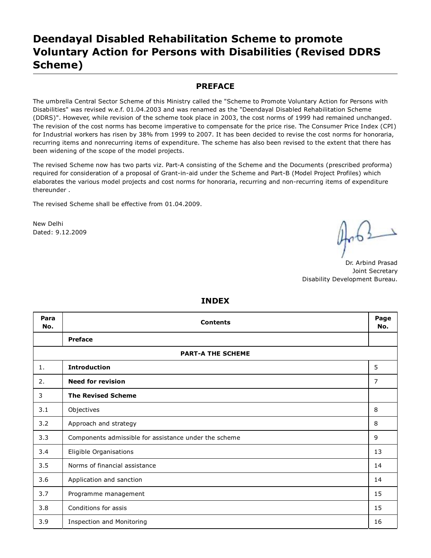# **Deendayal Disabled Rehabilitation Scheme to promote Voluntary Action for Persons with Disabilities (Revised DDRS Scheme)**

# **PREFACE**

The umbrella Central Sector Scheme of this Ministry called the "Scheme to Promote Voluntary Action for Persons with Disabilities" was revised w.e.f. 01.04.2003 and was renamed as the "Deendayal Disabled Rehabilitation Scheme (DDRS)". However, while revision of the scheme took place in 2003, the cost norms of 1999 had remained unchanged. The revision of the cost norms has become imperative to compensate for the price rise. The Consumer Price Index (CPI) for Industrial workers has risen by 38% from 1999 to 2007. It has been decided to revise the cost norms for honoraria, recurring items and nonrecurring items of expenditure. The scheme has also been revised to the extent that there has been widening of the scope of the model projects.

The revised Scheme now has two parts viz. Part-A consisting of the Scheme and the Documents (prescribed proforma) required for consideration of a proposal of Grant-in-aid under the Scheme and Part-B (Model Project Profiles) which elaborates the various model projects and cost norms for honoraria, recurring and non-recurring items of expenditure thereunder .

The revised Scheme shall be effective from 01.04.2009.

New Delhi Dated: 9.12.2009

Dr. Arbind Prasad Joint Secretary Disability Development Bureau.

| Para<br>No. | <b>Contents</b>                                       | Page<br>No. |
|-------------|-------------------------------------------------------|-------------|
|             | <b>Preface</b>                                        |             |
|             | <b>PART-A THE SCHEME</b>                              |             |
| 1.          | <b>Introduction</b>                                   | 5           |
| 2.          | <b>Need for revision</b>                              | 7           |
| 3           | <b>The Revised Scheme</b>                             |             |
| 3.1         | Objectives                                            | 8           |
| 3.2         | Approach and strategy                                 | 8           |
| 3.3         | Components admissible for assistance under the scheme | 9           |
| 3.4         | Eligible Organisations                                | 13          |
| 3.5         | Norms of financial assistance                         | 14          |
| 3.6         | Application and sanction                              | 14          |
| 3.7         | Programme management                                  | 15          |
| 3.8         | Conditions for assis                                  | 15          |
| 3.9         | <b>Inspection and Monitoring</b>                      | 16          |

# **INDEX**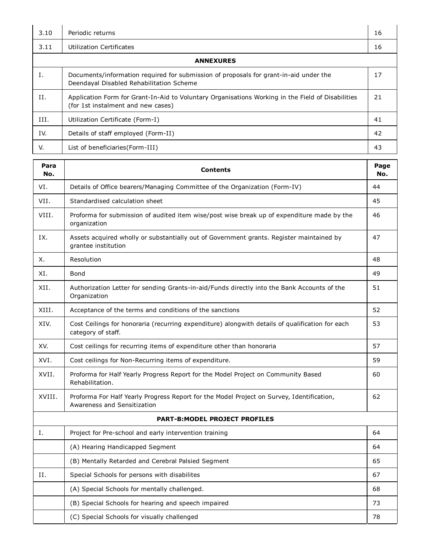| 3.10 | Periodic returns                                                                                                                        | 16 |  |
|------|-----------------------------------------------------------------------------------------------------------------------------------------|----|--|
| 3.11 | Utilization Certificates                                                                                                                | 16 |  |
|      | <b>ANNEXURES</b>                                                                                                                        |    |  |
| Ι.   | Documents/information required for submission of proposals for grant-in-aid under the<br>Deendayal Disabled Rehabilitation Scheme       | 17 |  |
| Н.   | Application Form for Grant-In-Aid to Voluntary Organisations Working in the Field of Disabilities<br>(for 1st instalment and new cases) | 21 |  |
| III. | Utilization Certificate (Form-I)                                                                                                        | 41 |  |
| IV.  | Details of staff employed (Form-II)                                                                                                     | 42 |  |
| V.   | List of beneficiaries (Form-III)                                                                                                        | 43 |  |

| Para<br>No. | <b>Contents</b>                                                                                                          | Page<br>No. |
|-------------|--------------------------------------------------------------------------------------------------------------------------|-------------|
| VI.         | Details of Office bearers/Managing Committee of the Organization (Form-IV)                                               | 44          |
| VII.        | Standardised calculation sheet                                                                                           | 45          |
| VIII.       | Proforma for submission of audited item wise/post wise break up of expenditure made by the<br>organization               | 46          |
| IX.         | Assets acquired wholly or substantially out of Government grants. Register maintained by<br>grantee institution          | 47          |
| Х.          | Resolution                                                                                                               | 48          |
| XI.         | Bond                                                                                                                     | 49          |
| XII.        | Authorization Letter for sending Grants-in-aid/Funds directly into the Bank Accounts of the<br>Organization              | 51          |
| XIII.       | Acceptance of the terms and conditions of the sanctions                                                                  | 52          |
| XIV.        | Cost Ceilings for honoraria (recurring expenditure) alongwith details of qualification for each<br>category of staff.    | 53          |
| XV.         | Cost ceilings for recurring items of expenditure other than honoraria                                                    | 57          |
| XVI.        | Cost ceilings for Non-Recurring items of expenditure.                                                                    | 59          |
| XVII.       | Proforma for Half Yearly Progress Report for the Model Project on Community Based<br>Rehabilitation.                     | 60          |
| XVIII.      | Proforma For Half Yearly Progress Report for the Model Project on Survey, Identification,<br>Awareness and Sensitization | 62          |
|             | <b>PART-B:MODEL PROJECT PROFILES</b>                                                                                     |             |
| Ι.          | Project for Pre-school and early intervention training                                                                   | 64          |
|             | (A) Hearing Handicapped Segment                                                                                          | 64          |
|             | (B) Mentally Retarded and Cerebral Palsied Segment                                                                       | 65          |
| Н.          | Special Schools for persons with disabilites                                                                             | 67          |
|             | (A) Special Schools for mentally challenged.                                                                             | 68          |
|             | (B) Special Schools for hearing and speech impaired                                                                      | 73          |
|             | (C) Special Schools for visually challenged                                                                              | 78          |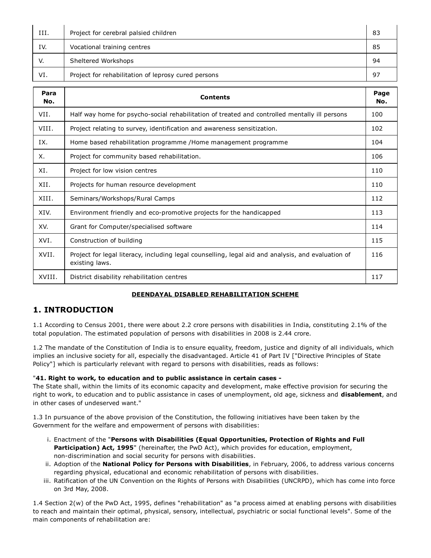| III. | Project for cerebral palsied children               | -83 |
|------|-----------------------------------------------------|-----|
| IV.  | Vocational training centres                         | 85  |
| V.   | Sheltered Workshops                                 | 94  |
| VI.  | Project for rehabilitation of leprosy cured persons | -97 |

| Para<br>No. | <b>Contents</b>                                                                                                      | Page<br>No. |
|-------------|----------------------------------------------------------------------------------------------------------------------|-------------|
| VII.        | Half way home for psycho-social rehabilitation of treated and controlled mentally ill persons                        | 100         |
| VIII.       | Project relating to survey, identification and awareness sensitization.                                              | 102         |
| IX.         | Home based rehabilitation programme /Home management programme                                                       | 104         |
| X.          | Project for community based rehabilitation.                                                                          | 106         |
| XI.         | Project for low vision centres                                                                                       | 110         |
| XII.        | Projects for human resource development                                                                              | 110         |
| XIII.       | Seminars/Workshops/Rural Camps                                                                                       | 112         |
| XIV.        | Environment friendly and eco-promotive projects for the handicapped                                                  | 113         |
| XV.         | Grant for Computer/specialised software                                                                              | 114         |
| XVI.        | Construction of building                                                                                             | 115         |
| XVII.       | Project for legal literacy, including legal counselling, legal aid and analysis, and evaluation of<br>existing laws. | 116         |
| XVIII.      | District disability rehabilitation centres                                                                           | 117         |

# **DEENDAYAL DISABLED REHABILITATION SCHEME**

# **1. INTRODUCTION**

1.1 According to Census 2001, there were about 2.2 crore persons with disabilities in India, constituting 2.1% of the total population. The estimated population of persons with disabilities in 2008 is 2.44 crore.

1.2 The mandate of the Constitution of India is to ensure equality, freedom, justice and dignity of all individuals, which implies an inclusive society for all, especially the disadvantaged. Article 41 of Part IV ["Directive Principles of State Policy"] which is particularly relevant with regard to persons with disabilities, reads as follows:

# "**41. Right to work, to education and to public assistance in certain cases -**

The State shall, within the limits of its economic capacity and development, make effective provision for securing the right to work, to education and to public assistance in cases of unemployment, old age, sickness and **disablement**, and in other cases of undeserved want."

1.3 In pursuance of the above provision of the Constitution, the following initiatives have been taken by the Government for the welfare and empowerment of persons with disabilities:

- i. Enactment of the "**Persons with Disabilities (Equal Opportunities, Protection of Rights and Full Participation) Act, 1995**" (hereinafter, the PwD Act), which provides for education, employment, non-discrimination and social security for persons with disabilities.
- ii. Adoption of the **National Policy for Persons with Disabilities**, in February, 2006, to address various concerns regarding physical, educational and economic rehabilitation of persons with disabilities.
- iii. Ratification of the UN Convention on the Rights of Persons with Disabilities (UNCRPD), which has come into force on 3rd May, 2008.

1.4 Section 2(w) of the PwD Act, 1995, defines "rehabilitation" as "a process aimed at enabling persons with disabilities to reach and maintain their optimal, physical, sensory, intellectual, psychiatric or social functional levels". Some of the main components of rehabilitation are: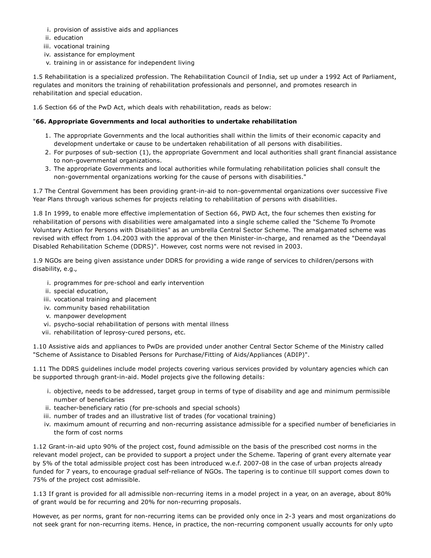- i. provision of assistive aids and appliances
- ii. education
- iii. vocational training
- iv. assistance for employment
- v. training in or assistance for independent living

1.5 Rehabilitation is a specialized profession. The Rehabilitation Council of India, set up under a 1992 Act of Parliament, regulates and monitors the training of rehabilitation professionals and personnel, and promotes research in rehabilitation and special education.

1.6 Section 66 of the PwD Act, which deals with rehabilitation, reads as below:

# "**66. Appropriate Governments and local authorities to undertake rehabilitation**

- 1. The appropriate Governments and the local authorities shall within the limits of their economic capacity and development undertake or cause to be undertaken rehabilitation of all persons with disabilities.
- 2. For purposes of sub-section (1), the appropriate Government and local authorities shall grant financial assistance to non-governmental organizations.
- 3. The appropriate Governments and local authorities while formulating rehabilitation policies shall consult the non-governmental organizations working for the cause of persons with disabilities."

1.7 The Central Government has been providing grant-in-aid to non-governmental organizations over successive Five Year Plans through various schemes for projects relating to rehabilitation of persons with disabilities.

1.8 In 1999, to enable more effective implementation of Section 66, PWD Act, the four schemes then existing for rehabilitation of persons with disabilities were amalgamated into a single scheme called the "Scheme To Promote Voluntary Action for Persons with Disabilities" as an umbrella Central Sector Scheme. The amalgamated scheme was revised with effect from 1.04.2003 with the approval of the then Minister-in-charge, and renamed as the "Deendayal Disabled Rehabilitation Scheme (DDRS)". However, cost norms were not revised in 2003.

1.9 NGOs are being given assistance under DDRS for providing a wide range of services to children/persons with disability, e.g.,

- i. programmes for pre-school and early intervention
- ii. special education,
- iii. vocational training and placement
- iv. community based rehabilitation
- v. manpower development
- vi. psycho-social rehabilitation of persons with mental illness
- vii. rehabilitation of leprosy-cured persons, etc.

1.10 Assistive aids and appliances to PwDs are provided under another Central Sector Scheme of the Ministry called "Scheme of Assistance to Disabled Persons for Purchase/Fitting of Aids/Appliances (ADIP)".

1.11 The DDRS guidelines include model projects covering various services provided by voluntary agencies which can be supported through grant-in-aid. Model projects give the following details:

- i. objective, needs to be addressed, target group in terms of type of disability and age and minimum permissible number of beneficiaries
- ii. teacher-beneficiary ratio (for pre-schools and special schools)
- iii. number of trades and an illustrative list of trades (for vocational training)
- iv. maximum amount of recurring and non-recurring assistance admissible for a specified number of beneficiaries in the form of cost norms

1.12 Grant-in-aid upto 90% of the project cost, found admissible on the basis of the prescribed cost norms in the relevant model project, can be provided to support a project under the Scheme. Tapering of grant every alternate year by 5% of the total admissible project cost has been introduced w.e.f. 2007-08 in the case of urban projects already funded for 7 years, to encourage gradual self-reliance of NGOs. The tapering is to continue till support comes down to 75% of the project cost admissible.

1.13 If grant is provided for all admissible non-recurring items in a model project in a year, on an average, about 80% of grant would be for recurring and 20% for non-recurring proposals.

However, as per norms, grant for non-recurring items can be provided only once in 2-3 years and most organizations do not seek grant for non-recurring items. Hence, in practice, the non-recurring component usually accounts for only upto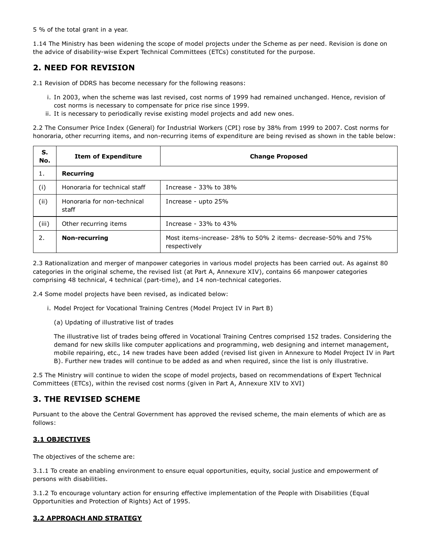5 % of the total grant in a year.

1.14 The Ministry has been widening the scope of model projects under the Scheme as per need. Revision is done on the advice of disability-wise Expert Technical Committees (ETCs) constituted for the purpose.

# **2. NEED FOR REVISION**

2.1 Revision of DDRS has become necessary for the following reasons:

- i. In 2003, when the scheme was last revised, cost norms of 1999 had remained unchanged. Hence, revision of cost norms is necessary to compensate for price rise since 1999.
- ii. It is necessary to periodically revise existing model projects and add new ones.

2.2 The Consumer Price Index (General) for Industrial Workers (CPI) rose by 38% from 1999 to 2007. Cost norms for honoraria, other recurring items, and non-recurring items of expenditure are being revised as shown in the table below:

| S.<br>No. | <b>Item of Expenditure</b>           | <b>Change Proposed</b>                                                        |
|-----------|--------------------------------------|-------------------------------------------------------------------------------|
| 1.        | Recurring                            |                                                                               |
| (i)       | Honoraria for technical staff        | Increase - 33% to 38%                                                         |
| (ii)      | Honoraria for non-technical<br>staff | Increase - upto 25%                                                           |
| (iii)     | Other recurring items                | Increase - 33% to 43%                                                         |
| 2.        | Non-recurring                        | Most items-increase- 28% to 50% 2 items- decrease-50% and 75%<br>respectively |

2.3 Rationalization and merger of manpower categories in various model projects has been carried out. As against 80 categories in the original scheme, the revised list (at Part A, Annexure XIV), contains 66 manpower categories comprising 48 technical, 4 technical (part-time), and 14 non-technical categories.

2.4 Some model projects have been revised, as indicated below:

- i. Model Project for Vocational Training Centres (Model Project IV in Part B)
	- (a) Updating of illustrative list of trades

The illustrative list of trades being offered in Vocational Training Centres comprised 152 trades. Considering the demand for new skills like computer applications and programming, web designing and internet management, mobile repairing, etc., 14 new trades have been added (revised list given in Annexure to Model Project IV in Part B). Further new trades will continue to be added as and when required, since the list is only illustrative.

2.5 The Ministry will continue to widen the scope of model projects, based on recommendations of Expert Technical Committees (ETCs), within the revised cost norms (given in Part A, Annexure XIV to XVI)

# **3. THE REVISED SCHEME**

Pursuant to the above the Central Government has approved the revised scheme, the main elements of which are as follows:

# **3.1 OBJECTIVES**

The objectives of the scheme are:

3.1.1 To create an enabling environment to ensure equal opportunities, equity, social justice and empowerment of persons with disabilities.

3.1.2 To encourage voluntary action for ensuring effective implementation of the People with Disabilities (Equal Opportunities and Protection of Rights) Act of 1995.

# **3.2 APPROACH AND STRATEGY**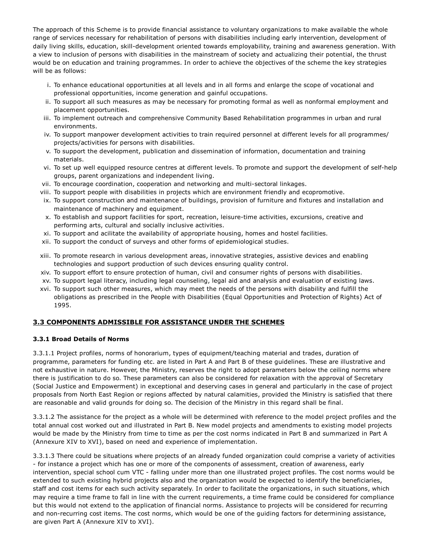The approach of this Scheme is to provide financial assistance to voluntary organizations to make available the whole range of services necessary for rehabilitation of persons with disabilities including early intervention, development of daily living skills, education, skill-development oriented towards employability, training and awareness generation. With a view to inclusion of persons with disabilities in the mainstream of society and actualizing their potential, the thrust would be on education and training programmes. In order to achieve the objectives of the scheme the key strategies will be as follows:

- i. To enhance educational opportunities at all levels and in all forms and enlarge the scope of vocational and professional opportunities, income generation and gainful occupations.
- ii. To support all such measures as may be necessary for promoting formal as well as nonformal employment and placement opportunities.
- iii. To implement outreach and comprehensive Community Based Rehabilitation programmes in urban and rural environments.
- iv. To support manpower development activities to train required personnel at different levels for all programmes/ projects/activities for persons with disabilities.
- v. To support the development, publication and dissemination of information, documentation and training materials.
- vi. To set up well equipped resource centres at different levels. To promote and support the development of self-help groups, parent organizations and independent living.
- vii. To encourage coordination, cooperation and networking and multi-sectoral linkages.
- viii. To support people with disabilities in projects which are environment friendly and ecopromotive.
- ix. To support construction and maintenance of buildings, provision of furniture and fixtures and installation and maintenance of machinery and equipment.
- x. To establish and support facilities for sport, recreation, leisure-time activities, excursions, creative and performing arts, cultural and socially inclusive activities.
- xi. To support and acilitate the availability of appropriate housing, homes and hostel facilities.
- xii. To support the conduct of surveys and other forms of epidemiological studies.
- xiii. To promote research in various development areas, innovative strategies, assistive devices and enabling technologies and support production of such devices ensuring quality control.
- xiv. To support effort to ensure protection of human, civil and consumer rights of persons with disabilities.
- xv. To support legal literacy, including legal counseling, legal aid and analysis and evaluation of existing laws.
- xvi. To support such other measures, which may meet the needs of the persons with disability and fulfill the obligations as prescribed in the People with Disabilities (Equal Opportunities and Protection of Rights) Act of 1995.

# **3.3 COMPONENTS ADMISSIBLE FOR ASSISTANCE UNDER THE SCHEMES**

# **3.3.1 Broad Details of Norms**

3.3.1.1 Project profiles, norms of honorarium, types of equipment/teaching material and trades, duration of programme, parameters for funding etc. are listed in Part A and Part B of these guidelines. These are illustrative and not exhaustive in nature. However, the Ministry, reserves the right to adopt parameters below the ceiling norms where there is justification to do so. These parameters can also be considered for relaxation with the approval of Secretary (Social Justice and Empowerment) in exceptional and deserving cases in general and particularly in the case of project proposals from North East Region or regions affected by natural calamities, provided the Ministry is satisfied that there are reasonable and valid grounds for doing so. The decision of the Ministry in this regard shall be final.

3.3.1.2 The assistance for the project as a whole will be determined with reference to the model project profiles and the total annual cost worked out and illustrated in Part B. New model projects and amendments to existing model projects would be made by the Ministry from time to time as per the cost norms indicated in Part B and summarized in Part A (Annexure XIV to XVI), based on need and experience of implementation.

3.3.1.3 There could be situations where projects of an already funded organization could comprise a variety of activities - for instance a project which has one or more of the components of assessment, creation of awareness, early intervention, special school cum VTC - falling under more than one illustrated project profiles. The cost norms would be extended to such existing hybrid projects also and the organization would be expected to identify the beneficiaries, staff and cost items for each such activity separately. In order to facilitate the organizations, in such situations, which may require a time frame to fall in line with the current requirements, a time frame could be considered for compliance but this would not extend to the application of financial norms. Assistance to projects will be considered for recurring and non-recurring cost items. The cost norms, which would be one of the guiding factors for determining assistance, are given Part A (Annexure XIV to XVI).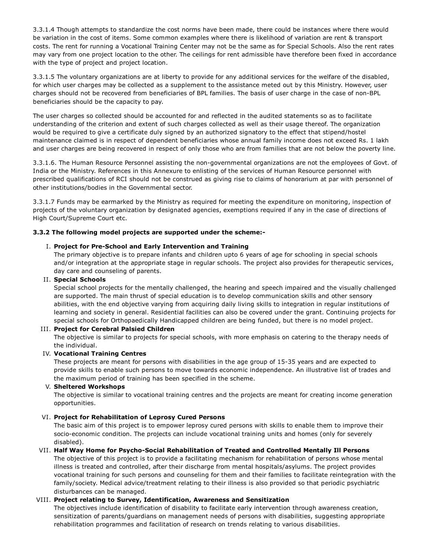3.3.1.4 Though attempts to standardize the cost norms have been made, there could be instances where there would be variation in the cost of items. Some common examples where there is likelihood of variation are rent & transport costs. The rent for running a Vocational Training Center may not be the same as for Special Schools. Also the rent rates may vary from one project location to the other. The ceilings for rent admissible have therefore been fixed in accordance with the type of project and project location.

3.3.1.5 The voluntary organizations are at liberty to provide for any additional services for the welfare of the disabled, for which user charges may be collected as a supplement to the assistance meted out by this Ministry. However, user charges should not be recovered from beneficiaries of BPL families. The basis of user charge in the case of non-BPL beneficiaries should be the capacity to pay.

The user charges so collected should be accounted for and reflected in the audited statements so as to facilitate understanding of the criterion and extent of such charges collected as well as their usage thereof. The organization would be required to give a certificate duly signed by an authorized signatory to the effect that stipend/hostel maintenance claimed is in respect of dependent beneficiaries whose annual family income does not exceed Rs. 1 lakh and user charges are being recovered in respect of only those who are from families that are not below the poverty line.

3.3.1.6. The Human Resource Personnel assisting the non-governmental organizations are not the employees of Govt. of India or the Ministry. References in this Annexure to enlisting of the services of Human Resource personnel with prescribed qualifications of RCI should not be construed as giving rise to claims of honorarium at par with personnel of other institutions/bodies in the Governmental sector.

3.3.1.7 Funds may be earmarked by the Ministry as required for meeting the expenditure on monitoring, inspection of projects of the voluntary organization by designated agencies, exemptions required if any in the case of directions of High Court/Supreme Court etc.

#### **3.3.2 The following model projects are supported under the scheme:-**

#### **Project for Pre-School and Early Intervention and Training** I.

The primary objective is to prepare infants and children upto 6 years of age for schooling in special schools and/or integration at the appropriate stage in regular schools. The project also provides for therapeutic services, day care and counseling of parents.

#### **Special Schools** II.

Special school projects for the mentally challenged, the hearing and speech impaired and the visually challenged are supported. The main thrust of special education is to develop communication skills and other sensory abilities, with the end objective varying from acquiring daily living skills to integration in regular institutions of learning and society in general. Residential facilities can also be covered under the grant. Continuing projects for special schools for Orthopaedically Handicapped children are being funded, but there is no model project.

#### **Project for Cerebral Palsied Children** III.

The objective is similar to projects for special schools, with more emphasis on catering to the therapy needs of the individual.

#### **IV. Vocational Training Centres**

These projects are meant for persons with disabilities in the age group of 15-35 years and are expected to provide skills to enable such persons to move towards economic independence. An illustrative list of trades and the maximum period of training has been specified in the scheme.

#### **Sheltered Workshops** V.

The objective is similar to vocational training centres and the projects are meant for creating income generation opportunities.

#### **Project for Rehabilitation of Leprosy Cured Persons** VI.

The basic aim of this project is to empower leprosy cured persons with skills to enable them to improve their socio-economic condition. The projects can include vocational training units and homes (only for severely disabled).

#### **Half Way Home for Psycho-Social Rehabilitation of Treated and Controlled Mentally Ill Persons** VII.

The objective of this project is to provide a facilitating mechanism for rehabilitation of persons whose mental illness is treated and controlled, after their discharge from mental hospitals/asylums. The project provides vocational training for such persons and counseling for them and their families to facilitate reintegration with the family/society. Medical advice/treatment relating to their illness is also provided so that periodic psychiatric disturbances can be managed.

#### **Project relating to Survey, Identification, Awareness and Sensitization** VIII.

The objectives include identification of disability to facilitate early intervention through awareness creation, sensitization of parents/guardians on management needs of persons with disabilities, suggesting appropriate rehabilitation programmes and facilitation of research on trends relating to various disabilities.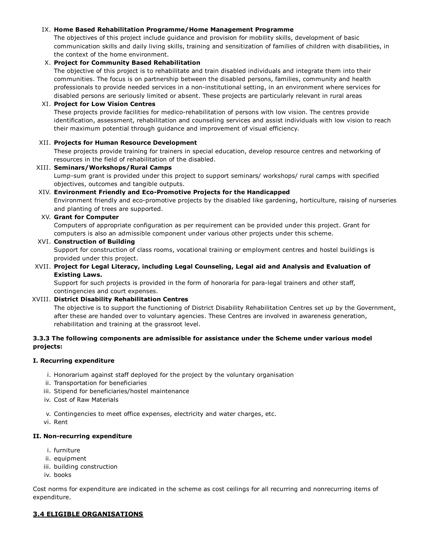# **Home Based Rehabilitation Programme/Home Management Programme** IX.

The objectives of this project include guidance and provision for mobility skills, development of basic communication skills and daily living skills, training and sensitization of families of children with disabilities, in the context of the home environment.

### **Project for Community Based Rehabilitation** X.

The objective of this project is to rehabilitate and train disabled individuals and integrate them into their communities. The focus is on partnership between the disabled persons, families, community and health professionals to provide needed services in a non-institutional setting, in an environment where services for disabled persons are seriously limited or absent. These projects are particularly relevant in rural areas

### **Project for Low Vision Centres** XI.

These projects provide facilities for medico-rehabilitation of persons with low vision. The centres provide identification, assessment, rehabilitation and counseling services and assist individuals with low vision to reach their maximum potential through guidance and improvement of visual efficiency.

### **Projects for Human Resource Development** XII.

These projects provide training for trainers in special education, develop resource centres and networking of resources in the field of rehabilitation of the disabled.

**Seminars/Workshops/Rural Camps** XIII. Lump-sum grant is provided under this project to support seminars/ workshops/ rural camps with specified objectives, outcomes and tangible outputs.

### **Environment Friendly and Eco-Promotive Projects for the Handicapped** XIV.

Environment friendly and eco-promotive projects by the disabled like gardening, horticulture, raising of nurseries and planting of trees are supported.

### **Grant for Computer** XV.

Computers of appropriate configuration as per requirement can be provided under this project. Grant for computers is also an admissible component under various other projects under this scheme.

#### **Construction of Building** XVI.

Support for construction of class rooms, vocational training or employment centres and hostel buildings is provided under this project.

### **Project for Legal Literacy, including Legal Counseling, Legal aid and Analysis and Evaluation of** XVII. **Existing Laws.**

Support for such projects is provided in the form of honoraria for para-legal trainers and other staff, contingencies and court expenses.

# **District Disability Rehabilitation Centres** XVIII.

The objective is to support the functioning of District Disability Rehabilitation Centres set up by the Government, after these are handed over to voluntary agencies. These Centres are involved in awareness generation, rehabilitation and training at the grassroot level.

### **3.3.3 The following components are admissible for assistance under the Scheme under various model projects:**

#### **I. Recurring expenditure**

- i. Honorarium against staff deployed for the project by the voluntary organisation
- ii. Transportation for beneficiaries
- iii. Stipend for beneficiaries/hostel maintenance
- iv. Cost of Raw Materials
- v. Contingencies to meet office expenses, electricity and water charges, etc.
- vi. Rent

#### **II. Non-recurring expenditure**

- i. furniture
- ii. equipment
- iii. building construction
- iv. books

Cost norms for expenditure are indicated in the scheme as cost ceilings for all recurring and nonrecurring items of expenditure.

# **3.4 ELIGIBLE ORGANISATIONS**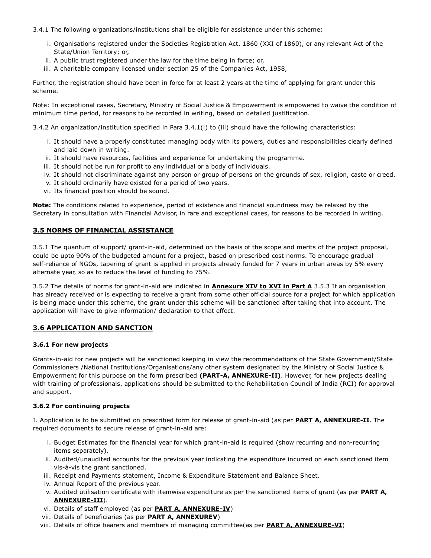3.4.1 The following organizations/institutions shall be eligible for assistance under this scheme:

- i. Organisations registered under the Societies Registration Act, 1860 (XXI of 1860), or any relevant Act of the State/Union Territory; or,
- ii. A public trust registered under the law for the time being in force; or,
- iii. A charitable company licensed under section 25 of the Companies Act, 1958,

Further, the registration should have been in force for at least 2 years at the time of applying for grant under this scheme.

Note: In exceptional cases, Secretary, Ministry of Social Justice & Empowerment is empowered to waive the condition of minimum time period, for reasons to be recorded in writing, based on detailed justification.

3.4.2 An organization/institution specified in Para 3.4.1(i) to (iii) should have the following characteristics:

- i. It should have a properly constituted managing body with its powers, duties and responsibilities clearly defined and laid down in writing.
- ii. It should have resources, facilities and experience for undertaking the programme.
- iii. It should not be run for profit to any individual or a body of individuals.
- iv. It should not discriminate against any person or group of persons on the grounds of sex, religion, caste or creed.
- v. It should ordinarily have existed for a period of two years.
- vi. Its financial position should be sound.

**Note:** The conditions related to experience, period of existence and financial soundness may be relaxed by the Secretary in consultation with Financial Advisor, in rare and exceptional cases, for reasons to be recorded in writing.

# **3.5 NORMS OF FINANCIAL ASSISTANCE**

3.5.1 The quantum of support/ grant-in-aid, determined on the basis of the scope and merits of the project proposal, could be upto 90% of the budgeted amount for a project, based on prescribed cost norms. To encourage gradual self-reliance of NGOs, tapering of grant is applied in projects already funded for 7 years in urban areas by 5% every alternate year, so as to reduce the level of funding to 75%.

3.5.2 The details of norms for grant-in-aid are indicated in **Annexure XIV to XVI in Part A** 3.5.3 If an organisation has already received or is expecting to receive a grant from some other official source for a project for which application is being made under this scheme, the grant under this scheme will be sanctioned after taking that into account. The application will have to give information/ declaration to that effect.

# **3.6 APPLICATION AND SANCTION**

#### **3.6.1 For new projects**

Grants-in-aid for new projects will be sanctioned keeping in view the recommendations of the State Government/State Commissioners /National Institutions/Organisations/any other system designated by the Ministry of Social Justice & Empowerment for this purpose on the form prescribed **(PART-A, ANNEXURE-II)**. However, for new projects dealing with training of professionals, applications should be submitted to the Rehabilitation Council of India (RCI) for approval and support.

#### **3.6.2 For continuing projects**

I. Application is to be submitted on prescribed form for release of grant-in-aid (as per **PART A, ANNEXURE-II**. The required documents to secure release of grant-in-aid are:

- i. Budget Estimates for the financial year for which grant-in-aid is required (show recurring and non-recurring items separately).
- ii. Audited/unaudited accounts for the previous year indicating the expenditure incurred on each sanctioned item vis-à-vis the grant sanctioned.
- iii. Receipt and Payments statement, Income & Expenditure Statement and Balance Sheet.
- iv. Annual Report of the previous year.
- v. Audited utilisation certificate with itemwise expenditure as per the sanctioned items of grant (as per **PART A, ANNEXURE-III**).
- vi. Details of staff employed (as per **PART A, ANNEXURE-IV**)
- vii. Details of beneficiaries (as per **PART A, ANNEXUREV**)
- viii. Details of office bearers and members of managing committee(as per **PART A, ANNEXURE-VI**)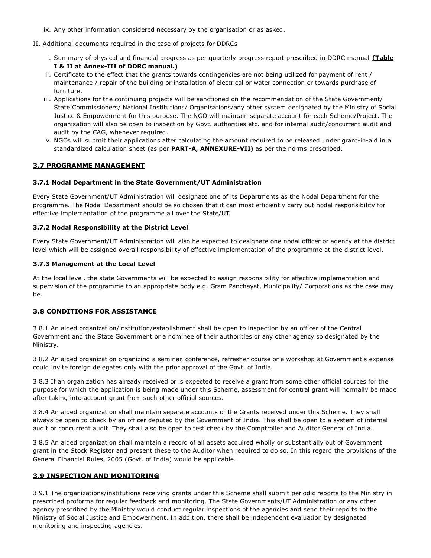- ix. Any other information considered necessary by the organisation or as asked.
- II. Additional documents required in the case of projects for DDRCs
	- i. Summary of physical and financial progress as per quarterly progress report prescribed in DDRC manual (Table **I & II at Annex-III of DDRC manual.)**
	- ii. Certificate to the effect that the grants towards contingencies are not being utilized for payment of rent / maintenance / repair of the building or installation of electrical or water connection or towards purchase of furniture.
	- iii. Applications for the continuing projects will be sanctioned on the recommendation of the State Government/ State Commissioners/ National Institutions/ Organisations/any other system designated by the Ministry of Social Justice & Empowerment for this purpose. The NGO will maintain separate account for each Scheme/Project. The organisation will also be open to inspection by Govt. authorities etc. and for internal audit/concurrent audit and audit by the CAG, whenever required.
	- iv. NGOs will submit their applications after calculating the amount required to be released under grant-in-aid in a standardized calculation sheet (as per **PART-A, ANNEXURE-VII**) as per the norms prescribed.

# **3.7 PROGRAMME MANAGEMENT**

# **3.7.1 Nodal Department in the State Government/UT Administration**

Every State Government/UT Administration will designate one of its Departments as the Nodal Department for the programme. The Nodal Department should be so chosen that it can most efficiently carry out nodal responsibility for effective implementation of the programme all over the State/UT.

# **3.7.2 Nodal Responsibility at the District Level**

Every State Government/UT Administration will also be expected to designate one nodal officer or agency at the district level which will be assigned overall responsibility of effective implementation of the programme at the district level.

# **3.7.3 Management at the Local Level**

At the local level, the state Governments will be expected to assign responsibility for effective implementation and supervision of the programme to an appropriate body e.g. Gram Panchayat, Municipality/ Corporations as the case may be.

# **3.8 CONDITIONS FOR ASSISTANCE**

3.8.1 An aided organization/institution/establishment shall be open to inspection by an officer of the Central Government and the State Government or a nominee of their authorities or any other agency so designated by the Ministry.

3.8.2 An aided organization organizing a seminar, conference, refresher course or a workshop at Government's expense could invite foreign delegates only with the prior approval of the Govt. of India.

3.8.3 If an organization has already received or is expected to receive a grant from some other official sources for the purpose for which the application is being made under this Scheme, assessment for central grant will normally be made after taking into account grant from such other official sources.

3.8.4 An aided organization shall maintain separate accounts of the Grants received under this Scheme. They shall always be open to check by an officer deputed by the Government of India. This shall be open to a system of internal audit or concurrent audit. They shall also be open to test check by the Comptroller and Auditor General of India.

3.8.5 An aided organization shall maintain a record of all assets acquired wholly or substantially out of Government grant in the Stock Register and present these to the Auditor when required to do so. In this regard the provisions of the General Financial Rules, 2005 (Govt. of India) would be applicable.

# **3.9 INSPECTION AND MONITORING**

3.9.1 The organizations/institutions receiving grants under this Scheme shall submit periodic reports to the Ministry in prescribed proforma for regular feedback and monitoring. The State Governments/UT Administration or any other agency prescribed by the Ministry would conduct regular inspections of the agencies and send their reports to the Ministry of Social Justice and Empowerment. In addition, there shall be independent evaluation by designated monitoring and inspecting agencies.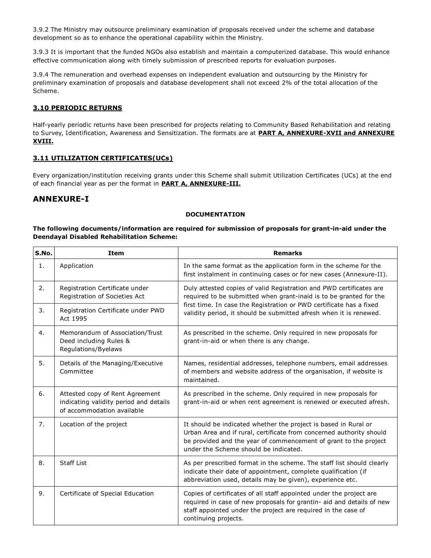3.9.2 The Ministry may outsource preliminary examination of proposals received under the scheme and database development so as to enhance the operational capability within the Ministry.

3.9.3 It is important that the funded NGOs also establish and maintain a computerized database. This would enhance effective communication along with timely submission of prescribed reports for evaluation purposes.

3.9.4 The remuneration and overhead expenses on independent evaluation and outsourcing by the Ministry for preliminary examination of proposals and database development shall not exceed 2% of the total allocation of the Scheme.

### **3.10 PERIODIC RETURNS**

Half-yearly periodic returns have been prescribed for projects relating to Community Based Rehabilitation and relating to Survey, Identification, Awareness and Sensitization. The formats are at **PART A, ANNEXURE-XVII and ANNEXURE XVIII.**

# **3.11 UTILIZATION CERTIFICATES(UCs)**

Every organization/institution receiving grants under this Scheme shall submit Utilization Certificates (UCs) at the end of each financial year as per the format in **PART A, ANNEXURE-III.**

# **ANNEXURE-I**

#### **DOCUMENTATION**

#### **The following documents/information are required for submission of proposals for grant-in-aid under the Deendayal Disabled Rehabilitation Scheme:**

| S.No.          | <b>Item</b>                                                                                             | <b>Remarks</b>                                                                                                                                                                                                                                       |
|----------------|---------------------------------------------------------------------------------------------------------|------------------------------------------------------------------------------------------------------------------------------------------------------------------------------------------------------------------------------------------------------|
| $\mathbf{1}$ . | Application                                                                                             | In the same format as the application form in the scheme for the<br>first instalment in continuing cases or for new cases (Annexure-II).                                                                                                             |
| 2.             | Registration Certificate under<br>Registration of Societies Act                                         | Duly attested copies of valid Registration and PWD certificates are<br>required to be submitted when grant-inaid is to be granted for the                                                                                                            |
| 3.             | Registration Certificate under PWD<br>Act 1995                                                          | first time. In case the Registration or PWD certificate has a fixed<br>validity period, it should be submitted afresh when it is renewed.                                                                                                            |
| 4.             | Memorandum of Association/Trust<br>Deed including Rules &<br>Regulations/Byelaws                        | As prescribed in the scheme. Only required in new proposals for<br>grant-in-aid or when there is any change.                                                                                                                                         |
| 5.             | Details of the Managing/Executive<br>Committee                                                          | Names, residential addresses, telephone numbers, email addresses<br>of members and website address of the organisation, if website is<br>maintained.                                                                                                 |
| 6.             | Attested copy of Rent Agreement<br>indicating validity period and details<br>of accommodation available | As prescribed in the scheme. Only required in new proposals for<br>grant-in-aid or when rent agreement is renewed or executed afresh.                                                                                                                |
| 7.             | Location of the project                                                                                 | It should be indicated whether the project is based in Rural or<br>Urban Area and if rural, certificate from concerned authority should<br>be provided and the year of commencement of grant to the project<br>under the Scheme should be indicated. |
| 8.             | <b>Staff List</b>                                                                                       | As per prescribed format in the scheme. The staff list should clearly<br>indicate their date of appointment, complete qualification (if<br>abbreviation used, details may be given), experience etc.                                                 |
| 9.             | Certificate of Special Education                                                                        | Copies of certificates of all staff appointed under the project are<br>required in case of new proposals for grantin- aid and details of new<br>staff appointed under the project are required in the case of<br>continuing projects.                |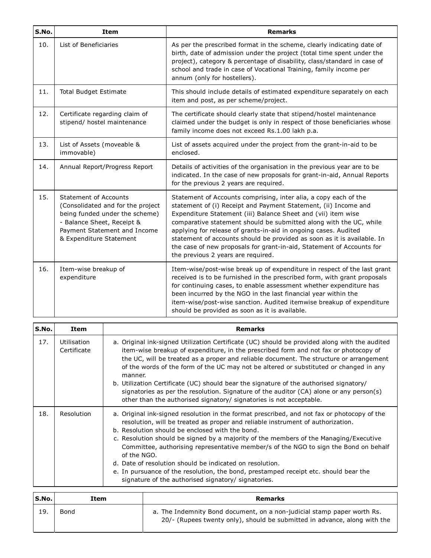| S.No. | <b>Item</b>                                                                                                                                                                           | <b>Remarks</b>                                                                                                                                                                                                                                                                                                                                                                                                                                                                                                                          |
|-------|---------------------------------------------------------------------------------------------------------------------------------------------------------------------------------------|-----------------------------------------------------------------------------------------------------------------------------------------------------------------------------------------------------------------------------------------------------------------------------------------------------------------------------------------------------------------------------------------------------------------------------------------------------------------------------------------------------------------------------------------|
| 10.   | List of Beneficiaries                                                                                                                                                                 | As per the prescribed format in the scheme, clearly indicating date of<br>birth, date of admission under the project (total time spent under the<br>project), category & percentage of disability, class/standard in case of<br>school and trade in case of Vocational Training, family income per<br>annum (only for hostellers).                                                                                                                                                                                                      |
| 11.   | <b>Total Budget Estimate</b>                                                                                                                                                          | This should include details of estimated expenditure separately on each<br>item and post, as per scheme/project.                                                                                                                                                                                                                                                                                                                                                                                                                        |
| 12.   | Certificate regarding claim of<br>stipend/ hostel maintenance                                                                                                                         | The certificate should clearly state that stipend/hostel maintenance<br>claimed under the budget is only in respect of those beneficiaries whose<br>family income does not exceed Rs.1.00 lakh p.a.                                                                                                                                                                                                                                                                                                                                     |
| 13.   | List of Assets (moveable &<br>immovable)                                                                                                                                              | List of assets acquired under the project from the grant-in-aid to be<br>enclosed.                                                                                                                                                                                                                                                                                                                                                                                                                                                      |
| 14.   | Annual Report/Progress Report                                                                                                                                                         | Details of activities of the organisation in the previous year are to be<br>indicated. In the case of new proposals for grant-in-aid, Annual Reports<br>for the previous 2 years are required.                                                                                                                                                                                                                                                                                                                                          |
| 15.   | Statement of Accounts<br>(Consolidated and for the project<br>being funded under the scheme)<br>- Balance Sheet, Receipt &<br>Payment Statement and Income<br>& Expenditure Statement | Statement of Accounts comprising, inter alia, a copy each of the<br>statement of (i) Receipt and Payment Statement, (ii) Income and<br>Expenditure Statement (iii) Balance Sheet and (vii) item wise<br>comparative statement should be submitted along with the UC, while<br>applying for release of grants-in-aid in ongoing cases. Audited<br>statement of accounts should be provided as soon as it is available. In<br>the case of new proposals for grant-in-aid, Statement of Accounts for<br>the previous 2 years are required. |
| 16.   | Item-wise breakup of<br>expenditure                                                                                                                                                   | Item-wise/post-wise break up of expenditure in respect of the last grant<br>received is to be furnished in the prescribed form, with grant proposals<br>for continuing cases, to enable assessment whether expenditure has<br>been incurred by the NGO in the last financial year within the<br>item-wise/post-wise sanction. Audited itemwise breakup of expenditure<br>should be provided as soon as it is available.                                                                                                                 |

| S.No. | Item                       | <b>Remarks</b>                                                                                                                                                                                                                                                                                                                                                                                                                                                                                                                                                                                                                                      |
|-------|----------------------------|-----------------------------------------------------------------------------------------------------------------------------------------------------------------------------------------------------------------------------------------------------------------------------------------------------------------------------------------------------------------------------------------------------------------------------------------------------------------------------------------------------------------------------------------------------------------------------------------------------------------------------------------------------|
| 17.   | Utilisation<br>Certificate | a. Original ink-signed Utilization Certificate (UC) should be provided along with the audited<br>item-wise breakup of expenditure, in the prescribed form and not fax or photocopy of<br>the UC, will be treated as a proper and reliable document. The structure or arrangement<br>of the words of the form of the UC may not be altered or substituted or changed in any<br>manner.<br>b. Utilization Certificate (UC) should bear the signature of the authorised signatory/<br>signatories as per the resolution. Signature of the auditor $(CA)$ alone or any person(s)<br>other than the authorised signatory/ signatories is not acceptable. |
| 18.   | Resolution                 | a. Original ink-signed resolution in the format prescribed, and not fax or photocopy of the<br>resolution, will be treated as proper and reliable instrument of authorization.<br>b. Resolution should be enclosed with the bond.<br>c. Resolution should be signed by a majority of the members of the Managing/Executive<br>Committee, authorising representative member/s of the NGO to sign the Bond on behalf<br>of the NGO.<br>d. Date of resolution should be indicated on resolution.<br>e. In pursuance of the resolution, the bond, prestamped receipt etc. should bear the<br>signature of the authorised signatory/ signatories.        |

| S.No. | Item | Remarks                                                                                                                                              |
|-------|------|------------------------------------------------------------------------------------------------------------------------------------------------------|
| 19.   | Bond | a. The Indemnity Bond document, on a non-judicial stamp paper worth Rs.<br>20/- (Rupees twenty only), should be submitted in advance, along with the |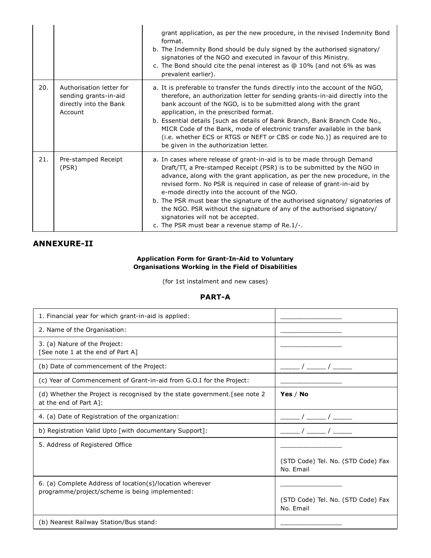|     |                                                                                        | grant application, as per the new procedure, in the revised Indemnity Bond<br>format.<br>b. The Indemnity Bond should be duly signed by the authorised signatory/<br>signatories of the NGO and executed in favour of this Ministry.<br>c. The Bond should cite the penal interest as $@10\%$ (and not 6% as was<br>prevalent earlier).                                                                                                                                                                                                                                                                       |
|-----|----------------------------------------------------------------------------------------|---------------------------------------------------------------------------------------------------------------------------------------------------------------------------------------------------------------------------------------------------------------------------------------------------------------------------------------------------------------------------------------------------------------------------------------------------------------------------------------------------------------------------------------------------------------------------------------------------------------|
| 20. | Authorisation letter for<br>sending grants-in-aid<br>directly into the Bank<br>Account | a. It is preferable to transfer the funds directly into the account of the NGO,<br>therefore, an authorization letter for sending grants-in-aid directly into the<br>bank account of the NGO, is to be submitted along with the grant<br>application, in the prescribed format.<br>b. Essential details [such as details of Bank Branch, Bank Branch Code No.,<br>MICR Code of the Bank, mode of electronic transfer available in the bank<br>(i.e. whether ECS or RTGS or NEFT or CBS or code No.)] as required are to<br>be given in the authorization letter.                                              |
| 21. | Pre-stamped Receipt<br>(PSR)                                                           | a. In cases where release of grant-in-aid is to be made through Demand<br>Draft/TT, a Pre-stamped Receipt (PSR) is to be submitted by the NGO in<br>advance, along with the grant application, as per the new procedure, in the<br>revised form. No PSR is required in case of release of grant-in-aid by<br>e-mode directly into the account of the NGO.<br>b. The PSR must bear the signature of the authorised signatory/ signatories of<br>the NGO. PSR without the signature of any of the authorised signatory/<br>signatories will not be accepted.<br>c. The PSR must bear a revenue stamp of Re.1/-. |

# **ANNEXURE-II**

# **Application Form for Grant-In-Aid to Voluntary Organisations Working in the Field of Disabilities**

(for 1st instalment and new cases)

# **PART-A**

| 1. Financial year for which grant-in-aid is applied:                                                       |                                                 |
|------------------------------------------------------------------------------------------------------------|-------------------------------------------------|
| 2. Name of the Organisation:                                                                               |                                                 |
| 3. (a) Nature of the Project:<br>[See note 1 at the end of Part A]                                         |                                                 |
| (b) Date of commencement of the Project:                                                                   |                                                 |
| (c) Year of Commencement of Grant-in-aid from G.O.I for the Project:                                       |                                                 |
| (d) Whether the Project is recognised by the state government. [see note 2<br>at the end of Part A]:       | Yes / No                                        |
| 4. (a) Date of Registration of the organization:                                                           |                                                 |
| b) Registration Valid Upto [with documentary Support]:                                                     |                                                 |
| 5. Address of Registered Office                                                                            |                                                 |
|                                                                                                            | (STD Code) Tel. No. (STD Code) Fax<br>No. Email |
| 6. (a) Complete Address of location(s)/location wherever<br>programme/project/scheme is being implemented: | (STD Code) Tel. No. (STD Code) Fax<br>No. Email |
| (b) Nearest Railway Station/Bus stand:                                                                     |                                                 |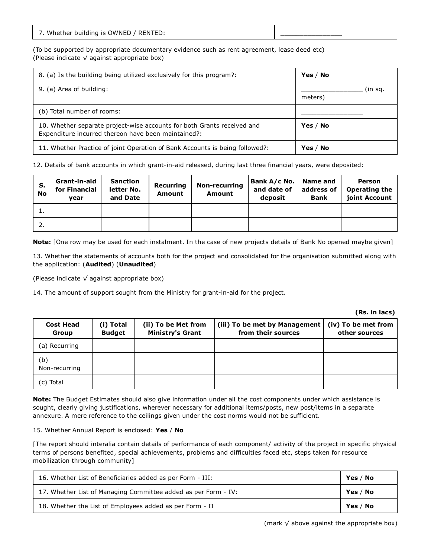(To be supported by appropriate documentary evidence such as rent agreement, lease deed etc) (Please indicate √ against appropriate box)

| 8. (a) Is the building being utilized exclusively for this program?:                                                           | Yes / No           |
|--------------------------------------------------------------------------------------------------------------------------------|--------------------|
| 9. (a) Area of building:                                                                                                       | (in sq.<br>meters) |
| (b) Total number of rooms:                                                                                                     |                    |
| 10. Whether separate project-wise accounts for both Grants received and<br>Expenditure incurred thereon have been maintained?: | Yes / No           |
| 11. Whether Practice of joint Operation of Bank Accounts is being followed?:                                                   | Yes / No           |

12. Details of bank accounts in which grant-in-aid released, during last three financial years, were deposited:

| S.<br><b>No</b> | Grant-in-aid<br>for Financial<br>vear | <b>Sanction</b><br>letter No.<br>and Date | Recurring<br><b>Amount</b> | Non-recurring<br><b>Amount</b> | Bank A/c No.<br>and date of<br>deposit | Name and<br>address of<br><b>Bank</b> | <b>Person</b><br><b>Operating the</b><br>joint Account |  |
|-----------------|---------------------------------------|-------------------------------------------|----------------------------|--------------------------------|----------------------------------------|---------------------------------------|--------------------------------------------------------|--|
| <b>.</b>        |                                       |                                           |                            |                                |                                        |                                       |                                                        |  |
| 2.              |                                       |                                           |                            |                                |                                        |                                       |                                                        |  |

**Note:** [One row may be used for each instalment. In the case of new projects details of Bank No opened maybe given]

13. Whether the statements of accounts both for the project and consolidated for the organisation submitted along with the application: (**Audited**) (**Unaudited**)

(Please indicate  $\sqrt{ }$  against appropriate box)

14. The amount of support sought from the Ministry for grant-in-aid for the project.

**(Rs. in lacs)**

| <b>Cost Head</b><br>Group | (i) Total<br><b>Budget</b> | (ii) To be Met from<br><b>Ministry's Grant</b> | (iii) To be met by Management<br>from their sources | (iv) To be met from<br>other sources |
|---------------------------|----------------------------|------------------------------------------------|-----------------------------------------------------|--------------------------------------|
| (a) Recurring             |                            |                                                |                                                     |                                      |
| (b)<br>Non-recurring      |                            |                                                |                                                     |                                      |
| (c) Total                 |                            |                                                |                                                     |                                      |

**Note:** The Budget Estimates should also give information under all the cost components under which assistance is sought, clearly giving justifications, wherever necessary for additional items/posts, new post/items in a separate annexure. A mere reference to the ceilings given under the cost norms would not be sufficient.

### 15. Whether Annual Report is enclosed: **Yes** / **No**

[The report should interalia contain details of performance of each component/ activity of the project in specific physical terms of persons benefited, special achievements, problems and difficulties faced etc, steps taken for resource mobilization through community]

| 16. Whether List of Beneficiaries added as per Form - III:     | Yes / No |
|----------------------------------------------------------------|----------|
| 17. Whether List of Managing Committee added as per Form - IV: | Yes / No |
| 18. Whether the List of Employees added as per Form - II       | Yes / No |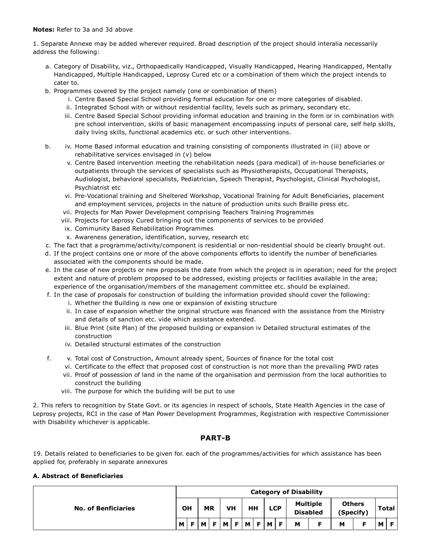#### **Notes:** Refer to 3a and 3d above

1. Separate Annexe may be added wherever required. Broad description of the project should interalia necessarily address the following:

- a. Category of Disability, viz., Orthopaedically Handicapped, Visually Handicapped, Hearing Handicapped, Mentally Handicapped, Multiple Handicapped, Leprosy Cured etc or a combination of them which the project intends to cater to.
- b. Programmes covered by the project namely (one or combination of them)
	- i. Centre Based Special School providing formal education for one or more categories of disabled.
	- ii. Integrated School with or without residential facility, levels such as primary, secondary etc.
	- iii. Centre Based Special School providing informal education and training in the form or in combination with pre school intervention, skills of basic management encompassing inputs of personal care, self help skills, daily living skills, functional academics etc. or such other interventions.
- iv. Home Based informal education and training consisting of components illustrated in (iii) above or rehabilitative services envisaged in (v) below b.
	- v. Centre Based intervention meeting the rehabilitation needs (para medical) of in-house beneficiaries or outpatients through the services of specialists such as Physiotherapists, Occupational Therapists, Audiologist, behavioral specialists, Pediatrician, Speech Therapist, Psychologist, Clinical Psychologist, Psychiatrist etc
	- vi. Pre-Vocational training and Sheltered Workshop, Vocational Training for Adult Beneficiaries, placement and employment services, projects in the nature of production units such Braille press etc.
	- vii. Projects for Man Power Development comprising Teachers Training Programmes
	- viii. Projects for Leprosy Cured bringing out the components of services to be provided
	- ix. Community Based Rehabilitation Programmes
	- x. Awareness generation, identification, survey, research etc
- c. The fact that a programme/activity/component is residential or non-residential should be clearly brought out.
- d. If the project contains one or more of the above components efforts to identify the number of beneficiaries associated with the components should be made.
- e. In the case of new projects or new proposals the date from which the project is in operation; need for the project extent and nature of problem proposed to be addressed, existing projects or facilities available in the area; experience of the organisation/members of the management committee etc. should be explained.
- f. In the case of proposals for construction of building the information provided should cover the following:
	- i. Whether the Building is new one or expansion of existing structure
	- ii. In case of expansion whether the original structure was financed with the assistance from the Ministry and details of sanction etc. vide which assistance extended.
	- iii. Blue Print (site Plan) of the proposed building or expansion iv Detailed structural estimates of the construction
	- iv. Detailed structural estimates of the construction
	- v. Total cost of Construction, Amount already spent, Sources of finance for the total cost
		- vi. Certificate to the effect that proposed cost of construction is not more than the prevailing PWD rates
		- vii. Proof of possession of land in the name of the organisation and permission from the local authorities to construct the building
		- viii. The purpose for which the building will be put to use

2. This refers to recognition by State Govt. or its agencies in respect of schools, State Health Agencies in the case of Leprosy projects, RCI in the case of Man Power Development Programmes, Registration with respective Commissioner with Disability whichever is applicable.

# **PART-B**

19. Details related to beneficiaries to be given for. each of the programmes/activities for which assistance has been applied for, preferably in separate annexures

# **A. Abstract of Beneficiaries**

f.

|                            |   | <b>Category of Disability</b> |                 |  |    |  |    |  |            |     |                                    |  |                            |  |       |  |
|----------------------------|---|-------------------------------|-----------------|--|----|--|----|--|------------|-----|------------------------------------|--|----------------------------|--|-------|--|
| <b>No. of Benficiaries</b> |   |                               | <b>MR</b>       |  | VH |  | HН |  | <b>LCP</b> |     | <b>Multiple</b><br><b>Disabled</b> |  | <b>Others</b><br>(Specify) |  | Total |  |
|                            | м |                               | F M F M F M F M |  |    |  |    |  |            | LE. | M                                  |  | м                          |  | м     |  |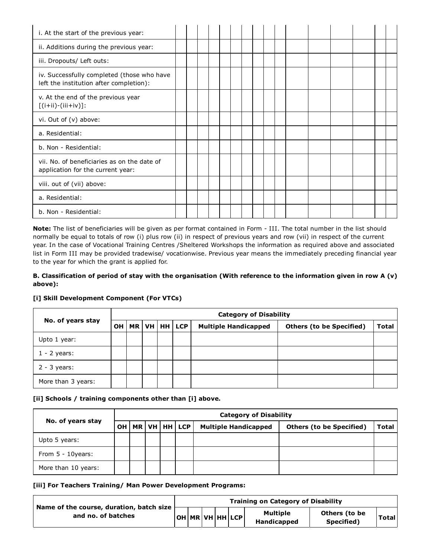| i. At the start of the previous year:                                                 |  |  |  |  |  |  |  |  |
|---------------------------------------------------------------------------------------|--|--|--|--|--|--|--|--|
| ii. Additions during the previous year:                                               |  |  |  |  |  |  |  |  |
| iii. Dropouts/ Left outs:                                                             |  |  |  |  |  |  |  |  |
| iv. Successfully completed (those who have<br>left the institution after completion): |  |  |  |  |  |  |  |  |
| v. At the end of the previous year<br>$[(i+ii)-(iii+iv)]$ :                           |  |  |  |  |  |  |  |  |
| vi. Out of (v) above:                                                                 |  |  |  |  |  |  |  |  |
| a. Residential:                                                                       |  |  |  |  |  |  |  |  |
| b. Non - Residential:                                                                 |  |  |  |  |  |  |  |  |
| vii. No. of beneficiaries as on the date of<br>application for the current year:      |  |  |  |  |  |  |  |  |
| viii. out of (vii) above:                                                             |  |  |  |  |  |  |  |  |
| a. Residential:                                                                       |  |  |  |  |  |  |  |  |
| b. Non - Residential:                                                                 |  |  |  |  |  |  |  |  |

**Note:** The list of beneficiaries will be given as per format contained in Form - III. The total number in the list should normally be equal to totals of row (i) plus row (ii) in respect of previous years and row (vii) in respect of the current year. In the case of Vocational Training Centres /Sheltered Workshops the information as required above and associated list in Form III may be provided tradewise/ vocationwise. Previous year means the immediately preceding financial year to the year for which the grant is applied for.

# **B. Classification of period of stay with the organisation (With reference to the information given in row A (v) above):**

# **[i] Skill Development Component (For VTCs)**

|                    | <b>Category of Disability</b> |           |  |           |  |                             |                                 |              |  |  |  |  |  |  |  |
|--------------------|-------------------------------|-----------|--|-----------|--|-----------------------------|---------------------------------|--------------|--|--|--|--|--|--|--|
| No. of years stay  | <b>OH</b>                     | <b>MR</b> |  | VH HH LCP |  | <b>Multiple Handicapped</b> | <b>Others (to be Specified)</b> | <b>Total</b> |  |  |  |  |  |  |  |
| Upto 1 year:       |                               |           |  |           |  |                             |                                 |              |  |  |  |  |  |  |  |
| $1 - 2$ years:     |                               |           |  |           |  |                             |                                 |              |  |  |  |  |  |  |  |
| $2 - 3$ years:     |                               |           |  |           |  |                             |                                 |              |  |  |  |  |  |  |  |
| More than 3 years: |                               |           |  |           |  |                             |                                 |              |  |  |  |  |  |  |  |

# **[ii] Schools / training components other than [i] above.**

|                      |    | <b>Category of Disability</b> |  |  |                  |                             |                                 |              |  |  |  |  |  |  |  |  |
|----------------------|----|-------------------------------|--|--|------------------|-----------------------------|---------------------------------|--------------|--|--|--|--|--|--|--|--|
| No. of years stay    | OН |                               |  |  | $MR$ VH $HH$ LCP | <b>Multiple Handicapped</b> | <b>Others (to be Specified)</b> | <b>Total</b> |  |  |  |  |  |  |  |  |
| Upto 5 years:        |    |                               |  |  |                  |                             |                                 |              |  |  |  |  |  |  |  |  |
| From $5 - 10$ years: |    |                               |  |  |                  |                             |                                 |              |  |  |  |  |  |  |  |  |
| More than 10 years:  |    |                               |  |  |                  |                             |                                 |              |  |  |  |  |  |  |  |  |

**[iii] For Teachers Training/ Man Power Development Programs:**

|                                                                |  |  |                 | <b>Training on Category of Disability</b> |                             |              |
|----------------------------------------------------------------|--|--|-----------------|-------------------------------------------|-----------------------------|--------------|
| Name of the course, duration, batch size<br>and no. of batches |  |  | OH MR VH HH LCP | <b>Multiple</b><br><b>Handicapped</b>     | Others (to be<br>Specified) | <b>Total</b> |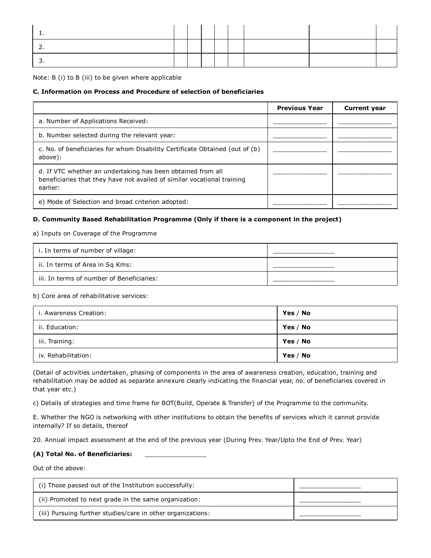Note: B (i) to B (iii) to be given where applicable

# **C. Information on Process and Procedure of selection of beneficiaries**

|                                                                                                                                                    | <b>Previous Year</b> | <b>Current year</b> |
|----------------------------------------------------------------------------------------------------------------------------------------------------|----------------------|---------------------|
| a. Number of Applications Received:                                                                                                                |                      |                     |
| b. Number selected during the relevant year:                                                                                                       |                      |                     |
| c. No. of beneficiaries for whom Disability Certificate Obtained (out of (b)<br>above):                                                            |                      |                     |
| d. If VTC whether an undertaking has been obtained from all<br>beneficiaries that they have not availed of similar vocational training<br>earlier: |                      |                     |
| e) Mode of Selection and broad criterion adopted:                                                                                                  |                      |                     |

# **D. Community Based Rehabilitation Programme (Only if there is a component in the project)**

#### a) Inputs on Coverage of the Programme

| i. In terms of number of village:         |  |
|-------------------------------------------|--|
| ii. In terms of Area in Sq Kms:           |  |
| iii. In terms of number of Beneficiaries: |  |

#### b) Core area of rehabilitative services:

| i. Awareness Creation: | Yes $/$ No |
|------------------------|------------|
| ii. Education:         | Yes $/$ No |
| iii. Training:         | Yes $/$ No |
| iv. Rehabilitation:    | Yes $/$ No |

(Detail of activities undertaken, phasing of components in the area of awareness creation, education, training and rehabilitation may be added as separate annexure clearly indicating the financial year, no. of beneficiaries covered in that year etc.)

c) Details of strategies and time frame for BOT(Build, Operate & Transfer) of the Programme to the community.

E. Whether the NGO is networking with other institutions to obtain the benefits of services which it cannot provide internally? If so details, thereof

20. Annual impact assessment at the end of the previous year (During Prev. Year/Upto the End of Prev. Year)

#### **(A) Total No. of Beneficiaries:** \_\_\_\_\_\_\_\_\_\_\_\_\_\_\_\_

Out of the above:

| (i) Those passed out of the Institution successfully:       |  |
|-------------------------------------------------------------|--|
| (ii) Promoted to next grade in the same organization:       |  |
| (iii) Pursuing further studies/care in other organizations: |  |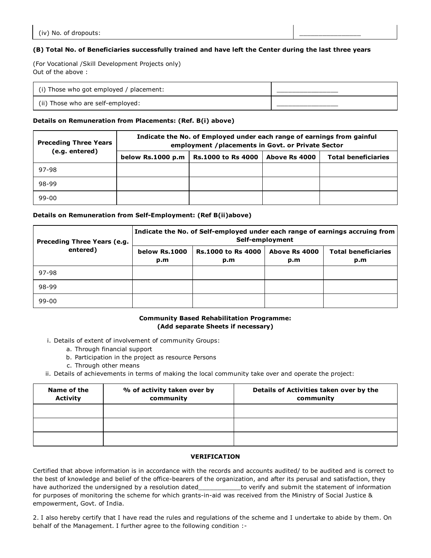### **(B) Total No. of Beneficiaries successfully trained and have left the Center during the last three years**

(For Vocational /Skill Development Projects only) Out of the above :

| (i) Those who got employed / placement: |  |
|-----------------------------------------|--|
| (ii) Those who are self-employed:       |  |

#### **Details on Remuneration from Placements: (Ref. B(i) above)**

| <b>Preceding Three Years</b> | Indicate the No. of Employed under each range of earnings from gainful<br>employment / placements in Govt. or Private Sector |               |                            |  |  |  |  |
|------------------------------|------------------------------------------------------------------------------------------------------------------------------|---------------|----------------------------|--|--|--|--|
| (e.g. entered)               | below Rs.1000 p.m                                                                                                            | Above Rs 4000 | <b>Total beneficiaries</b> |  |  |  |  |
| $97-98$                      |                                                                                                                              |               |                            |  |  |  |  |
| 98-99                        |                                                                                                                              |               |                            |  |  |  |  |
| $99 - 00$                    |                                                                                                                              |               |                            |  |  |  |  |

#### **Details on Remuneration from Self-Employment: (Ref B(ii)above)**

| Preceding Three Years (e.g. | Indicate the No. of Self-employed under each range of earnings accruing from<br>Self-employment |                                  |                      |                                   |  |  |
|-----------------------------|-------------------------------------------------------------------------------------------------|----------------------------------|----------------------|-----------------------------------|--|--|
| entered)                    | <b>below Rs.1000</b><br>p.m                                                                     | <b>Rs.1000 to Rs 4000</b><br>p.m | Above Rs 4000<br>p.m | <b>Total beneficiaries</b><br>p.m |  |  |
| 97-98                       |                                                                                                 |                                  |                      |                                   |  |  |
| 98-99                       |                                                                                                 |                                  |                      |                                   |  |  |
| $99 - 00$                   |                                                                                                 |                                  |                      |                                   |  |  |

# **Community Based Rehabilitation Programme: (Add separate Sheets if necessary)**

- i. Details of extent of involvement of community Groups:
	- a. Through financial support
	- b. Participation in the project as resource Persons
	- c. Through other means
- ii. Details of achievements in terms of making the local community take over and operate the project:

| Name of the<br><b>Activity</b> | % of activity taken over by<br>community | Details of Activities taken over by the<br>community |
|--------------------------------|------------------------------------------|------------------------------------------------------|
|                                |                                          |                                                      |
|                                |                                          |                                                      |
|                                |                                          |                                                      |

#### **VERIFICATION**

Certified that above information is in accordance with the records and accounts audited/ to be audited and is correct to the best of knowledge and belief of the office-bearers of the organization, and after its perusal and satisfaction, they have authorized the undersigned by a resolution dated\_\_\_\_\_\_\_\_\_\_\_to verify and submit the statement of information for purposes of monitoring the scheme for which grants-in-aid was received from the Ministry of Social Justice & empowerment, Govt. of India.

2. I also hereby certify that I have read the rules and regulations of the scheme and I undertake to abide by them. On behalf of the Management. I further agree to the following condition :-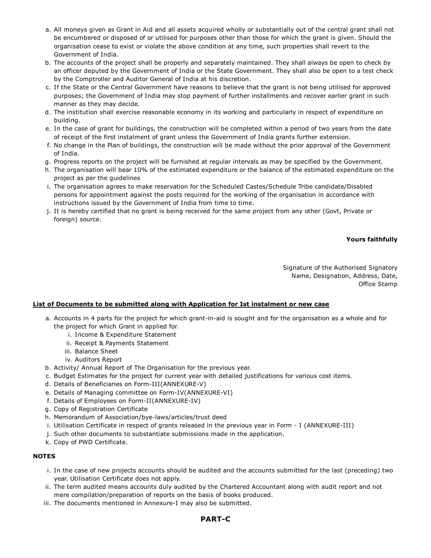- a. All moneys given as Grant in Aid and all assets acquired wholly or substantially out of the central grant shall not be encumbered or disposed of or utilised for purposes other than those for which the grant is given. Should the organisation cease to exist or violate the above condition at any time, such properties shall revert to the Government of India.
- b. The accounts of the project shall be properly and separately maintained. They shall always be open to check by an officer deputed by the Government of India or the State Government. They shall also be open to a test check by the Comptroller and Auditor General of India at his discretion.
- c. If the State or the Central Government have reasons to believe that the grant is not being utilised for approved purposes; the Government of India may stop payment of further installments and recover earlier grant in such manner as they may decide.
- d. The institution shall exercise reasonable economy in its working and particularly in respect of expenditure on building.
- e. In the case of grant for buildings, the construction will be completed within a period of two years from the date of receipt of the first instalment of grant unless the Government of India grants further extension.
- f. No change in the Plan of buildings, the construction will be made without the prior approval of the Government of India.
- g. Progress reports on the project will be furnished at regular intervals as may be specified by the Government.
- h. The organisation will bear 10% of the estimated expenditure or the balance of the estimated expenditure on the project as per the guidelines
- i. The organisation agrees to make reservation for the Scheduled Castes/Schedule Tribe candidate/Disabled persons for appointment against the posts required for the working of the organisation in accordance with instructions issued by the Government of India from time to time.
- j. It is hereby certified that no grant is being received for the same project from any other (Govt, Private or foreign) source.

# **Yours faithfully**

Signature of the Authorised Signatory Name, Designation, Address, Date, Office Stamp

# **List of Documents to be submitted along with Application for Ist instalment or new case**

- a. Accounts in 4 parts for the project for which grant-in-aid is sought and for the organisation as a whole and for the project for which Grant in applied for.
	- i. Income & Expenditure Statement
	- ii. Receipt & Payments Statement
	- iii. Balance Sheet
	- iv. Auditors Report
- b. Activity/ Annual Report of The Organisation for the previous year.
- c. Budget Estimates for the project for current year with detailed justifications for various cost items.
- d. Details of Beneficiaries on Form-III(ANNEXURE-V)
- e. Details of Managing committee on Form-IV(ANNEXURE-VI)
- f. Details of Employees on Form-II(ANNEXURE-IV)
- g. Copy of Registration Certificate
- h. Memorandum of Association/bye-laws/articles/trust deed
- i. Utilisation Certificate in respect of grants released in the previous year in Form I (ANNEXURE-III)
- j. Such other documents to substantiate submissions made in the application.
- k. Copy of PWD Certificate.

#### **NOTES**

- i. In the case of new projects accounts should be audited and the accounts submitted for the last (preceding) two year. Utilisation Certificate does not apply.
- ii. The term audited means accounts duly audited by the Chartered Accountant along with audit report and not mere compilation/preparation of reports on the basis of books produced.
- iii. The documents mentioned in Annexure-I may also be submitted.

# **PART-C**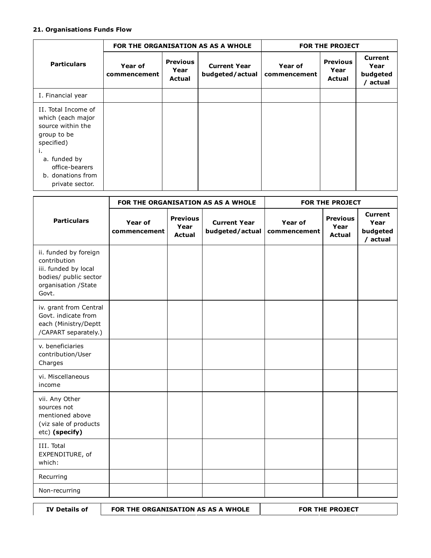#### **21. Organisations Funds Flow**

|                                                                                                                                                                            |                         |                                   | FOR THE ORGANISATION AS AS A WHOLE     | <b>FOR THE PROJECT</b>  |                                   |                                                |
|----------------------------------------------------------------------------------------------------------------------------------------------------------------------------|-------------------------|-----------------------------------|----------------------------------------|-------------------------|-----------------------------------|------------------------------------------------|
| <b>Particulars</b>                                                                                                                                                         | Year of<br>commencement | <b>Previous</b><br>Year<br>Actual | <b>Current Year</b><br>budgeted/actual | Year of<br>commencement | <b>Previous</b><br>Year<br>Actual | <b>Current</b><br>Year<br>budgeted<br>/ actual |
| I. Financial year                                                                                                                                                          |                         |                                   |                                        |                         |                                   |                                                |
| II. Total Income of<br>which (each major<br>source within the<br>group to be<br>specified)<br>i.<br>a. funded by<br>office-bearers<br>b. donations from<br>private sector. |                         |                                   |                                        |                         |                                   |                                                |

|                                                                                                                         | FOR THE ORGANISATION AS AS A WHOLE |                                   | <b>FOR THE PROJECT</b>                 |                         |                                   |                                                |
|-------------------------------------------------------------------------------------------------------------------------|------------------------------------|-----------------------------------|----------------------------------------|-------------------------|-----------------------------------|------------------------------------------------|
| <b>Particulars</b>                                                                                                      | Year of<br>commencement            | <b>Previous</b><br>Year<br>Actual | <b>Current Year</b><br>budgeted/actual | Year of<br>commencement | <b>Previous</b><br>Year<br>Actual | <b>Current</b><br>Year<br>budgeted<br>/ actual |
| ii. funded by foreign<br>contribution<br>iii. funded by local<br>bodies/ public sector<br>organisation / State<br>Govt. |                                    |                                   |                                        |                         |                                   |                                                |
| iv. grant from Central<br>Govt. indicate from<br>each (Ministry/Deptt<br>/CAPART separately.)                           |                                    |                                   |                                        |                         |                                   |                                                |
| v. beneficiaries<br>contribution/User<br>Charges                                                                        |                                    |                                   |                                        |                         |                                   |                                                |
| vi. Miscellaneous<br>income                                                                                             |                                    |                                   |                                        |                         |                                   |                                                |
| vii. Any Other<br>sources not<br>mentioned above<br>(viz sale of products<br>etc) (specify)                             |                                    |                                   |                                        |                         |                                   |                                                |
| III. Total<br>EXPENDITURE, of<br>which:                                                                                 |                                    |                                   |                                        |                         |                                   |                                                |
| Recurring                                                                                                               |                                    |                                   |                                        |                         |                                   |                                                |
| Non-recurring                                                                                                           |                                    |                                   |                                        |                         |                                   |                                                |

**IV Details of FOR THE ORGANISATION AS AS A WHOLE FOR THE PROJECT**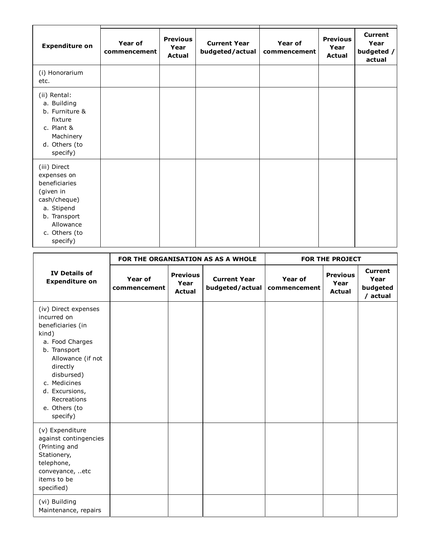| <b>Expenditure on</b>                                                                                                                             | Year of<br>commencement | <b>Previous</b><br>Year<br><b>Actual</b> | <b>Current Year</b><br>budgeted/actual | Year of<br>commencement | <b>Previous</b><br>Year<br><b>Actual</b> | <b>Current</b><br>Year<br>budgeted /<br>actual |
|---------------------------------------------------------------------------------------------------------------------------------------------------|-------------------------|------------------------------------------|----------------------------------------|-------------------------|------------------------------------------|------------------------------------------------|
| (i) Honorarium<br>etc.                                                                                                                            |                         |                                          |                                        |                         |                                          |                                                |
| (ii) Rental:<br>a. Building<br>b. Furniture &<br>fixture<br>c. Plant &<br>Machinery<br>d. Others (to<br>specify)                                  |                         |                                          |                                        |                         |                                          |                                                |
| (iii) Direct<br>expenses on<br>beneficiaries<br>(given in<br>cash/cheque)<br>a. Stipend<br>b. Transport<br>Allowance<br>c. Others (to<br>specify) |                         |                                          |                                        |                         |                                          |                                                |

|                                                                                                                                                                                                                                   |                         |                                          | FOR THE ORGANISATION AS AS A WHOLE     | <b>FOR THE PROJECT</b>  |                                   |                                                |
|-----------------------------------------------------------------------------------------------------------------------------------------------------------------------------------------------------------------------------------|-------------------------|------------------------------------------|----------------------------------------|-------------------------|-----------------------------------|------------------------------------------------|
| <b>IV Details of</b><br><b>Expenditure on</b>                                                                                                                                                                                     | Year of<br>commencement | <b>Previous</b><br>Year<br><b>Actual</b> | <b>Current Year</b><br>budgeted/actual | Year of<br>commencement | <b>Previous</b><br>Year<br>Actual | <b>Current</b><br>Year<br>budgeted<br>/ actual |
| (iv) Direct expenses<br>incurred on<br>beneficiaries (in<br>kind)<br>a. Food Charges<br>b. Transport<br>Allowance (if not<br>directly<br>disbursed)<br>c. Medicines<br>d. Excursions,<br>Recreations<br>e. Others (to<br>specify) |                         |                                          |                                        |                         |                                   |                                                |
| (v) Expenditure<br>against contingencies<br>(Printing and<br>Stationery,<br>telephone,<br>conveyance, etc<br>items to be<br>specified)                                                                                            |                         |                                          |                                        |                         |                                   |                                                |
| (vi) Building<br>Maintenance, repairs                                                                                                                                                                                             |                         |                                          |                                        |                         |                                   |                                                |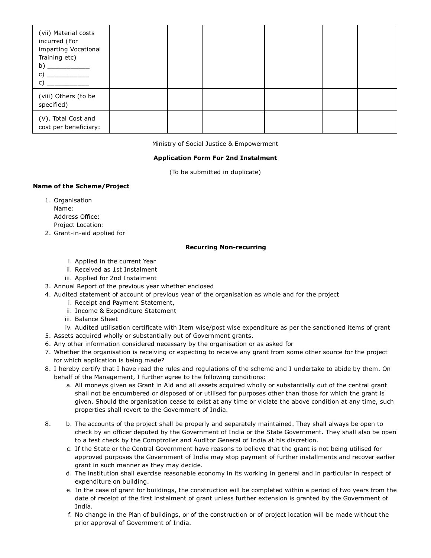| (vii) Material costs<br>incurred (For<br>imparting Vocational<br>Training etc)<br>b)<br><u> 1989 - Johann Barnett, fransk politik (</u><br>C)<br>C. |  |  |  |
|-----------------------------------------------------------------------------------------------------------------------------------------------------|--|--|--|
| (viii) Others (to be<br>specified)                                                                                                                  |  |  |  |
| (V). Total Cost and<br>cost per beneficiary:                                                                                                        |  |  |  |

Ministry of Social Justice & Empowerment

#### **Application Form For 2nd Instalment**

(To be submitted in duplicate)

# **Name of the Scheme/Project**

1. Organisation Name: Address Office: Project Location:

2. Grant-in-aid applied for

#### **Recurring Non-recurring**

- i. Applied in the current Year
- ii. Received as 1st Instalment
- iii. Applied for 2nd Instalment
- 3. Annual Report of the previous year whether enclosed
- 4. Audited statement of account of previous year of the organisation as whole and for the project
	- i. Receipt and Payment Statement,
	- ii. Income & Expenditure Statement
	- iii. Balance Sheet
	- iv. Audited utilisation certificate with Item wise/post wise expenditure as per the sanctioned items of grant
- 5. Assets acquired wholly or substantially out of Government grants. 6. Any other information considered necessary by the organisation or as asked for
- 7. Whether the organisation is receiving or expecting to receive any grant from some other source for the project
- for which application is being made?
- I hereby certify that I have read the rules and regulations of the scheme and I undertake to abide by them. On 8. behalf of the Management, I further agree to the following conditions:
	- a. All moneys given as Grant in Aid and all assets acquired wholly or substantially out of the central grant shall not be encumbered or disposed of or utilised for purposes other than those for which the grant is given. Should the organisation cease to exist at any time or violate the above condition at any time, such properties shall revert to the Government of India.
- b. The accounts of the project shall be properly and separately maintained. They shall always be open to check by an officer deputed by the Government of India or the State Government. They shall also be open to a test check by the Comptroller and Auditor General of India at his discretion. 8.
	- c. If the State or the Central Government have reasons to believe that the grant is not being utilised for approved purposes the Government of India may stop payment of further installments and recover earlier grant in such manner as they may decide.
	- d. The institution shall exercise reasonable economy in its working in general and in particular in respect of expenditure on building.
	- e. In the case of grant for buildings, the construction will be completed within a period of two years from the date of receipt of the first instalment of grant unless further extension is granted by the Government of India.
	- f. No change in the Plan of buildings, or of the construction or of project location will be made without the prior approval of Government of India.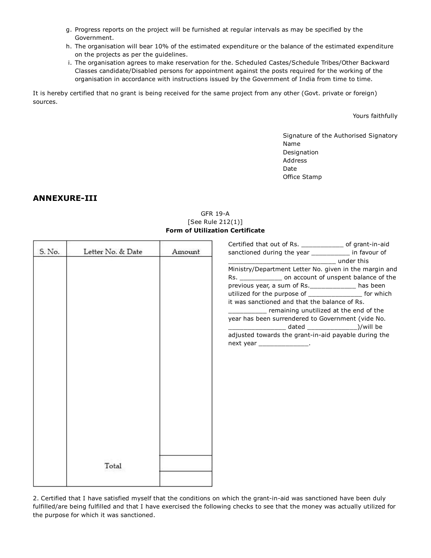- g. Progress reports on the project will be furnished at regular intervals as may be specified by the Government.
- h. The organisation will bear 10% of the estimated expenditure or the balance of the estimated expenditure on the projects as per the guidelines.
- i. The organisation agrees to make reservation for the. Scheduled Castes/Schedule Tribes/Other Backward Classes candidate/Disabled persons for appointment against the posts required for the working of the organisation in accordance with instructions issued by the Government of India from time to time.

It is hereby certified that no grant is being received for the same project from any other (Govt. private or foreign) sources.

Yours faithfully

Signature of the Authorised Signatory Name Designation Address Date Office Stamp

# **ANNEXURE-III**

#### GFR 19-A [See Rule 212(1)] **Form of Utilization Certificate**

| S. No. | Letter No. & Date | Amount | Certified that out of Rs. ______________ of grant-in-aid<br>sanctioned during the year __________ in favour of |  |
|--------|-------------------|--------|----------------------------------------------------------------------------------------------------------------|--|
|        |                   |        | _____________________________ under this                                                                       |  |
|        |                   |        | Ministry/Department Letter No. given in the margin and                                                         |  |
|        |                   |        | Rs. _______________ on account of unspent balance of the                                                       |  |
|        |                   |        | previous year, a sum of Rs. ______________ has been                                                            |  |
|        |                   |        | utilized for the purpose of ___________________ for which                                                      |  |
|        |                   |        | it was sanctioned and that the balance of Rs.                                                                  |  |
|        |                   |        | remaining unutilized at the end of the                                                                         |  |
|        |                   |        | year has been surrendered to Government (vide No.                                                              |  |
|        |                   |        |                                                                                                                |  |
|        |                   |        | adjusted towards the grant-in-aid payable during the                                                           |  |
|        |                   |        | next year ________________.                                                                                    |  |
|        |                   |        |                                                                                                                |  |
|        |                   |        |                                                                                                                |  |
|        |                   |        |                                                                                                                |  |
|        |                   |        |                                                                                                                |  |
|        |                   |        |                                                                                                                |  |
|        |                   |        |                                                                                                                |  |
|        |                   |        |                                                                                                                |  |
|        |                   |        |                                                                                                                |  |
|        |                   |        |                                                                                                                |  |
|        |                   |        |                                                                                                                |  |
|        |                   |        |                                                                                                                |  |
|        |                   |        |                                                                                                                |  |
|        |                   |        |                                                                                                                |  |
|        | Total             |        |                                                                                                                |  |
|        |                   |        |                                                                                                                |  |
|        |                   |        |                                                                                                                |  |

2. Certified that I have satisfied myself that the conditions on which the grant-in-aid was sanctioned have been duly fulfilled/are being fulfilled and that I have exercised the following checks to see that the money was actually utilized for the purpose for which it was sanctioned.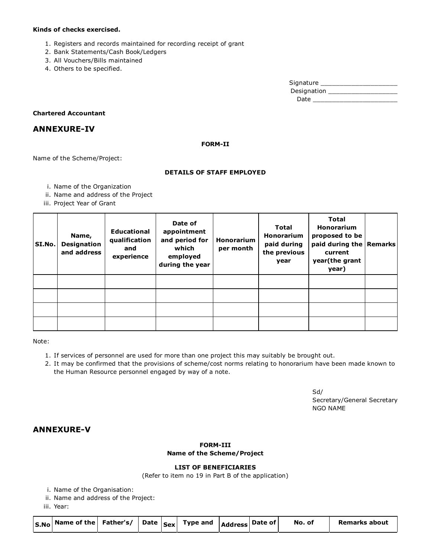#### **Kinds of checks exercised.**

- 1. Registers and records maintained for recording receipt of grant
- 2. Bank Statements/Cash Book/Ledgers
- 3. All Vouchers/Bills maintained
- 4. Others to be specified.

| Signature   |  |
|-------------|--|
| Designation |  |
| Date        |  |

#### **Chartered Accountant**

# **ANNEXURE-IV**

### **FORM-II**

Name of the Scheme/Project:

### **DETAILS OF STAFF EMPLOYED**

- i. Name of the Organization
- ii. Name and address of the Project

iii. Project Year of Grant

| SI.No. | Name,<br><b>Designation</b><br>and address | <b>Educational</b><br>qualification<br>and<br>experience | Date of<br>appointment<br>and period for<br>which<br>employed<br>during the year | <b>Honorarium</b><br>per month | Total<br><b>Honorarium</b><br>paid during<br>the previous<br>vear | <b>Total</b><br>Honorarium<br>proposed to be<br>paid during the Remarks<br>current<br>year(the grant<br>year) |  |
|--------|--------------------------------------------|----------------------------------------------------------|----------------------------------------------------------------------------------|--------------------------------|-------------------------------------------------------------------|---------------------------------------------------------------------------------------------------------------|--|
|        |                                            |                                                          |                                                                                  |                                |                                                                   |                                                                                                               |  |
|        |                                            |                                                          |                                                                                  |                                |                                                                   |                                                                                                               |  |
|        |                                            |                                                          |                                                                                  |                                |                                                                   |                                                                                                               |  |
|        |                                            |                                                          |                                                                                  |                                |                                                                   |                                                                                                               |  |

Note:

- 1. If services of personnel are used for more than one project this may suitably be brought out.
- 2. It may be confirmed that the provisions of scheme/cost norms relating to honorarium have been made known to the Human Resource personnel engaged by way of a note.

Sd/ Secretary/General Secretary NGO NAME

# **ANNEXURE-V**

# **FORM-III Name of the Scheme/Project**

# **LIST OF BENEFICIARIES**

(Refer to item no 19 in Part B of the application)

i. Name of the Organisation:

ii. Name and address of the Project:

iii. Year:

|  | $ S $ S.No Name of the Father's/ Date $ S_{ex} $ Type and $ A_{\text{address}} $ Date of |  |  |  |  |  |  | No. of | Remarks about |
|--|------------------------------------------------------------------------------------------|--|--|--|--|--|--|--------|---------------|
|--|------------------------------------------------------------------------------------------|--|--|--|--|--|--|--------|---------------|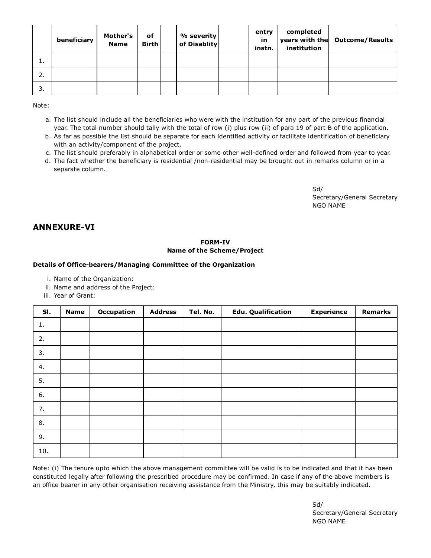|    | beneficiary | Mother's<br><b>Name</b> | of<br><b>Birth</b> | % severity<br>of Disablity | entry<br>in<br>instn. | completed<br>institution | years with the Outcome/Results |
|----|-------------|-------------------------|--------------------|----------------------------|-----------------------|--------------------------|--------------------------------|
| ι. |             |                         |                    |                            |                       |                          |                                |
| 2. |             |                         |                    |                            |                       |                          |                                |
| 3. |             |                         |                    |                            |                       |                          |                                |

Note:

- a. The list should include all the beneficiaries who were with the institution for any part of the previous financial year. The total number should tally with the total of row (i) plus row (ii) of para 19 of part B of the application.
- b. As far as possible the list should be separate for each identified activity or facilitate identification of beneficiary with an activity/component of the project.
- c. The list should preferably in alphabetical order or some other well-defined order and followed from year to year.
- d. The fact whether the beneficiary is residential /non-residential may be brought out in remarks column or in a separate column.

Sd/ Secretary/General Secretary NGO NAME

# **ANNEXURE-VI**

### **FORM-IV Name of the Scheme/Project**

### **Details of Office-bearers/Managing Committee of the Organization**

- i. Name of the Organization:
- ii. Name and address of the Project:
- iii. Year of Grant:

| SI.  | <b>Name</b> | Occupation | <b>Address</b> | Tel. No. | <b>Edu. Qualification</b> | <b>Experience</b> | <b>Remarks</b> |
|------|-------------|------------|----------------|----------|---------------------------|-------------------|----------------|
| $1.$ |             |            |                |          |                           |                   |                |
| 2.   |             |            |                |          |                           |                   |                |
| 3.   |             |            |                |          |                           |                   |                |
| 4.   |             |            |                |          |                           |                   |                |
| 5.   |             |            |                |          |                           |                   |                |
| 6.   |             |            |                |          |                           |                   |                |
| 7.   |             |            |                |          |                           |                   |                |
| 8.   |             |            |                |          |                           |                   |                |
| 9.   |             |            |                |          |                           |                   |                |
| 10.  |             |            |                |          |                           |                   |                |

Note: (i) The tenure upto which the above management committee will be valid is to be indicated and that it has been constituted legally after following the prescribed procedure may be confirmed. In case if any of the above members is an office bearer in any other organisation receiving assistance from the Ministry, this may be suitably indicated.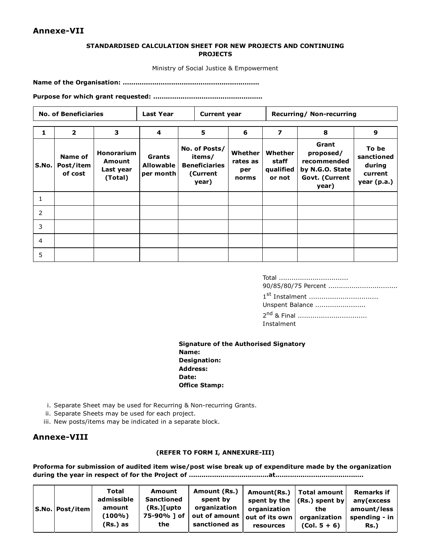# **Annexe-VII**

# **STANDARDISED CALCULATION SHEET FOR NEW PROJECTS AND CONTINUING PROJECTS**

Ministry of Social Justice & Empowerment

**Name of the Organisation: .................................................................**

**Purpose for which grant requested: ....................................................**

|         | <b>No. of Beneficiaries</b>     |                                              | <b>Last Year</b>                               |  | <b>Current year</b>                                                  |                                     |                                         | <b>Recurring/ Non-recurring</b>                                                 |                                                         |
|---------|---------------------------------|----------------------------------------------|------------------------------------------------|--|----------------------------------------------------------------------|-------------------------------------|-----------------------------------------|---------------------------------------------------------------------------------|---------------------------------------------------------|
| 1       | $\overline{\mathbf{2}}$         | 3                                            | $\overline{\mathbf{4}}$                        |  | 5                                                                    | 6                                   | 7                                       | 8                                                                               | 9                                                       |
| lS.No.l | Name of<br>Post/item<br>of cost | Honorarium<br>Amount<br>Last year<br>(Total) | <b>Grants</b><br><b>Allowable</b><br>per month |  | No. of Posts/<br>items/<br><b>Beneficiaries</b><br>(Current<br>year) | Whether<br>rates as<br>per<br>norms | Whether<br>staff<br>qualified<br>or not | Grant<br>proposed/<br>recommended<br>by N.G.O. State<br>Govt. (Current<br>year) | To be<br>sanctioned<br>during<br>current<br>year (p.a.) |
| 1       |                                 |                                              |                                                |  |                                                                      |                                     |                                         |                                                                                 |                                                         |
| 2       |                                 |                                              |                                                |  |                                                                      |                                     |                                         |                                                                                 |                                                         |
| 3       |                                 |                                              |                                                |  |                                                                      |                                     |                                         |                                                                                 |                                                         |
| 4       |                                 |                                              |                                                |  |                                                                      |                                     |                                         |                                                                                 |                                                         |
| 5       |                                 |                                              |                                                |  |                                                                      |                                     |                                         |                                                                                 |                                                         |

Total ................................. 90/85/80/75 Percent ...................................

1<sup>st</sup> Instalment .................................. Unspent Balance ........................

2<sup>nd</sup> & Final .................................. Instalment

**Signature of the Authorised Signatory Name: Designation: Address: Date: Office Stamp:**

- i. Separate Sheet may be used for Recurring & Non-recurring Grants.
- ii. Separate Sheets may be used for each project.
- iii. New posts/items may be indicated in a separate block.

# **Annexe-VIII**

### **(REFER TO FORM I, ANNEXURE-III)**

**Proforma for submission of audited item wise/post wise break up of expenditure made by the organization during the year in respect of for the Project of ......................................at..........................................**

|  | S.No.   Post/item | Total<br>admissible<br>amount<br>$(100\%)$<br>(Rs.) as | Amount<br>Sanctioned<br>$(Rs.)$ [upto]<br>75-90% 1 of<br>the | Amount (Rs.)<br>spent by<br>organization<br>⊩out of amount   out of its own  <br>sanctioned as | Amount(Rs.)<br>spent by the<br>organization<br>resources | Total amount  <br>$(Rs.)$ spent by<br>the<br>organization<br>$(Col. 5 + 6)$ | Remarks if<br>any (excess<br>amount/less<br>spending - in I<br><b>Rs.</b> ) |
|--|-------------------|--------------------------------------------------------|--------------------------------------------------------------|------------------------------------------------------------------------------------------------|----------------------------------------------------------|-----------------------------------------------------------------------------|-----------------------------------------------------------------------------|
|--|-------------------|--------------------------------------------------------|--------------------------------------------------------------|------------------------------------------------------------------------------------------------|----------------------------------------------------------|-----------------------------------------------------------------------------|-----------------------------------------------------------------------------|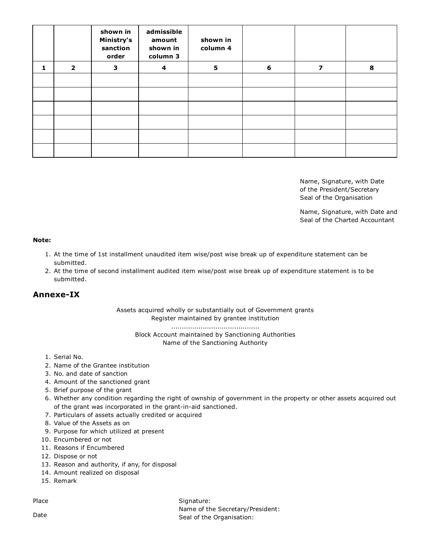|   |                | shown in<br><b>Ministry's</b><br>sanction<br>order | admissible<br>amount<br>shown in<br>column 3 | shown in<br>column 4 |   |   |   |
|---|----------------|----------------------------------------------------|----------------------------------------------|----------------------|---|---|---|
| 1 | $\overline{2}$ | 3                                                  | $\overline{a}$                               | 5                    | 6 | 7 | 8 |
|   |                |                                                    |                                              |                      |   |   |   |
|   |                |                                                    |                                              |                      |   |   |   |
|   |                |                                                    |                                              |                      |   |   |   |
|   |                |                                                    |                                              |                      |   |   |   |
|   |                |                                                    |                                              |                      |   |   |   |
|   |                |                                                    |                                              |                      |   |   |   |

Name, Signature, with Date of the President/Secretary Seal of the Organisation

Name, Signature, with Date and Seal of the Charted Accountant

### **Note:**

- 1. At the time of 1st installment unaudited item wise/post wise break up of expenditure statement can be submitted.
- 2. At the time of second installment audited item wise/post wise break up of expenditure statement is to be submitted.

# **Annexe-IX**

# Assets acquired wholly or substantially out of Government grants Register maintained by grantee institution

..........................................

Block Account maintained by Sanctioning Authorities Name of the Sanctioning Authority

- 1. Serial No.
- 2. Name of the Grantee institution
- 3. No. and date of sanction
- 4. Amount of the sanctioned grant
- 5. Brief purpose of the grant
- 6. Whether any condition regarding the right of ownship of government in the property or other assets acquired out of the grant was incorporated in the grant-in-aid sanctioned.
- 7. Particulars of assets actually credited or acquired
- 8. Value of the Assets as on
- 9. Purpose for which utilized at present
- 10. Encumbered or not
- 11. Reasons if Encumbered
- 12. Dispose or not
- 13. Reason and authority, if any, for disposal
- 14. Amount realized on disposal
- 15. Remark

Place

Signature: Name of the Secretary/President: Seal of the Organisation:

Date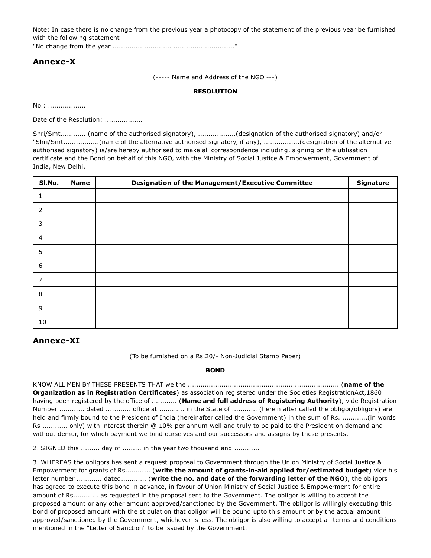Note: In case there is no change from the previous year a photocopy of the statement of the previous year be furnished with the following statement

"No change from the year ............................ ............................."

# **Annexe-X**

(----- Name and Address of the NGO ---)

#### **RESOLUTION**

No.: ..................

Date of the Resolution: ..................

Shri/Smt............ (name of the authorised signatory), ..................(designation of the authorised signatory) and/or "Shri/Smt.................(name of the alternative authorised signatory, if any), .................(designation of the alternative authorised signatory) is/are hereby authorised to make all correspondence including, signing on the utilisation certificate and the Bond on behalf of this NGO, with the Ministry of Social Justice & Empowerment, Government of India, New Delhi.

| SI.No.         | <b>Name</b> | Designation of the Management/Executive Committee | Signature |
|----------------|-------------|---------------------------------------------------|-----------|
|                |             |                                                   |           |
| $\overline{2}$ |             |                                                   |           |
| 3              |             |                                                   |           |
| 4              |             |                                                   |           |
| 5              |             |                                                   |           |
| 6              |             |                                                   |           |
| $\overline{7}$ |             |                                                   |           |
| $\,8\,$        |             |                                                   |           |
| 9              |             |                                                   |           |
| 10             |             |                                                   |           |

# **Annexe-XI**

(To be furnished on a Rs.20/- Non-Judicial Stamp Paper)

#### **BOND**

KNOW ALL MEN BY THESE PRESENTS THAT we the ........................................................................ (**name of the Organization as in Registration Certificates**) as association registered under the Societies RegistrationAct,1860 having been registered by the office of ............ (**Name and full address of Registering Authority**), vide Registration Number ............ dated ............ office at ............ in the State of ............ (herein after called the obligor/obligors) are held and firmly bound to the President of India (hereinafter called the Government) in the sum of Rs. ............(in words Rs ............ only) with interest therein @ 10% per annum well and truly to be paid to the President on demand and without demur, for which payment we bind ourselves and our successors and assigns by these presents.

2. SIGNED this ......... day of ......... in the year two thousand and ............

3. WHEREAS the obligors has sent a request proposal to Government through the Union Ministry of Social Justice & Empowerment for grants of Rs............ (**write the amount of grants-in-aid applied for/estimated budget**) vide his letter number ............ dated............ (**write the no. and date of the forwarding letter of the NGO**), the obligors has agreed to execute this bond in advance, in favour of Union Ministry of Social Justice & Empowerment for entire amount of Rs............ as requested in the proposal sent to the Government. The obligor is willing to accept the proposed amount or any other amount approved/sanctioned by the Government. The obligor is willingly executing this bond of proposed amount with the stipulation that obligor will be bound upto this amount or by the actual amount approved/sanctioned by the Government, whichever is less. The obligor is also willing to accept all terms and conditions mentioned in the "Letter of Sanction" to be issued by the Government.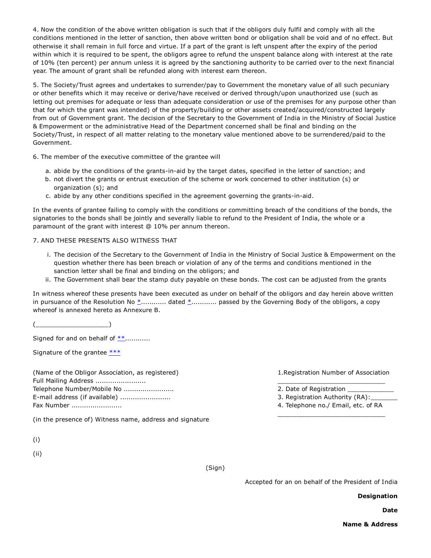4. Now the condition of the above written obligation is such that if the obligors duly fulfil and comply with all the conditions mentioned in the letter of sanction, then above written bond or obligation shall be void and of no effect. But otherwise it shall remain in full force and virtue. If a part of the grant is left unspent after the expiry of the period within which it is required to be spent, the obligors agree to refund the unspent balance along with interest at the rate of 10% (ten percent) per annum unless it is agreed by the sanctioning authority to be carried over to the next financial year. The amount of grant shall be refunded along with interest earn thereon.

5. The Society/Trust agrees and undertakes to surrender/pay to Government the monetary value of all such pecuniary or other benefits which it may receive or derive/have received or derived through/upon unauthorized use (such as letting out premises for adequate or less than adequate consideration or use of the premises for any purpose other than that for which the grant was intended) of the property/building or other assets created/acquired/constructed largely from out of Government grant. The decision of the Secretary to the Government of India in the Ministry of Social Justice & Empowerment or the administrative Head of the Department concerned shall be final and binding on the Society/Trust, in respect of all matter relating to the monetary value mentioned above to be surrendered/paid to the Government.

6. The member of the executive committee of the grantee will

- a. abide by the conditions of the grants-in-aid by the target dates, specified in the letter of sanction; and
- b. not divert the grants or entrust execution of the scheme or work concerned to other institution (s) or organization (s); and
- c. abide by any other conditions specified in the agreement governing the grants-in-aid.

In the events of grantee failing to comply with the conditions or committing breach of the conditions of the bonds, the signatories to the bonds shall be jointly and severally liable to refund to the President of India, the whole or a paramount of the grant with interest @ 10% per annum thereon.

# 7. AND THESE PRESENTS ALSO WITNESS THAT

- i. The decision of the Secretary to the Government of India in the Ministry of Social Justice & Empowerment on the question whether there has been breach or violation of any of the terms and conditions mentioned in the sanction letter shall be final and binding on the obligors; and
- ii. The Government shall bear the stamp duty payable on these bonds. The cost can be adjusted from the grants

In witness whereof these presents have been executed as under on behalf of the obligors and day herein above written in pursuance of the Resolution No  $*$ ............ dated  $*$ ............ passed by the Governing Body of the obligors, a copy whereof is annexed hereto as Annexure B.

 $($   $)$ 

Signed for and on behalf of  $**$ ............

Signature of the grantee  $***$ 

(Name of the Obligor Association, as registered) Full Mailing Address ......................... Telephone Number/Mobile No ....................... E-mail address (if available) ........................ Fax Number ........................

(in the presence of) Witness name, address and signature

(i)

(ii)

\_\_\_\_\_\_\_\_\_\_\_\_\_\_\_\_\_\_\_\_\_\_\_\_\_\_\_\_ 2. Date of Registration

3. Registration Authority (RA):

Accepted for an on behalf of the President of India

4. Telephone no./ Email, etc. of RA \_\_\_\_\_\_\_\_\_\_\_\_\_\_\_\_\_\_\_\_\_\_\_\_\_\_\_\_

1.Registration Number of Association

**Designation**

**Date**

(Sign)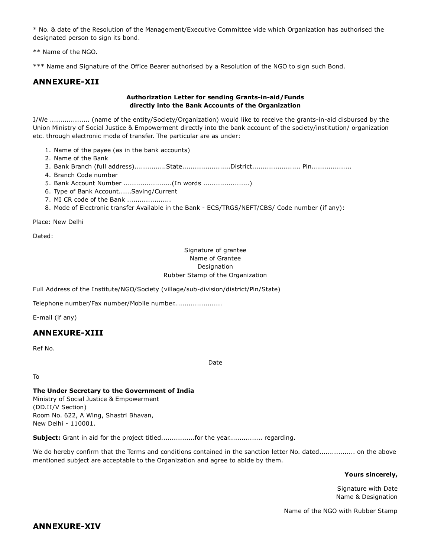\* No. & date of the Resolution of the Management/Executive Committee vide which Organization has authorised the designated person to sign its bond.

\*\* Name of the NGO.

\*\*\* Name and Signature of the Office Bearer authorised by a Resolution of the NGO to sign such Bond.

# **ANNEXURE-XII**

# **Authorization Letter for sending Grants-in-aid/Funds directly into the Bank Accounts of the Organization**

I/We ................... (name of the entity/Society/Organization) would like to receive the grants-in-aid disbursed by the Union Ministry of Social Justice & Empowerment directly into the bank account of the society/institution/ organization etc. through electronic mode of transfer. The particular are as under:

- 1. Name of the payee (as in the bank accounts)
- 2. Name of the Bank
- 3. Bank Branch (full address)...............State.......................District....................... Pin...................
- 4. Branch Code number
- 5. Bank Account Number .......................(In words ......................)
- 6. Type of Bank Account......Saving/Current
- 7. MI CR code of the Bank .....................
- 8. Mode of Electronic transfer Available in the Bank ECS/TRGS/NEFT/CBS/ Code number (if any):

Place: New Delhi

Dated:

#### Signature of grantee Name of Grantee Designation Rubber Stamp of the Organization

Full Address of the Institute/NGO/Society (village/sub-division/district/Pin/State)

Telephone number/Fax number/Mobile number.....................

E-mail (if any)

# **ANNEXURE-XIII**

Ref No.

Date

To

# **The Under Secretary to the Government of India**

Ministry of Social Justice & Empowerment (DD.II/V Section) Room No. 622, A Wing, Shastri Bhavan, New Delhi - 110001.

**Subject:** Grant in aid for the project titled................for the year................ regarding.

We do hereby confirm that the Terms and conditions contained in the sanction letter No. dated.................. on the above mentioned subject are acceptable to the Organization and agree to abide by them.

#### **Yours sincerely,**

Signature with Date Name & Designation

Name of the NGO with Rubber Stamp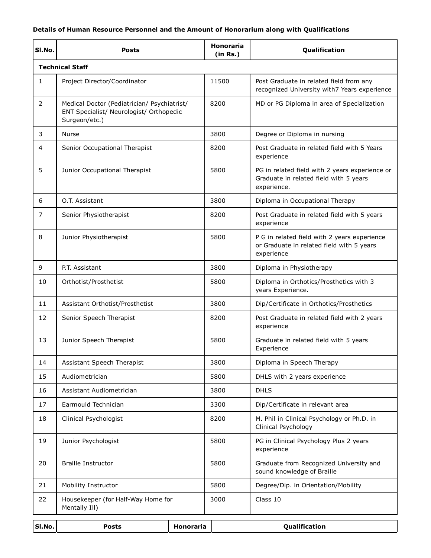# **Details of Human Resource Personnel and the Amount of Honorarium along with Qualifications**

| SI.No.       | <b>Posts</b>                                                                                            | Honoraria<br>(in Rs.) | Qualification                                                                                           |
|--------------|---------------------------------------------------------------------------------------------------------|-----------------------|---------------------------------------------------------------------------------------------------------|
|              | <b>Technical Staff</b>                                                                                  |                       |                                                                                                         |
| $\mathbf{1}$ | Project Director/Coordinator                                                                            | 11500                 | Post Graduate in related field from any<br>recognized University with7 Years experience                 |
| 2            | Medical Doctor (Pediatrician/ Psychiatrist/<br>ENT Specialist/ Neurologist/ Orthopedic<br>Surgeon/etc.) | 8200                  | MD or PG Diploma in area of Specialization                                                              |
| 3            | <b>Nurse</b>                                                                                            | 3800                  | Degree or Diploma in nursing                                                                            |
| 4            | Senior Occupational Therapist                                                                           | 8200                  | Post Graduate in related field with 5 Years<br>experience                                               |
| 5            | Junior Occupational Therapist                                                                           | 5800                  | PG in related field with 2 years experience or<br>Graduate in related field with 5 years<br>experience. |
| 6            | O.T. Assistant                                                                                          | 3800                  | Diploma in Occupational Therapy                                                                         |
| 7            | Senior Physiotherapist                                                                                  | 8200                  | Post Graduate in related field with 5 years<br>experience                                               |
| 8            | Junior Physiotherapist                                                                                  | 5800                  | P G in related field with 2 years experience<br>or Graduate in related field with 5 years<br>experience |
| 9            | P.T. Assistant                                                                                          | 3800                  | Diploma in Physiotherapy                                                                                |
| 10           | Orthotist/Prosthetist                                                                                   | 5800                  | Diploma in Orthotics/Prosthetics with 3<br>years Experience.                                            |
| 11           | Assistant Orthotist/Prosthetist                                                                         | 3800                  | Dip/Certificate in Orthotics/Prosthetics                                                                |
| 12           | Senior Speech Therapist                                                                                 | 8200                  | Post Graduate in related field with 2 years<br>experience                                               |
| 13           | Junior Speech Therapist                                                                                 | 5800                  | Graduate in related field with 5 years<br>Experience                                                    |
| 14           | Assistant Speech Therapist                                                                              | 3800                  | Diploma in Speech Therapy                                                                               |
| 15           | Audiometrician                                                                                          | 5800                  | DHLS with 2 years experience                                                                            |
| 16           | Assistant Audiometrician                                                                                | 3800                  | <b>DHLS</b>                                                                                             |
| 17           | Earmould Technician                                                                                     | 3300                  | Dip/Certificate in relevant area                                                                        |
| 18           | Clinical Psychologist                                                                                   | 8200                  | M. Phil in Clinical Psychology or Ph.D. in<br>Clinical Psychology                                       |
| 19           | Junior Psychologist                                                                                     | 5800                  | PG in Clinical Psychology Plus 2 years<br>experience                                                    |
| 20           | <b>Braille Instructor</b>                                                                               | 5800                  | Graduate from Recognized University and<br>sound knowledge of Braille                                   |
| 21           | Mobility Instructor                                                                                     | 5800                  | Degree/Dip. in Orientation/Mobility                                                                     |
| 22           | Housekeeper (for Half-Way Home for<br>Mentally Ill)                                                     | 3000                  | Class 10                                                                                                |

| .<br>- - - -<br>. | SI.No | Posts | .<br>но<br>noraria | ---<br>. .<br>Nualit<br>ication |
|-------------------|-------|-------|--------------------|---------------------------------|
|-------------------|-------|-------|--------------------|---------------------------------|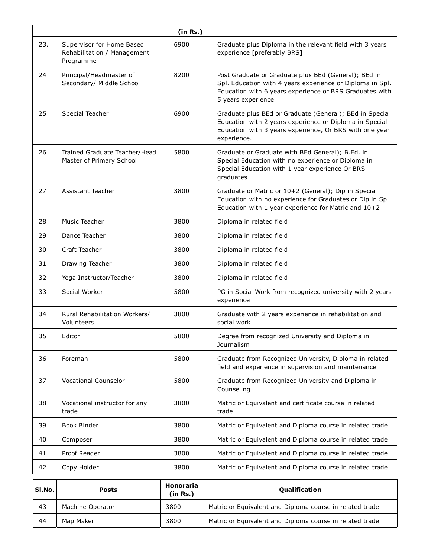|     |                                                                       | (in Rs.) |                                                                                                                                                                                                    |
|-----|-----------------------------------------------------------------------|----------|----------------------------------------------------------------------------------------------------------------------------------------------------------------------------------------------------|
| 23. | Supervisor for Home Based<br>Rehabilitation / Management<br>Programme | 6900     | Graduate plus Diploma in the relevant field with 3 years<br>experience [preferably BRS]                                                                                                            |
| 24  | Principal/Headmaster of<br>Secondary/ Middle School                   | 8200     | Post Graduate or Graduate plus BEd (General); BEd in<br>Spl. Education with 4 years experience or Diploma in Spl.<br>Education with 6 years experience or BRS Graduates with<br>5 years experience |
| 25  | Special Teacher                                                       | 6900     | Graduate plus BEd or Graduate (General); BEd in Special<br>Education with 2 years experience or Diploma in Special<br>Education with 3 years experience, Or BRS with one year<br>experience.       |
| 26  | Trained Graduate Teacher/Head<br>Master of Primary School             | 5800     | Graduate or Graduate with BEd General); B.Ed. in<br>Special Education with no experience or Diploma in<br>Special Education with 1 year experience Or BRS<br>graduates                             |
| 27  | Assistant Teacher                                                     | 3800     | Graduate or Matric or 10+2 (General); Dip in Special<br>Education with no experience for Graduates or Dip in Spl<br>Education with 1 year experience for Matric and 10+2                           |
| 28  | Music Teacher                                                         | 3800     | Diploma in related field                                                                                                                                                                           |
| 29  | Dance Teacher                                                         | 3800     | Diploma in related field                                                                                                                                                                           |
| 30  | Craft Teacher                                                         | 3800     | Diploma in related field                                                                                                                                                                           |
| 31  | Drawing Teacher                                                       | 3800     | Diploma in related field                                                                                                                                                                           |
| 32  | Yoga Instructor/Teacher                                               | 3800     | Diploma in related field                                                                                                                                                                           |
| 33  | Social Worker                                                         | 5800     | PG in Social Work from recognized university with 2 years<br>experience                                                                                                                            |
| 34  | Rural Rehabilitation Workers/<br>Volunteers                           | 3800     | Graduate with 2 years experience in rehabilitation and<br>social work                                                                                                                              |
| 35  | Editor                                                                | 5800     | Degree from recognized University and Diploma in<br>Journalism                                                                                                                                     |
| 36  | Foreman                                                               | 5800     | Graduate from Recognized University, Diploma in related<br>field and experience in supervision and maintenance                                                                                     |
| 37  | <b>Vocational Counselor</b>                                           | 5800     | Graduate from Recognized University and Diploma in<br>Counseling                                                                                                                                   |
| 38  | Vocational instructor for any<br>trade                                | 3800     | Matric or Equivalent and certificate course in related<br>trade                                                                                                                                    |
| 39  | Book Binder                                                           | 3800     | Matric or Equivalent and Diploma course in related trade                                                                                                                                           |
| 40  | Composer                                                              | 3800     | Matric or Equivalent and Diploma course in related trade                                                                                                                                           |
| 41  | Proof Reader                                                          | 3800     | Matric or Equivalent and Diploma course in related trade                                                                                                                                           |
| 42  | Copy Holder                                                           | 3800     | Matric or Equivalent and Diploma course in related trade                                                                                                                                           |

| ISI.No. | <b>Posts</b>     | Honoraria<br>(in Rs.) | <b>Qualification</b>                                     |  |  |  |  |
|---------|------------------|-----------------------|----------------------------------------------------------|--|--|--|--|
| 43      | Machine Operator | 3800                  | Matric or Equivalent and Diploma course in related trade |  |  |  |  |
| 44      | Map Maker        | 3800                  | Matric or Equivalent and Diploma course in related trade |  |  |  |  |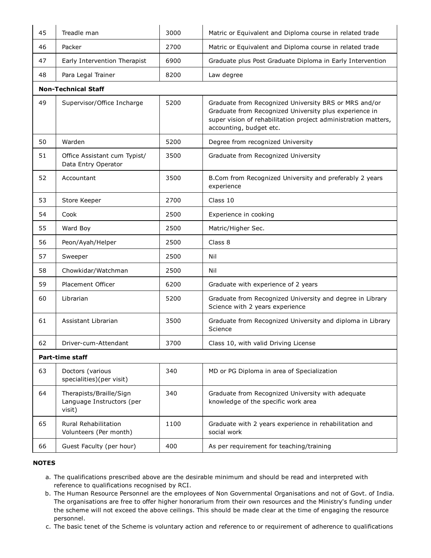| 45 | Treadle man                                                    | 3000 | Matric or Equivalent and Diploma course in related trade                                                                                                                                                     |  |  |  |  |
|----|----------------------------------------------------------------|------|--------------------------------------------------------------------------------------------------------------------------------------------------------------------------------------------------------------|--|--|--|--|
| 46 | Packer                                                         | 2700 | Matric or Equivalent and Diploma course in related trade                                                                                                                                                     |  |  |  |  |
| 47 | Early Intervention Therapist                                   | 6900 | Graduate plus Post Graduate Diploma in Early Intervention                                                                                                                                                    |  |  |  |  |
| 48 | Para Legal Trainer                                             | 8200 | Law degree                                                                                                                                                                                                   |  |  |  |  |
|    | <b>Non-Technical Staff</b>                                     |      |                                                                                                                                                                                                              |  |  |  |  |
| 49 | Supervisor/Office Incharge                                     | 5200 | Graduate from Recognized University BRS or MRS and/or<br>Graduate from Recognized University plus experience in<br>super vision of rehabilitation project administration matters,<br>accounting, budget etc. |  |  |  |  |
| 50 | Warden                                                         | 5200 | Degree from recognized University                                                                                                                                                                            |  |  |  |  |
| 51 | Office Assistant cum Typist/<br>Data Entry Operator            | 3500 | Graduate from Recognized University                                                                                                                                                                          |  |  |  |  |
| 52 | Accountant                                                     | 3500 | B.Com from Recognized University and preferably 2 years<br>experience                                                                                                                                        |  |  |  |  |
| 53 | Store Keeper                                                   | 2700 | Class 10                                                                                                                                                                                                     |  |  |  |  |
| 54 | Cook                                                           | 2500 | Experience in cooking                                                                                                                                                                                        |  |  |  |  |
| 55 | Ward Boy                                                       | 2500 | Matric/Higher Sec.                                                                                                                                                                                           |  |  |  |  |
| 56 | Peon/Ayah/Helper                                               | 2500 | Class 8                                                                                                                                                                                                      |  |  |  |  |
| 57 | Sweeper                                                        | 2500 | Nil                                                                                                                                                                                                          |  |  |  |  |
| 58 | Chowkidar/Watchman                                             | 2500 | Nil                                                                                                                                                                                                          |  |  |  |  |
| 59 | Placement Officer                                              | 6200 | Graduate with experience of 2 years                                                                                                                                                                          |  |  |  |  |
| 60 | Librarian                                                      | 5200 | Graduate from Recognized University and degree in Library<br>Science with 2 years experience                                                                                                                 |  |  |  |  |
| 61 | Assistant Librarian                                            | 3500 | Graduate from Recognized University and diploma in Library<br>Science                                                                                                                                        |  |  |  |  |
| 62 | Driver-cum-Attendant                                           | 3700 | Class 10, with valid Driving License                                                                                                                                                                         |  |  |  |  |
|    | Part-time staff                                                |      |                                                                                                                                                                                                              |  |  |  |  |
| 63 | Doctors (various<br>specialities)(per visit)                   | 340  | MD or PG Diploma in area of Specialization                                                                                                                                                                   |  |  |  |  |
| 64 | Therapists/Braille/Sign<br>Language Instructors (per<br>visit) | 340  | Graduate from Recognized University with adequate<br>knowledge of the specific work area                                                                                                                     |  |  |  |  |
| 65 | Rural Rehabilitation<br>Volunteers (Per month)                 | 1100 | Graduate with 2 years experience in rehabilitation and<br>social work                                                                                                                                        |  |  |  |  |
| 66 | Guest Faculty (per hour)                                       | 400  | As per requirement for teaching/training                                                                                                                                                                     |  |  |  |  |

# **NOTES**

- a. The qualifications prescribed above are the desirable minimum and should be read and interpreted with reference to qualifications recognised by RCI.
- b. The Human Resource Personnel are the employees of Non Governmental Organisations and not of Govt. of India. The organisations are free to offer higher honorarium from their own resources and the Ministry's funding under the scheme will not exceed the above ceilings. This should be made clear at the time of engaging the resource personnel.

c. The basic tenet of the Scheme is voluntary action and reference to or requirement of adherence to qualifications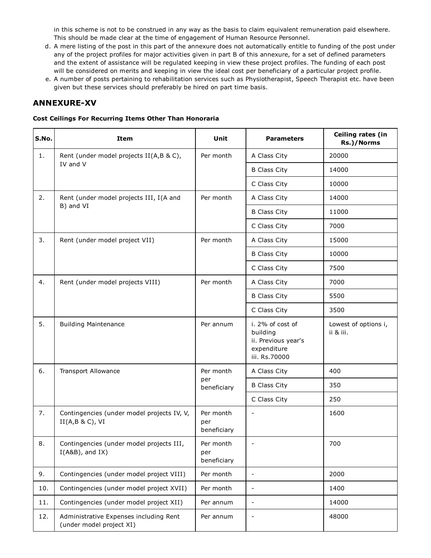in this scheme is not to be construed in any way as the basis to claim equivalent remuneration paid elsewhere. This should be made clear at the time of engagement of Human Resource Personnel.

- d. A mere listing of the post in this part of the annexure does not automatically entitle to funding of the post under any of the project profiles for major activities given in part B of this annexure, for a set of defined parameters and the extent of assistance will be regulated keeping in view these project profiles. The funding of each post will be considered on merits and keeping in view the ideal cost per beneficiary of a particular project profile.
- e. A number of posts pertaining to rehabilitation services such as Physiotherapist, Speech Therapist etc. have been given but these services should preferably be hired on part time basis.

# **ANNEXURE-XV**

#### **Cost Ceilings For Recurring Items Other Than Honoraria**

| S.No. | <b>Item</b>                                                        | Unit                            | <b>Parameters</b>                                                                   | Ceiling rates (in<br>Rs.)/Norms   |  |
|-------|--------------------------------------------------------------------|---------------------------------|-------------------------------------------------------------------------------------|-----------------------------------|--|
| 1.    | Rent (under model projects II(A,B & C),                            | Per month                       | A Class City                                                                        | 20000                             |  |
|       | IV and V                                                           |                                 | <b>B Class City</b>                                                                 | 14000                             |  |
|       |                                                                    |                                 | C Class City                                                                        | 10000                             |  |
| 2.    | Rent (under model projects III, I(A and                            | Per month                       | A Class City                                                                        | 14000                             |  |
|       | B) and VI                                                          |                                 | <b>B Class City</b>                                                                 | 11000                             |  |
|       |                                                                    |                                 | C Class City                                                                        | 7000                              |  |
| 3.    | Rent (under model project VII)                                     | Per month                       | A Class City                                                                        | 15000                             |  |
|       |                                                                    |                                 | <b>B Class City</b>                                                                 | 10000                             |  |
|       |                                                                    |                                 | C Class City                                                                        | 7500                              |  |
| 4.    | Rent (under model projects VIII)                                   | Per month                       | A Class City                                                                        | 7000                              |  |
|       |                                                                    |                                 | <b>B Class City</b>                                                                 | 5500                              |  |
|       |                                                                    |                                 | C Class City                                                                        | 3500                              |  |
| 5.    | <b>Building Maintenance</b>                                        | Per annum                       | i. 2% of cost of<br>building<br>ii. Previous year's<br>expenditure<br>iii. Rs.70000 | Lowest of options i,<br>ii & iii. |  |
| 6.    | Transport Allowance                                                | Per month                       | A Class City                                                                        | 400                               |  |
|       |                                                                    | per<br>beneficiary              | <b>B Class City</b>                                                                 | 350                               |  |
|       |                                                                    |                                 | C Class City                                                                        | 250                               |  |
| 7.    | Contingencies (under model projects IV, V,<br>$II(A,B & C)$ , VI   | Per month<br>per<br>beneficiary | $\overline{\phantom{a}}$                                                            | 1600                              |  |
| 8.    | Contingencies (under model projects III,<br>$I(A&B)$ , and $IX$ )  | Per month<br>per<br>beneficiary |                                                                                     | 700                               |  |
| 9.    | Contingencies (under model project VIII)                           | Per month                       | $\overline{\phantom{a}}$                                                            | 2000                              |  |
| 10.   | Contingencies (under model project XVII)                           | Per month                       | $\qquad \qquad \blacksquare$                                                        | 1400                              |  |
| 11.   | Contingencies (under model project XII)                            | Per annum                       | $\frac{1}{2}$                                                                       | 14000                             |  |
| 12.   | Administrative Expenses including Rent<br>(under model project XI) | Per annum                       |                                                                                     | 48000                             |  |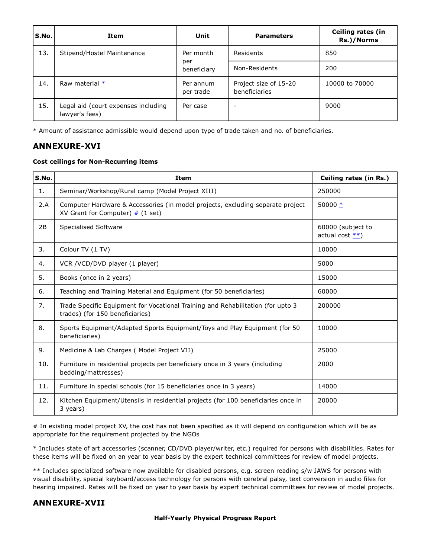| S.No. | Item                                                  | Unit                   | <b>Parameters</b>                      | Ceiling rates (in<br>Rs.)/Norms |  |
|-------|-------------------------------------------------------|------------------------|----------------------------------------|---------------------------------|--|
| 13.   | Stipend/Hostel Maintenance                            | Per month              | Residents                              | 850                             |  |
|       |                                                       | per<br>beneficiary     | Non-Residents                          | 200                             |  |
| 14.   | Raw material *                                        | Per annum<br>per trade | Project size of 15-20<br>beneficiaries | 10000 to 70000                  |  |
| 15.   | Legal aid (court expenses including<br>lawyer's fees) | Per case               |                                        | 9000                            |  |

\* Amount of assistance admissible would depend upon type of trade taken and no. of beneficiaries.

# **ANNEXURE-XVI**

# **Cost ceilings for Non-Recurring items**

| S.No. | Item                                                                                                                 | Ceiling rates (in Rs.)                  |  |  |
|-------|----------------------------------------------------------------------------------------------------------------------|-----------------------------------------|--|--|
| 1.    | Seminar/Workshop/Rural camp (Model Project XIII)                                                                     | 250000                                  |  |  |
| 2.A   | Computer Hardware & Accessories (in model projects, excluding separate project<br>XV Grant for Computer) $# (1 set)$ | 50000 $*$                               |  |  |
| 2B    | Specialised Software                                                                                                 | 60000 (subject to<br>actual cost $**$ ) |  |  |
| 3.    | Colour TV (1 TV)                                                                                                     | 10000                                   |  |  |
| 4.    | VCR / VCD/DVD player (1 player)                                                                                      | 5000                                    |  |  |
| 5.    | Books (once in 2 years)                                                                                              | 15000                                   |  |  |
| 6.    | Teaching and Training Material and Equipment (for 50 beneficiaries)                                                  | 60000                                   |  |  |
| 7.    | Trade Specific Equipment for Vocational Training and Rehabilitation (for upto 3)<br>trades) (for 150 beneficiaries)  | 200000                                  |  |  |
| 8.    | Sports Equipment/Adapted Sports Equipment/Toys and Play Equipment (for 50<br>beneficiaries)                          | 10000                                   |  |  |
| 9.    | Medicine & Lab Charges (Model Project VII)                                                                           | 25000                                   |  |  |
| 10.   | Furniture in residential projects per beneficiary once in 3 years (including<br>bedding/mattresses)                  | 2000                                    |  |  |
| 11.   | Furniture in special schools (for 15 beneficiaries once in 3 years)                                                  | 14000                                   |  |  |
| 12.   | Kitchen Equipment/Utensils in residential projects (for 100 beneficiaries once in<br>3 years)                        | 20000                                   |  |  |

# In existing model project XV, the cost has not been specified as it will depend on configuration which will be as appropriate for the requirement projected by the NGOs

\* Includes state of art accessories (scanner, CD/DVD player/writer, etc.) required for persons with disabilities. Rates for these items will be fixed on an year to year basis by the expert technical committees for review of model projects.

\*\* Includes specialized software now available for disabled persons, e.g. screen reading s/w JAWS for persons with visual disability, special keyboard/access technology for persons with cerebral palsy, text conversion in audio files for hearing impaired. Rates will be fixed on year to year basis by expert technical committees for review of model projects.

# **ANNEXURE-XVII**

# **Half-Yearly Physical Progress Report**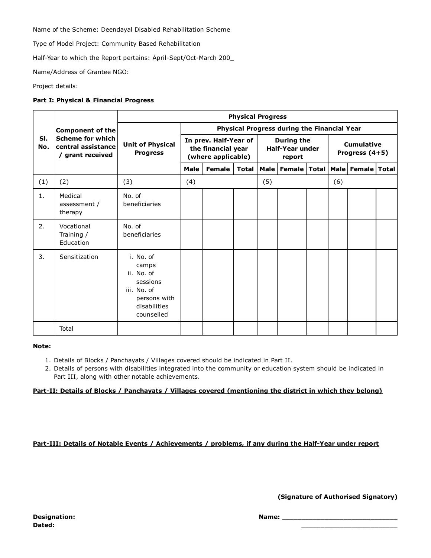Name of the Scheme: Deendayal Disabled Rehabilitation Scheme

Type of Model Project: Community Based Rehabilitation

Half-Year to which the Report pertains: April-Sept/Oct-March 200\_

Name/Address of Grantee NGO:

Project details:

# **Part I: Physical & Financial Progress**

|            | <b>Component of the</b><br><b>Scheme for which</b><br>central assistance<br>/ grant received | <b>Physical Progress</b>                                                                                  |                                                                   |               |                                                       |     |                                               |                                       |     |  |  |
|------------|----------------------------------------------------------------------------------------------|-----------------------------------------------------------------------------------------------------------|-------------------------------------------------------------------|---------------|-------------------------------------------------------|-----|-----------------------------------------------|---------------------------------------|-----|--|--|
| SI.<br>No. |                                                                                              |                                                                                                           | Physical Progress during the Financial Year                       |               |                                                       |     |                                               |                                       |     |  |  |
|            |                                                                                              | <b>Unit of Physical</b><br><b>Progress</b>                                                                | In prev. Half-Year of<br>the financial year<br>(where applicable) |               | <b>During the</b><br><b>Half-Year under</b><br>report |     |                                               | <b>Cumulative</b><br>Progress $(4+5)$ |     |  |  |
|            |                                                                                              |                                                                                                           | Male                                                              | <b>Female</b> | Total                                                 |     | Male   Female   Total   Male   Female   Total |                                       |     |  |  |
| (1)        | (2)                                                                                          | (3)                                                                                                       | (4)                                                               |               |                                                       | (5) |                                               |                                       | (6) |  |  |
| 1.         | Medical<br>assessment /<br>therapy                                                           | No. of<br>beneficiaries                                                                                   |                                                                   |               |                                                       |     |                                               |                                       |     |  |  |
| 2.         | Vocational<br>Training /<br>Education                                                        | No. of<br>beneficiaries                                                                                   |                                                                   |               |                                                       |     |                                               |                                       |     |  |  |
| 3.         | Sensitization                                                                                | i. No. of<br>camps<br>ii. No. of<br>sessions<br>iii. No. of<br>persons with<br>disabilities<br>counselled |                                                                   |               |                                                       |     |                                               |                                       |     |  |  |
|            | Total                                                                                        |                                                                                                           |                                                                   |               |                                                       |     |                                               |                                       |     |  |  |

#### **Note:**

- 1. Details of Blocks / Panchayats / Villages covered should be indicated in Part II.
- 2. Details of persons with disabilities integrated into the community or education system should be indicated in Part III, along with other notable achievements.

# **Part-II: Details of Blocks / Panchayats / Villages covered (mentioning the district in which they belong)**

# **Part-III: Details of Notable Events / Achievements / problems, if any during the Half-Year under report**

**(Signature of Authorised Signatory)**

\_\_\_\_\_\_\_\_\_\_\_\_\_\_\_\_\_\_\_\_\_\_\_\_\_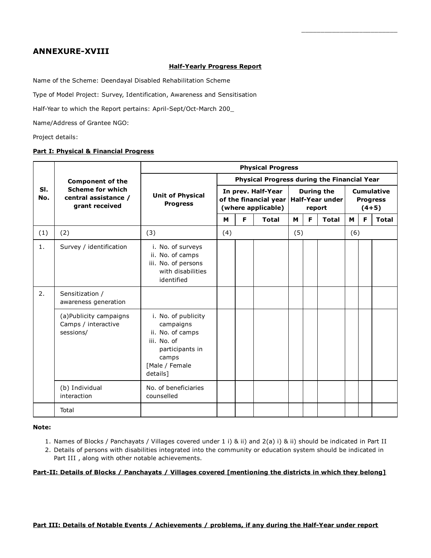# **ANNEXURE-XVIII**

## **Half-Yearly Progress Report**

\_\_\_\_\_\_\_\_\_\_\_\_\_\_\_\_\_\_\_\_\_\_\_\_\_

Name of the Scheme: Deendayal Disabled Rehabilitation Scheme

Type of Model Project: Survey, Identification, Awareness and Sensitisation

Half-Year to which the Report pertains: April-Sept/Oct-March 200\_

Name/Address of Grantee NGO:

Project details:

## **Part I: Physical & Financial Progress**

|            |                                                                                              | <b>Physical Progress</b>                                                                                                      |                                                                   |   |                                                       |     |                                                 |              |     |    |              |
|------------|----------------------------------------------------------------------------------------------|-------------------------------------------------------------------------------------------------------------------------------|-------------------------------------------------------------------|---|-------------------------------------------------------|-----|-------------------------------------------------|--------------|-----|----|--------------|
|            | <b>Component of the</b><br><b>Scheme for which</b><br>central assistance /<br>grant received |                                                                                                                               | <b>Physical Progress during the Financial Year</b>                |   |                                                       |     |                                                 |              |     |    |              |
| SI.<br>No. |                                                                                              | <b>Unit of Physical</b><br><b>Progress</b>                                                                                    | In prev. Half-Year<br>of the financial year<br>(where applicable) |   | <b>During the</b><br><b>Half-Year under</b><br>report |     | <b>Cumulative</b><br><b>Progress</b><br>$(4+5)$ |              |     |    |              |
|            |                                                                                              |                                                                                                                               | M                                                                 | F | <b>Total</b>                                          | М   | F                                               | <b>Total</b> | M   | F. | <b>Total</b> |
| (1)        | (2)                                                                                          | (3)                                                                                                                           | (4)                                                               |   |                                                       | (5) |                                                 |              | (6) |    |              |
| 1.         | Survey / identification                                                                      | i. No. of surveys<br>ii. No. of camps<br>iii. No. of persons<br>with disabilities<br>identified                               |                                                                   |   |                                                       |     |                                                 |              |     |    |              |
| 2.         | Sensitization /<br>awareness generation                                                      |                                                                                                                               |                                                                   |   |                                                       |     |                                                 |              |     |    |              |
|            | (a)Publicity campaigns<br>Camps / interactive<br>sessions/                                   | i. No. of publicity<br>campaigns<br>ii. No. of camps<br>iii. No. of<br>participants in<br>camps<br>[Male / Female<br>details] |                                                                   |   |                                                       |     |                                                 |              |     |    |              |
|            | (b) Individual<br>interaction                                                                | No. of beneficiaries<br>counselled                                                                                            |                                                                   |   |                                                       |     |                                                 |              |     |    |              |
|            | Total                                                                                        |                                                                                                                               |                                                                   |   |                                                       |     |                                                 |              |     |    |              |

### **Note:**

- 1. Names of Blocks / Panchayats / Villages covered under 1 i) & ii) and 2(a) i) & ii) should be indicated in Part II
- 2. Details of persons with disabilities integrated into the community or education system should be indicated in Part III, along with other notable achievements.

### **Part-II: Details of Blocks / Panchayats / Villages covered [mentioning the districts in which they belong]**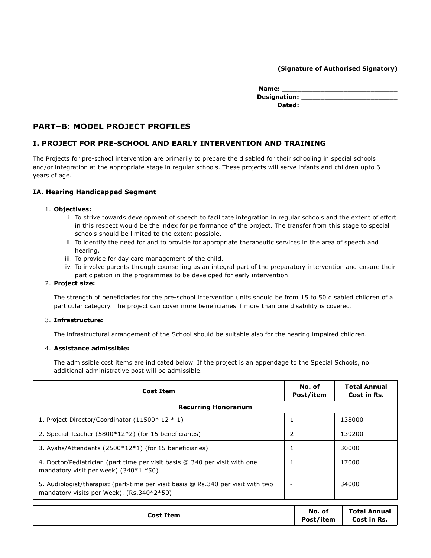**(Signature of Authorised Signatory)**

| Name:        |  |
|--------------|--|
| Designation: |  |
| Dated:       |  |

# **PART–B: MODEL PROJECT PROFILES**

# **I. PROJECT FOR PRE-SCHOOL AND EARLY INTERVENTION AND TRAINING**

The Projects for pre-school intervention are primarily to prepare the disabled for their schooling in special schools and/or integration at the appropriate stage in regular schools. These projects will serve infants and children upto 6 years of age.

## **IA. Hearing Handicapped Segment**

### **Objectives:** 1.

- i. To strive towards development of speech to facilitate integration in regular schools and the extent of effort in this respect would be the index for performance of the project. The transfer from this stage to special schools should be limited to the extent possible.
- ii. To identify the need for and to provide for appropriate therapeutic services in the area of speech and hearing.
- iii. To provide for day care management of the child.
- iv. To involve parents through counselling as an integral part of the preparatory intervention and ensure their participation in the programmes to be developed for early intervention.

## **Project size:** 2.

The strength of beneficiaries for the pre-school intervention units should be from 15 to 50 disabled children of a particular category. The project can cover more beneficiaries if more than one disability is covered.

## **Infrastructure:** 3.

The infrastructural arrangement of the School should be suitable also for the hearing impaired children.

### **Assistance admissible:** 4.

The admissible cost items are indicated below. If the project is an appendage to the Special Schools, no additional administrative post will be admissible.

| <b>Cost Item</b>                                                                                                             | No. of<br>Post/item | <b>Total Annual</b><br>Cost in Rs. |
|------------------------------------------------------------------------------------------------------------------------------|---------------------|------------------------------------|
| <b>Recurring Honorarium</b>                                                                                                  |                     |                                    |
| 1. Project Director/Coordinator $(11500 * 12 * 1)$                                                                           |                     | 138000                             |
| 2. Special Teacher (5800*12*2) (for 15 beneficiaries)                                                                        | 2                   | 139200                             |
| 3. Ayahs/Attendants (2500*12*1) (for 15 beneficiaries)                                                                       |                     | 30000                              |
| 4. Doctor/Pediatrician (part time per visit basis @ 340 per visit with one<br>mandatory visit per week) $(340 * 1 * 50)$     |                     | 17000                              |
| 5. Audiologist/therapist (part-time per visit basis @ Rs.340 per visit with two<br>mandatory visits per Week). (Rs.340*2*50) |                     | 34000                              |
|                                                                                                                              | $N_A$ of            | Tatal Annual                       |

| <b>Cost Item</b> | No. of    | <b>Total Annual</b> |  |
|------------------|-----------|---------------------|--|
|                  | Post/item | Cost in Rs.         |  |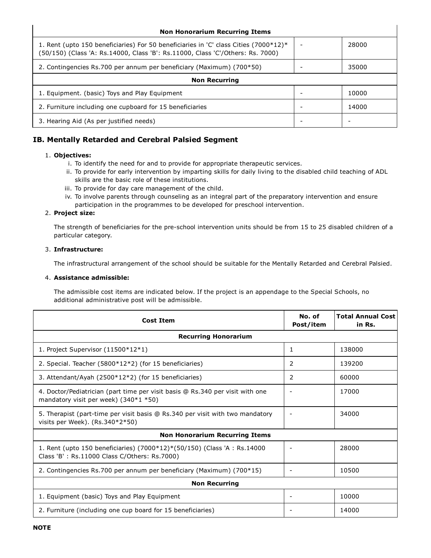| <b>Non Honorarium Recurring Items</b>                                                                                                                                     |  |       |  |  |
|---------------------------------------------------------------------------------------------------------------------------------------------------------------------------|--|-------|--|--|
| 1. Rent (upto 150 beneficiaries) For 50 beneficiaries in 'C' class Cities (7000 $*12)*$<br>(50/150) (Class 'A: Rs.14000, Class 'B': Rs.11000, Class 'C'/Others: Rs. 7000) |  | 28000 |  |  |
| 2. Contingencies Rs.700 per annum per beneficiary (Maximum) (700*50)                                                                                                      |  | 35000 |  |  |
| <b>Non Recurring</b>                                                                                                                                                      |  |       |  |  |
| 1. Equipment. (basic) Toys and Play Equipment                                                                                                                             |  | 10000 |  |  |
| 2. Furniture including one cupboard for 15 beneficiaries                                                                                                                  |  | 14000 |  |  |
| 3. Hearing Aid (As per justified needs)                                                                                                                                   |  |       |  |  |

# **IB. Mentally Retarded and Cerebral Palsied Segment**

## **Objectives:** 1.

- i. To identify the need for and to provide for appropriate therapeutic services.
- ii. To provide for early intervention by imparting skills for daily living to the disabled child teaching of ADL skills are the basic role of these institutions.
- iii. To provide for day care management of the child.
- iv. To involve parents through counseling as an integral part of the preparatory intervention and ensure participation in the programmes to be developed for preschool intervention.

### **Project size:** 2.

The strength of beneficiaries for the pre-school intervention units should be from 15 to 25 disabled children of a particular category.

### **Infrastructure:** 3.

The infrastructural arrangement of the school should be suitable for the Mentally Retarded and Cerebral Palsied.

### **Assistance admissible:** 4.

The admissible cost items are indicated below. If the project is an appendage to the Special Schools, no additional administrative post will be admissible.

| <b>Cost Item</b>                                                                                                         | No. of<br>Post/item | <b>Total Annual Cost</b><br>in Rs. |  |  |  |
|--------------------------------------------------------------------------------------------------------------------------|---------------------|------------------------------------|--|--|--|
| <b>Recurring Honorarium</b>                                                                                              |                     |                                    |  |  |  |
| 1. Project Supervisor (11500*12*1)                                                                                       | $\mathbf{1}$        | 138000                             |  |  |  |
| 2. Special. Teacher (5800*12*2) (for 15 beneficiaries)                                                                   | 2                   | 139200                             |  |  |  |
| 3. Attendant/Ayah (2500*12*2) (for 15 beneficiaries)                                                                     | 2                   | 60000                              |  |  |  |
| 4. Doctor/Pediatrician (part time per visit basis @ Rs.340 per visit with one<br>mandatory visit per week) (340*1 *50)   |                     | 17000                              |  |  |  |
| 5. Therapist (part-time per visit basis @ Rs.340 per visit with two mandatory<br>visits per Week). $(Rs.340*2*50)$       |                     | 34000                              |  |  |  |
| <b>Non Honorarium Recurring Items</b>                                                                                    |                     |                                    |  |  |  |
| 1. Rent (upto 150 beneficiaries) (7000*12)*(50/150) (Class 'A : Rs.14000<br>Class 'B': Rs.11000 Class C/Others: Rs.7000) |                     | 28000                              |  |  |  |
| 2. Contingencies Rs.700 per annum per beneficiary (Maximum) (700*15)                                                     |                     | 10500                              |  |  |  |
| <b>Non Recurring</b>                                                                                                     |                     |                                    |  |  |  |
| 1. Equipment (basic) Toys and Play Equipment                                                                             |                     | 10000                              |  |  |  |
| 2. Furniture (including one cup board for 15 beneficiaries)                                                              |                     | 14000                              |  |  |  |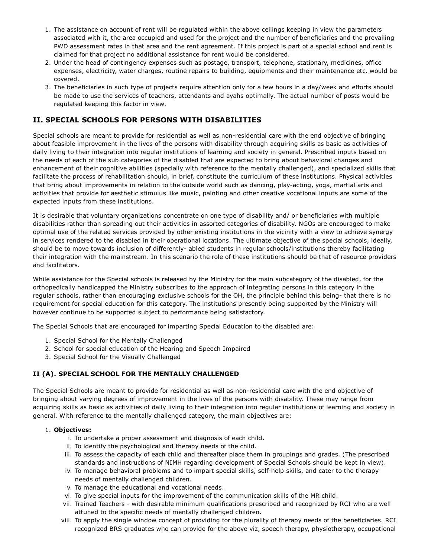- 1. The assistance on account of rent will be regulated within the above ceilings keeping in view the parameters associated with it, the area occupied and used for the project and the number of beneficiaries and the prevailing PWD assessment rates in that area and the rent agreement. If this project is part of a special school and rent is claimed for that project no additional assistance for rent would be considered.
- 2. Under the head of contingency expenses such as postage, transport, telephone, stationary, medicines, office expenses, electricity, water charges, routine repairs to building, equipments and their maintenance etc. would be covered.
- 3. The beneficiaries in such type of projects require attention only for a few hours in a day/week and efforts should be made to use the services of teachers, attendants and ayahs optimally. The actual number of posts would be regulated keeping this factor in view.

# **II. SPECIAL SCHOOLS FOR PERSONS WITH DISABILITIES**

Special schools are meant to provide for residential as well as non-residential care with the end objective of bringing about feasible improvement in the lives of the persons with disability through acquiring skills as basic as activities of daily living to their integration into regular institutions of learning and society in general. Prescribed inputs based on the needs of each of the sub categories of the disabled that are expected to bring about behavioral changes and enhancement of their cognitive abilities (specially with reference to the mentally challenged), and specialized skills that facilitate the process of rehabilitation should, in brief, constitute the curriculum of these institutions. Physical activities that bring about improvements in relation to the outside world such as dancing, play-acting, yoga, martial arts and activities that provide for aesthetic stimulus like music, painting and other creative vocational inputs are some of the expected inputs from these institutions.

It is desirable that voluntary organizations concentrate on one type of disability and/ or beneficiaries with multiple disabilities rather than spreading out their activities in assorted categories of disability. NGOs are encouraged to make optimal use of the related services provided by other existing institutions in the vicinity with a view to achieve synergy in services rendered to the disabled in their operational locations. The ultimate objective of the special schools, ideally, should be to move towards inclusion of differently- abled students in regular schools/institutions thereby facilitating their integration with the mainstream. In this scenario the role of these institutions should be that of resource providers and facilitators.

While assistance for the Special schools is released by the Ministry for the main subcategory of the disabled, for the orthopedically handicapped the Ministry subscribes to the approach of integrating persons in this category in the regular schools, rather than encouraging exclusive schools for the OH, the principle behind this being- that there is no requirement for special education for this category. The institutions presently being supported by the Ministry will however continue to be supported subject to performance being satisfactory.

The Special Schools that are encouraged for imparting Special Education to the disabled are:

- 1. Special School for the Mentally Challenged
- 2. School for special education of the Hearing and Speech Impaired
- 3. Special School for the Visually Challenged

# **II (A). SPECIAL SCHOOL FOR THE MENTALLY CHALLENGED**

The Special Schools are meant to provide for residential as well as non-residential care with the end objective of bringing about varying degrees of improvement in the lives of the persons with disability. These may range from acquiring skills as basic as activities of daily living to their integration into regular institutions of learning and society in general. With reference to the mentally challenged category, the main objectives are:

## **Objectives:** 1.

- i. To undertake a proper assessment and diagnosis of each child.
- ii. To identify the psychological and therapy needs of the child.
- iii. To assess the capacity of each child and thereafter place them in groupings and grades. (The prescribed standards and instructions of NIMH regarding development of Special Schools should be kept in view).
- iv. To manage behavioral problems and to impart special skills, self-help skills, and cater to the therapy needs of mentally challenged children.
- v. To manage the educational and vocational needs.
- vi. To give special inputs for the improvement of the communication skills of the MR child.
- vii. Trained Teachers with desirable minimum qualifications prescribed and recognized by RCI who are well attuned to the specific needs of mentally challenged children.
- viii. To apply the single window concept of providing for the plurality of therapy needs of the beneficiaries. RCI recognized BRS graduates who can provide for the above viz, speech therapy, physiotherapy, occupational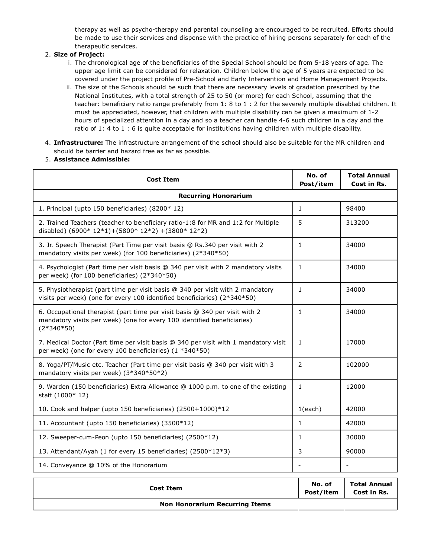therapy as well as psycho-therapy and parental counseling are encouraged to be recruited. Efforts should be made to use their services and dispense with the practice of hiring persons separately for each of the therapeutic services.

## **Size of Project:** 2.

- i. The chronological age of the beneficiaries of the Special School should be from 5-18 years of age. The upper age limit can be considered for relaxation. Children below the age of 5 years are expected to be covered under the project profile of Pre-School and Early Intervention and Home Management Projects.
- ii. The size of the Schools should be such that there are necessary levels of gradation prescribed by the National Institutes, with a total strength of 25 to 50 (or more) for each School, assuming that the teacher: beneficiary ratio range preferably from 1: 8 to 1 : 2 for the severely multiple disabled children. It must be appreciated, however, that children with multiple disability can be given a maximum of 1-2 hours of specialized attention in a day and so a teacher can handle 4-6 such children in a day and the ratio of 1: 4 to 1 : 6 is quite acceptable for institutions having children with multiple disability.
- **Infrastructure:** The infrastructure arrangement of the school should also be suitable for the MR children and 4. should be barrier and hazard free as far as possible.

## 5. **Assistance Admissible:**

| <b>Cost Item</b>                                                                                                                                                       | No. of<br>Post/item | <b>Total Annual</b><br>Cost in Rs. |  |  |  |
|------------------------------------------------------------------------------------------------------------------------------------------------------------------------|---------------------|------------------------------------|--|--|--|
| <b>Recurring Honorarium</b>                                                                                                                                            |                     |                                    |  |  |  |
| 1. Principal (upto 150 beneficiaries) (8200* 12)                                                                                                                       | $\mathbf{1}$        | 98400                              |  |  |  |
| 2. Trained Teachers (teacher to beneficiary ratio-1:8 for MR and 1:2 for Multiple<br>disabled) $(6900*12*1)+(5800*12*2)+(3800*12*2)$                                   | 5                   | 313200                             |  |  |  |
| 3. Jr. Speech Therapist (Part Time per visit basis @ Rs.340 per visit with 2<br>mandatory visits per week) (for 100 beneficiaries) (2*340*50)                          | $\mathbf{1}$        | 34000                              |  |  |  |
| 4. Psychologist (Part time per visit basis @ 340 per visit with 2 mandatory visits<br>per week) (for 100 beneficiaries) (2*340*50)                                     | $\mathbf{1}$        | 34000                              |  |  |  |
| 5. Physiotherapist (part time per visit basis @ 340 per visit with 2 mandatory<br>visits per week) (one for every 100 identified beneficiaries) (2*340*50)             | 1                   | 34000                              |  |  |  |
| 6. Occupational therapist (part time per visit basis @ 340 per visit with 2<br>mandatory visits per week) (one for every 100 identified beneficiaries)<br>$(2*340*50)$ | $\mathbf{1}$        | 34000                              |  |  |  |
| 7. Medical Doctor (Part time per visit basis @ 340 per visit with 1 mandatory visit<br>per week) (one for every 100 beneficiaries) (1 *340*50)                         | $\mathbf{1}$        | 17000                              |  |  |  |
| 8. Yoga/PT/Music etc. Teacher (Part time per visit basis @ 340 per visit with 3<br>mandatory visits per week) (3*340*50*2)                                             | 2                   | 102000                             |  |  |  |
| 9. Warden (150 beneficiaries) Extra Allowance @ 1000 p.m. to one of the existing<br>staff (1000* 12)                                                                   | $\mathbf{1}$        | 12000                              |  |  |  |
| 10. Cook and helper (upto 150 beneficiaries) (2500+1000)*12                                                                                                            | 1(each)             | 42000                              |  |  |  |
| 11. Accountant (upto 150 beneficiaries) (3500*12)                                                                                                                      | $\mathbf{1}$        | 42000                              |  |  |  |
| 12. Sweeper-cum-Peon (upto 150 beneficiaries) (2500*12)                                                                                                                | $\mathbf{1}$        | 30000                              |  |  |  |
| 13. Attendant/Ayah (1 for every 15 beneficiaries) (2500*12*3)                                                                                                          | 3                   | 90000                              |  |  |  |
| 14. Conveyance @ 10% of the Honorarium                                                                                                                                 | $\overline{a}$      | $\overline{a}$                     |  |  |  |
| <b>Cost Item</b><br><b>Non Honorarium Recurring Items</b>                                                                                                              | No. of<br>Post/item | <b>Total Annual</b><br>Cost in Rs. |  |  |  |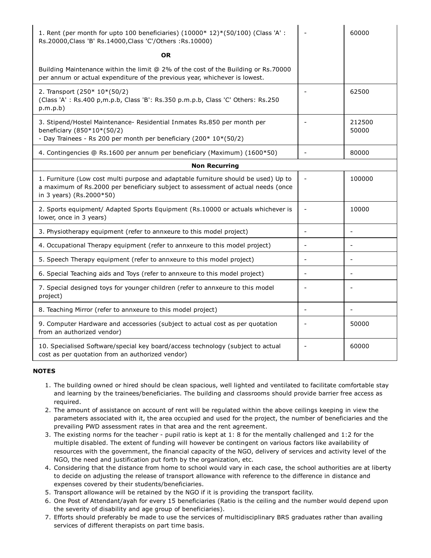| 1. Rent (per month for upto 100 beneficiaries) (10000* 12)*(50/100) (Class 'A' :<br>Rs.20000, Class 'B' Rs.14000, Class 'C'/Others : Rs.10000)                                                     | 60000           |
|----------------------------------------------------------------------------------------------------------------------------------------------------------------------------------------------------|-----------------|
| <b>OR</b>                                                                                                                                                                                          |                 |
| Building Maintenance within the limit @ 2% of the cost of the Building or Rs.70000<br>per annum or actual expenditure of the previous year, whichever is lowest.                                   |                 |
| 2. Transport (250* 10*(50/2)<br>(Class 'A': Rs.400 p,m.p.b, Class 'B': Rs.350 p.m.p.b, Class 'C' Others: Rs.250<br>p.m.p.b)                                                                        | 62500           |
| 3. Stipend/Hostel Maintenance- Residential Inmates Rs.850 per month per<br>beneficiary (850*10*(50/2)<br>- Day Trainees - Rs 200 per month per beneficiary (200* 10*(50/2)                         | 212500<br>50000 |
| 4. Contingencies @ Rs.1600 per annum per beneficiary (Maximum) (1600*50)                                                                                                                           | 80000           |
| <b>Non Recurring</b>                                                                                                                                                                               |                 |
| 1. Furniture (Low cost multi purpose and adaptable furniture should be used) Up to<br>a maximum of Rs.2000 per beneficiary subject to assessment of actual needs (once<br>in 3 years) (Rs.2000*50) | 100000          |
| 2. Sports equipment/ Adapted Sports Equipment (Rs.10000 or actuals whichever is<br>lower, once in 3 years)                                                                                         | 10000           |
| 3. Physiotherapy equipment (refer to annxeure to this model project)                                                                                                                               |                 |
| 4. Occupational Therapy equipment (refer to annxeure to this model project)                                                                                                                        |                 |
| 5. Speech Therapy equipment (refer to annxeure to this model project)                                                                                                                              |                 |
| 6. Special Teaching aids and Toys (refer to annxeure to this model project)                                                                                                                        | ۳               |
| 7. Special designed toys for younger children (refer to annxeure to this model<br>project)                                                                                                         |                 |
| 8. Teaching Mirror (refer to annxeure to this model project)                                                                                                                                       |                 |
| 9. Computer Hardware and accessories (subject to actual cost as per quotation<br>from an authorized vendor)                                                                                        | 50000           |
| 10. Specialised Software/special key board/access technology (subject to actual<br>cost as per quotation from an authorized vendor)                                                                | 60000           |

- 1. The building owned or hired should be clean spacious, well lighted and ventilated to facilitate comfortable stay and learning by the trainees/beneficiaries. The building and classrooms should provide barrier free access as required.
- 2. The amount of assistance on account of rent will be regulated within the above ceilings keeping in view the parameters associated with it, the area occupied and used for the project, the number of beneficiaries and the prevailing PWD assessment rates in that area and the rent agreement.
- 3. The existing norms for the teacher pupil ratio is kept at 1: 8 for the mentally challenged and 1:2 for the multiple disabled. The extent of funding will however be contingent on various factors like availability of resources with the government, the financial capacity of the NGO, delivery of services and activity level of the NGO, the need and justification put forth by the organization, etc.
- 4. Considering that the distance from home to school would vary in each case, the school authorities are at liberty to decide on adjusting the release of transport allowance with reference to the difference in distance and expenses covered by their students/beneficiaries.
- 5. Transport allowance will be retained by the NGO if it is providing the transport facility.
- 6. One Post of Attendant/ayah for every 15 beneficiaries (Ratio is the ceiling and the number would depend upon the severity of disability and age group of beneficiaries).
- Efforts should preferably be made to use the services of multidisciplinary BRS graduates rather than availing 7.services of different therapists on part time basis.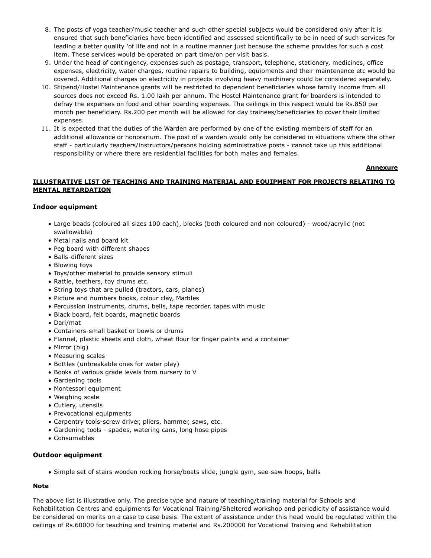- 8. The posts of yoga teacher/music teacher and such other special subjects would be considered only after it is ensured that such beneficiaries have been identified and assessed scientifically to be in need of such services for leading a better quality 'of life and not in a routine manner just because the scheme provides for such a cost item. These services would be operated on part time/on per visit basis.
- 9. Under the head of contingency, expenses such as postage, transport, telephone, stationery, medicines, office expenses, electricity, water charges, routine repairs to building, equipments and their maintenance etc would be covered. Additional charges on electricity in projects involving heavy machinery could be considered separately.
- 10. Stipend/Hostel Maintenance grants will be restricted to dependent beneficiaries whose family income from all sources does not exceed Rs. 1.00 lakh per annum. The Hostel Maintenance grant for boarders is intended to defray the expenses on food and other boarding expenses. The ceilings in this respect would be Rs.850 per month per beneficiary. Rs.200 per month will be allowed for day trainees/beneficiaries to cover their limited expenses.
- 11. It is expected that the duties of the Warden are performed by one of the existing members of staff for an additional allowance or honorarium. The post of a warden would only be considered in situations where the other staff - particularly teachers/instructors/persons holding administrative posts - cannot take up this additional responsibility or where there are residential facilities for both males and females.

#### **Annexure**

### **ILLUSTRATIVE LIST OF TEACHING AND TRAINING MATERIAL AND EQUIPMENT FOR PROJECTS RELATING TO MENTAL RETARDATION**

### **Indoor equipment**

- Large beads (coloured all sizes 100 each), blocks (both coloured and non coloured) wood/acrylic (not swallowable)
- Metal nails and board kit
- Peg board with different shapes
- Balls-different sizes
- Blowing toys
- Toys/other material to provide sensory stimuli
- Rattle, teethers, toy drums etc.
- String toys that are pulled (tractors, cars, planes)
- Picture and numbers books, colour clay, Marbles
- Percussion instruments, drums, bells, tape recorder, tapes with music
- Black board, felt boards, magnetic boards
- Dari/mat
- Containers-small basket or bowls or drums
- Flannel, plastic sheets and cloth, wheat flour for finger paints and a container
- Mirror (big)
- Measuring scales
- Bottles (unbreakable ones for water play)
- Books of various grade levels from nursery to V
- Gardening tools
- Montessori equipment
- Weighing scale
- Cutlery, utensils
- Prevocational equipments
- Carpentry tools-screw driver, pliers, hammer, saws, etc.
- Gardening tools spades, watering cans, long hose pipes
- Consumables

## **Outdoor equipment**

Simple set of stairs wooden rocking horse/boats slide, jungle gym, see-saw hoops, balls

# **Note**

The above list is illustrative only. The precise type and nature of teaching/training material for Schools and Rehabilitation Centres and equipments for Vocational Training/Sheltered workshop and periodicity of assistance would be considered on merits on a case to case basis. The extent of assistance under this head would be regulated within the ceilings of Rs.60000 for teaching and training material and Rs.200000 for Vocational Training and Rehabilitation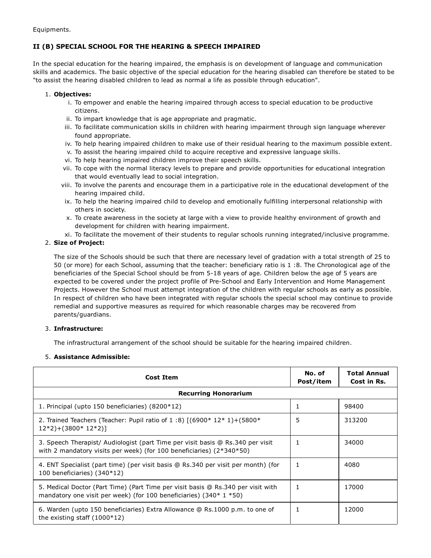# **II (B) SPECIAL SCHOOL FOR THE HEARING & SPEECH IMPAIRED**

In the special education for the hearing impaired, the emphasis is on development of language and communication skills and academics. The basic objective of the special education for the hearing disabled can therefore be stated to be "to assist the hearing disabled children to lead as normal a life as possible through education".

### **Objectives:** 1.

- i. To empower and enable the hearing impaired through access to special education to be productive citizens.
- ii. To impart knowledge that is age appropriate and pragmatic.
- iii. To facilitate communication skills in children with hearing impairment through sign language wherever found appropriate.
- iv. To help hearing impaired children to make use of their residual hearing to the maximum possible extent.
- v. To assist the hearing impaired child to acquire receptive and expressive language skills.
- vi. To help hearing impaired children improve their speech skills.
- vii. To cope with the normal literacy levels to prepare and provide opportunities for educational integration that would eventually lead to social integration.
- viii. To involve the parents and encourage them in a participative role in the educational development of the hearing impaired child.
- ix. To help the hearing impaired child to develop and emotionally fulfilling interpersonal relationship with others in society.
- x. To create awareness in the society at large with a view to provide healthy environment of growth and development for children with hearing impairment.
- xi. To facilitate the movement of their students to regular schools running integrated/inclusive programme.

### **Size of Project:** 2.

The size of the Schools should be such that there are necessary level of gradation with a total strength of 25 to 50 (or more) for each School, assuming that the teacher: beneficiary ratio is 1 :8. The Chronological age of the beneficiaries of the Special School should be from 5-18 years of age. Children below the age of 5 years are expected to be covered under the project profile of Pre-School and Early Intervention and Home Management Projects. However the School must attempt integration of the children with regular schools as early as possible. In respect of children who have been integrated with regular schools the special school may continue to provide remedial and supportive measures as required for which reasonable charges may be recovered from parents/guardians.

## **Infrastructure:** 3.

The infrastructural arrangement of the school should be suitable for the hearing impaired children.

## 5. **Assistance Admissible:**

| <b>Cost Item</b>                                                                                                                                         | No. of<br>Post/item | <b>Total Annual</b><br>Cost in Rs. |
|----------------------------------------------------------------------------------------------------------------------------------------------------------|---------------------|------------------------------------|
| <b>Recurring Honorarium</b>                                                                                                                              |                     |                                    |
| 1. Principal (upto 150 beneficiaries) (8200*12)                                                                                                          |                     | 98400                              |
| 2. Trained Teachers (Teacher: Pupil ratio of 1:8) $(6900*12*1)+(5800*1)$<br>$12*2$ + (3800* 12*2)]                                                       | 5                   | 313200                             |
| 3. Speech Therapist/ Audiologist (part Time per visit basis @ Rs.340 per visit<br>with 2 mandatory visits per week) (for 100 beneficiaries) $(2*340*50)$ |                     | 34000                              |
| 4. ENT Specialist (part time) (per visit basis @ Rs.340 per visit per month) (for<br>100 beneficiaries) $(340*12)$                                       |                     | 4080                               |
| 5. Medical Doctor (Part Time) (Part Time per visit basis @ Rs.340 per visit with<br>mandatory one visit per week) (for 100 beneficiaries) $(340*1*50)$   |                     | 17000                              |
| 6. Warden (upto 150 beneficiaries) Extra Allowance @ Rs.1000 p.m. to one of<br>the existing staff $(1000*12)$                                            |                     | 12000                              |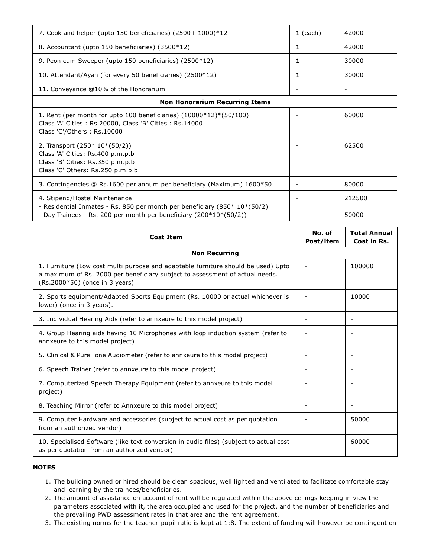| 7. Cook and helper (upto 150 beneficiaries) (2500+ 1000)*12                                                                                                                      | $1$ (each)               | 42000           |
|----------------------------------------------------------------------------------------------------------------------------------------------------------------------------------|--------------------------|-----------------|
| 8. Accountant (upto 150 beneficiaries) (3500*12)                                                                                                                                 | 1                        | 42000           |
| 9. Peon cum Sweeper (upto 150 beneficiaries) (2500*12)                                                                                                                           | $\mathbf{1}$             | 30000           |
| 10. Attendant/Ayah (for every 50 beneficiaries) (2500*12)                                                                                                                        | 1                        | 30000           |
| 11. Conveyance @10% of the Honorarium                                                                                                                                            | $\overline{\phantom{a}}$ |                 |
| <b>Non Honorarium Recurring Items</b>                                                                                                                                            |                          |                 |
| 1. Rent (per month for upto 100 beneficiaries) (10000*12)*(50/100)<br>Class 'A' Cities: Rs.20000, Class 'B' Cities: Rs.14000<br>Class 'C'/Others: Rs.10000                       |                          | 60000           |
| 2. Transport $(250 * 10 * (50/2))$<br>Class 'A' Cities: Rs.400 p.m.p.b<br>Class 'B' Cities: Rs.350 p.m.p.b<br>Class 'C' Others: Rs.250 p.m.p.b                                   |                          | 62500           |
| 3. Contingencies @ Rs.1600 per annum per beneficiary (Maximum) 1600*50                                                                                                           |                          | 80000           |
| 4. Stipend/Hostel Maintenance<br>- Residential Inmates - Rs. 850 per month per beneficiary (850* 10*(50/2)<br>- Day Trainees - Rs. 200 per month per beneficiary (200*10*(50/2)) |                          | 212500<br>50000 |

| <b>Cost Item</b>                                                                                                                                                                                    |  | <b>Total Annual</b><br>Cost in Rs. |
|-----------------------------------------------------------------------------------------------------------------------------------------------------------------------------------------------------|--|------------------------------------|
| <b>Non Recurring</b>                                                                                                                                                                                |  |                                    |
| 1. Furniture (Low cost multi purpose and adaptable furniture should be used) Upto<br>a maximum of Rs. 2000 per beneficiary subject to assessment of actual needs.<br>(Rs.2000*50) (once in 3 years) |  | 100000                             |
| 2. Sports equipment/Adapted Sports Equipment (Rs. 10000 or actual whichever is<br>lower) (once in 3 years).                                                                                         |  | 10000                              |
| 3. Individual Hearing Aids (refer to annxeure to this model project)                                                                                                                                |  |                                    |
| 4. Group Hearing aids having 10 Microphones with loop induction system (refer to<br>annxeure to this model project)                                                                                 |  |                                    |
| 5. Clinical & Pure Tone Audiometer (refer to annxeure to this model project)                                                                                                                        |  |                                    |
| 6. Speech Trainer (refer to annxeure to this model project)                                                                                                                                         |  |                                    |
| 7. Computerized Speech Therapy Equipment (refer to annxeure to this model<br>project)                                                                                                               |  |                                    |
| 8. Teaching Mirror (refer to Annxeure to this model project)                                                                                                                                        |  | $\overline{\phantom{m}}$           |
| 9. Computer Hardware and accessories (subject to actual cost as per quotation<br>from an authorized vendor)                                                                                         |  | 50000                              |
| 10. Specialised Software (like text conversion in audio files) (subject to actual cost<br>as per quotation from an authorized vendor)                                                               |  | 60000                              |

- 1. The building owned or hired should be clean spacious, well lighted and ventilated to facilitate comfortable stay and learning by the trainees/beneficiaries.
- 2. The amount of assistance on account of rent will be regulated within the above ceilings keeping in view the parameters associated with it, the area occupied and used for the project, and the number of beneficiaries and the prevailing PWD assessment rates in that area and the rent agreement.
- 3. The existing norms for the teacher-pupil ratio is kept at 1:8. The extent of funding will however be contingent on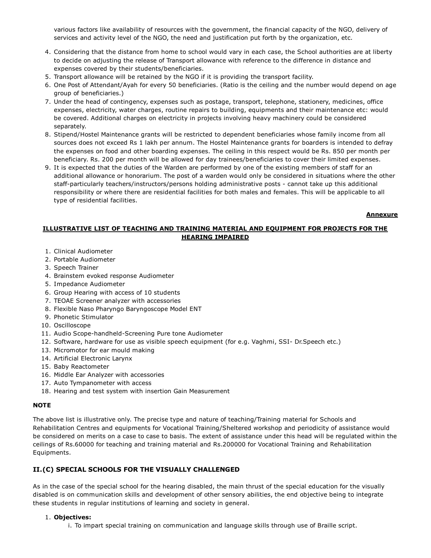various factors like availability of resources with the government, the financial capacity of the NGO, delivery of services and activity level of the NGO, the need and justification put forth by the organization, etc.

- 4. Considering that the distance from home to school would vary in each case, the School authorities are at liberty to decide on adjusting the release of Transport allowance with reference to the difference in distance and expenses covered by their students/beneficiaries.
- 5. Transport allowance will be retained by the NGO if it is providing the transport facility.
- 6. One Post of Attendant/Ayah for every 50 beneficiaries. (Ratio is the ceiling and the number would depend on age group of beneficiaries.)
- 7. Under the head of contingency, expenses such as postage, transport, telephone, stationery, medicines, office expenses, electricity, water charges, routine repairs to building, equipments and their maintenance etc: would be covered. Additional charges on electricity in projects involving heavy machinery could be considered separately.
- Stipend/Hostel Maintenance grants will be restricted to dependent beneficiaries whose family income from all 8. sources does not exceed Rs 1 lakh per annum. The Hostel Maintenance grants for boarders is intended to defray the expenses on food and other boarding expenses. The ceiling in this respect would be Rs. 850 per month per beneficiary. Rs. 200 per month will be allowed for day trainees/beneficiaries to cover their limited expenses.
- 9. It is expected that the duties of the Warden are performed by one of the existing members of staff for an additional allowance or honorarium. The post of a warden would only be considered in situations where the other staff-particularly teachers/instructors/persons holding administrative posts - cannot take up this additional responsibility or where there are residential facilities for both males and females. This will be applicable to all type of residential facilities.

**Annexure**

## **ILLUSTRATIVE LIST OF TEACHING AND TRAINING MATERIAL AND EQUIPMENT FOR PROJECTS FOR THE HEARING IMPAIRED**

- 1. Clinical Audiometer
- 2. Portable Audiometer
- 3. Speech Trainer
- 4. Brainstem evoked response Audiometer
- 5. Impedance Audiometer
- 6. Group Hearing with access of 10 students
- 7. TEOAE Screener analyzer with accessories
- 8. Flexible Naso Pharyngo Baryngoscope Model ENT
- 9. Phonetic Stimulator
- 10. Oscilloscope
- 11. Audio Scope-handheld-Screening Pure tone Audiometer
- 12. Software, hardware for use as visible speech equipment (for e.g. Vaghmi, SSI- Dr.Speech etc.)
- 13. Micromotor for ear mould making
- 14. Artificial Electronic Larynx
- 15. Baby Reactometer
- 16. Middle Ear Analyzer with accessories
- 17. Auto Tympanometer with access
- 18. Hearing and test system with insertion Gain Measurement

### **NOTE**

The above list is illustrative only. The precise type and nature of teaching/Training material for Schools and Rehabilitation Centres and equipments for Vocational Training/Sheltered workshop and periodicity of assistance would be considered on merits on a case to case to basis. The extent of assistance under this head will be regulated within the ceilings of Rs.60000 for teaching and training material and Rs.200000 for Vocational Training and Rehabilitation Equipments.

## **II.(C) SPECIAL SCHOOLS FOR THE VISUALLY CHALLENGED**

As in the case of the special school for the hearing disabled, the main thrust of the special education for the visually disabled is on communication skills and development of other sensory abilities, the end objective being to integrate these students in regular institutions of learning and society in general.

### **Objectives:** 1.

i. To impart special training on communication and language skills through use of Braille script.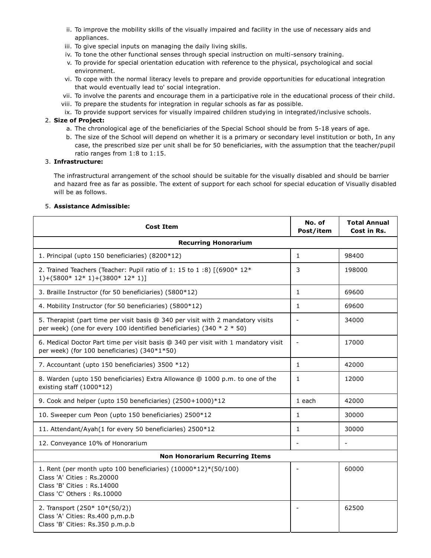- ii. To improve the mobility skills of the visually impaired and facility in the use of necessary aids and appliances.
- iii. To give special inputs on managing the daily living skills.
- iv. To tone the other functional senses through special instruction on multi-sensory training.
- v. To provide for special orientation education with reference to the physical, psychological and social environment.
- vi. To cope with the normal literacy levels to prepare and provide opportunities for educational integration that would eventually lead to' social integration.
- vii. To involve the parents and encourage them in a participative role in the educational process of their child.
- viii. To prepare the students for integration in regular schools as far as possible.
- ix. To provide support services for visually impaired children studying in integrated/inclusive schools.

## **Size of Project:** 2.

- a. The chronological age of the beneficiaries of the Special School should be from 5-18 years of age.
- b. The size of the School will depend on whether it is a primary or secondary level institution or both, In any case, the prescribed size per unit shall be for 50 beneficiaries, with the assumption that the teacher/pupil ratio ranges from 1:8 to 1:15.

## **Infrastructure:** 3.

The infrastructural arrangement of the school should be suitable for the visually disabled and should be barrier and hazard free as far as possible. The extent of support for each school for special education of Visually disabled will be as follows.

# 5. **Assistance Admissible:**

| <b>Cost Item</b>                                                                                                                                           | No. of<br>Post/item | <b>Total Annual</b><br>Cost in Rs. |  |  |  |
|------------------------------------------------------------------------------------------------------------------------------------------------------------|---------------------|------------------------------------|--|--|--|
| <b>Recurring Honorarium</b>                                                                                                                                |                     |                                    |  |  |  |
| 1. Principal (upto 150 beneficiaries) (8200*12)                                                                                                            | $\mathbf{1}$        | 98400                              |  |  |  |
| 2. Trained Teachers (Teacher: Pupil ratio of 1: 15 to 1:8) [(6900* 12*<br>$1)+(5800*12*1)+(3800*12*1)]$                                                    | 3                   | 198000                             |  |  |  |
| 3. Braille Instructor (for 50 beneficiaries) (5800*12)                                                                                                     | $\mathbf{1}$        | 69600                              |  |  |  |
| 4. Mobility Instructor (for 50 beneficiaries) (5800*12)                                                                                                    | $\mathbf{1}$        | 69600                              |  |  |  |
| 5. Therapist (part time per visit basis @ 340 per visit with 2 mandatory visits<br>per week) (one for every 100 identified beneficiaries) $(340 * 2 * 50)$ |                     | 34000                              |  |  |  |
| 6. Medical Doctor Part time per visit basis @ 340 per visit with 1 mandatory visit<br>per week) (for 100 beneficiaries) (340*1*50)                         |                     | 17000                              |  |  |  |
| 7. Accountant (upto 150 beneficiaries) 3500 *12)                                                                                                           | $\mathbf{1}$        | 42000                              |  |  |  |
| 8. Warden (upto 150 beneficiaries) Extra Allowance @ 1000 p.m. to one of the<br>existing staff $(1000*12)$                                                 | $\mathbf{1}$        | 12000                              |  |  |  |
| 9. Cook and helper (upto 150 beneficiaries) (2500+1000)*12                                                                                                 | 1 each              | 42000                              |  |  |  |
| 10. Sweeper cum Peon (upto 150 beneficiaries) 2500*12                                                                                                      | $\mathbf{1}$        | 30000                              |  |  |  |
| 11. Attendant/Ayah(1 for every 50 beneficiaries) 2500*12                                                                                                   | $\mathbf{1}$        | 30000                              |  |  |  |
| 12. Conveyance 10% of Honorarium                                                                                                                           | $\blacksquare$      | $\blacksquare$                     |  |  |  |
| <b>Non Honorarium Recurring Items</b>                                                                                                                      |                     |                                    |  |  |  |
| 1. Rent (per month upto 100 beneficiaries) $(10000*12)*(50/100)$<br>Class 'A' Cities: Rs.20000<br>Class 'B' Cities: Rs.14000<br>Class 'C' Others: Rs.10000 |                     | 60000                              |  |  |  |
| 2. Transport (250* 10*(50/2))<br>Class 'A' Cities: Rs.400 p,m.p.b<br>Class 'B' Cities: Rs.350 p.m.p.b                                                      |                     | 62500                              |  |  |  |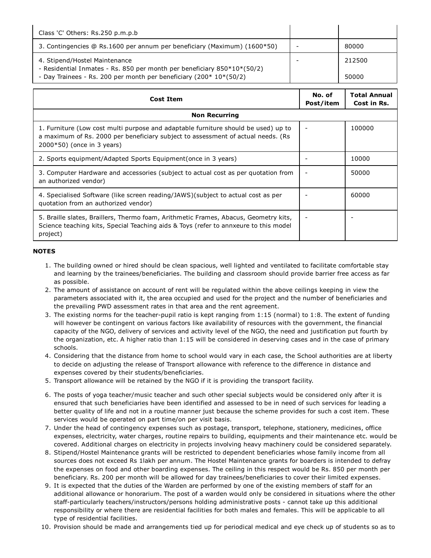| Class 'C' Others: Rs.250 p.m.p.b                                                                         |        |
|----------------------------------------------------------------------------------------------------------|--------|
| 3. Contingencies @ Rs.1600 per annum per beneficiary (Maximum) (1600*50)                                 | 80000  |
|                                                                                                          |        |
| 4. Stipend/Hostel Maintenance<br>- Residential Inmates - Rs. 850 per month per beneficiary 850*10*(50/2) | 212500 |

| <b>Cost Item</b>                                                                                                                                                                                      | No. of<br>Post/item | <b>Total Annual</b><br>Cost in Rs. |
|-------------------------------------------------------------------------------------------------------------------------------------------------------------------------------------------------------|---------------------|------------------------------------|
| <b>Non Recurring</b>                                                                                                                                                                                  |                     |                                    |
| 1. Furniture (Low cost multi purpose and adaptable furniture should be used) up to<br>a maximum of Rs. 2000 per beneficiary subject to assessment of actual needs. (Rs<br>$2000*50$ (once in 3 years) |                     | 100000                             |
| 2. Sports equipment/Adapted Sports Equipment (once in 3 years)                                                                                                                                        |                     | 10000                              |
| 3. Computer Hardware and accessories (subject to actual cost as per quotation from<br>an authorized vendor)                                                                                           |                     | 50000                              |
| 4. Specialised Software (like screen reading/JAWS)(subject to actual cost as per<br>quotation from an authorized vendor)                                                                              |                     | 60000                              |
| 5. Braille slates, Braillers, Thermo foam, Arithmetic Frames, Abacus, Geometry kits,<br>Science teaching kits, Special Teaching aids & Toys (refer to annxeure to this model<br>project)              |                     |                                    |

- 1. The building owned or hired should be clean spacious, well lighted and ventilated to facilitate comfortable stay and learning by the trainees/beneficiaries. The building and classroom should provide barrier free access as far as possible.
- 2. The amount of assistance on account of rent will be regulated within the above ceilings keeping in view the parameters associated with it, the area occupied and used for the project and the number of beneficiaries and the prevailing PWD assessment rates in that area and the rent agreement.
- 3. The existing norms for the teacher-pupil ratio is kept ranging from 1:15 (normal) to 1:8. The extent of funding will however be contingent on various factors like availability of resources with the government, the financial capacity of the NGO, delivery of services and activity level of the NGO, the need and justification put fourth by the organization, etc. A higher ratio than 1:15 will be considered in deserving cases and in the case of primary schools.
- 4. Considering that the distance from home to school would vary in each case, the School authorities are at liberty to decide on adjusting the release of Transport allowance with reference to the difference in distance and expenses covered by their students/beneficiaries.
- 5. Transport allowance will be retained by the NGO if it is providing the transport facility.
- 6. The posts of yoga teacher/music teacher and such other special subjects would be considered only after it is ensured that such beneficiaries have been identified and assessed to be in need of such services for leading a better quality of life and not in a routine manner just because the scheme provides for such a cost item. These services would be operated on part time/on per visit basis.
- 7. Under the head of contingency expenses such as postage, transport, telephone, stationery, medicines, office expenses, electricity, water charges, routine repairs to building, equipments and their maintenance etc. would be covered. Additional charges on electricity in projects involving heavy machinery could be considered separately.
- Stipend/Hostel Maintenance grants will be restricted to dependent beneficiaries whose family income from all 8. sources does not exceed Rs 1lakh per annum. The Hostel Maintenance grants for boarders is intended to defray the expenses on food and other boarding expenses. The ceiling in this respect would be Rs. 850 per month per beneficiary. Rs. 200 per month will be allowed for day trainees/beneficiaries to cover their limited expenses.
- 9. It is expected that the duties of the Warden are performed by one of the existing members of staff for an additional allowance or honorarium. The post of a warden would only be considered in situations where the other staff-particularly teachers/instructors/persons holding administrative posts - cannot take up this additional responsibility or where there are residential facilities for both males and females. This will be applicable to all type of residential facilities.
- 10. Provision should be made and arrangements tied up for periodical medical and eye check up of students so as to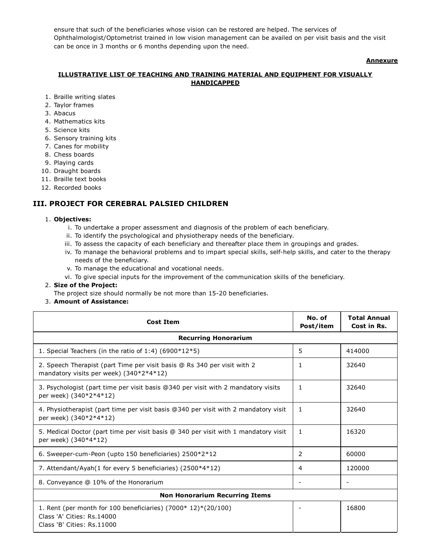ensure that such of the beneficiaries whose vision can be restored are helped. The services of Ophthalmologist/Optometrist trained in low vision management can be availed on per visit basis and the visit can be once in 3 months or 6 months depending upon the need.

### **Annexure**

## **ILLUSTRATIVE LIST OF TEACHING AND TRAINING MATERIAL AND EQUIPMENT FOR VISUALLY HANDICAPPED**

- 1. Braille writing slates
- 2. Taylor frames
- 3. Abacus
- 4. Mathematics kits
- 5. Science kits
- 6. Sensory training kits
- 7. Canes for mobility
- 8. Chess boards
- 9. Playing cards
- 10. Draught boards
- 11. Braille text books
- 12. Recorded books

# **III. PROJECT FOR CEREBRAL PALSIED CHILDREN**

### **Objectives:** 1.

- i. To undertake a proper assessment and diagnosis of the problem of each beneficiary.
- ii. To identify the psychological and physiotherapy needs of the beneficiary.
- iii. To assess the capacity of each beneficiary and thereafter place them in groupings and grades.
- iv. To manage the behavioral problems and to impart special skills, self-help skills, and cater to the therapy needs of the beneficiary.
- v. To manage the educational and vocational needs.
- vi. To give special inputs for the improvement of the communication skills of the beneficiary.

## **Size of the Project:** 2.

- The project size should normally be not more than 15-20 beneficiaries.
- 3. **Amount of Assistance:**

| <b>Cost Item</b>                                                                                                            | No. of<br>Post/item      | <b>Total Annual</b><br>Cost in Rs. |  |
|-----------------------------------------------------------------------------------------------------------------------------|--------------------------|------------------------------------|--|
| <b>Recurring Honorarium</b>                                                                                                 |                          |                                    |  |
| 1. Special Teachers (in the ratio of 1:4) $(6900*12*5)$                                                                     | 5                        | 414000                             |  |
| 2. Speech Therapist (part Time per visit basis @ Rs 340 per visit with 2<br>mandatory visits per week) $(340 * 2 * 4 * 12)$ | 1                        | 32640                              |  |
| 3. Psychologist (part time per visit basis @340 per visit with 2 mandatory visits<br>per week) (340*2*4*12)                 | $\mathbf{1}$             | 32640                              |  |
| 4. Physiotherapist (part time per visit basis @340 per visit with 2 mandatory visit<br>per week) (340*2*4*12)               | 1                        | 32640                              |  |
| 5. Medical Doctor (part time per visit basis @ 340 per visit with 1 mandatory visit<br>per week) (340*4*12)                 | 1                        | 16320                              |  |
| 6. Sweeper-cum-Peon (upto 150 beneficiaries) 2500*2*12                                                                      | $\mathcal{P}$            | 60000                              |  |
| 7. Attendant/Ayah(1 for every 5 beneficiaries) (2500*4*12)                                                                  | 4                        | 120000                             |  |
| 8. Conveyance @ 10% of the Honorarium                                                                                       | $\overline{\phantom{a}}$ | $\overline{\phantom{a}}$           |  |
| <b>Non Honorarium Recurring Items</b>                                                                                       |                          |                                    |  |
| 1. Rent (per month for 100 beneficiaries) $(7000*12)*(20/100)$<br>Class 'A' Cities: Rs.14000<br>Class 'B' Cities: Rs.11000  | $\overline{\phantom{a}}$ | 16800                              |  |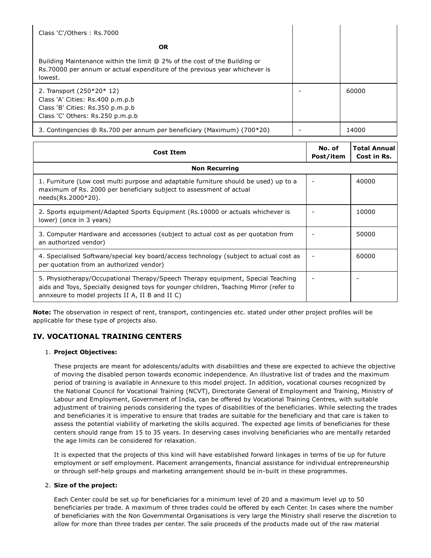| Class 'C'/Others: Rs.7000                                                                                                                                          |       |
|--------------------------------------------------------------------------------------------------------------------------------------------------------------------|-------|
| <b>OR</b>                                                                                                                                                          |       |
| Building Maintenance within the limit @ 2% of the cost of the Building or<br>Rs.70000 per annum or actual expenditure of the previous year whichever is<br>lowest. |       |
| 2. Transport $(250*20*12)$<br>Class 'A' Cities: Rs.400 p.m.p.b<br>Class 'B' Cities: Rs.350 p.m.p.b<br>Class 'C' Others: Rs.250 p.m.p.b                             | 60000 |
| 3. Contingencies @ Rs.700 per annum per beneficiary (Maximum) (700*20)                                                                                             | 14000 |

| Cost Item                                                                                                                                                                                                                     | No. of<br>Post/item | <b>Total Annual</b><br>Cost in Rs. |
|-------------------------------------------------------------------------------------------------------------------------------------------------------------------------------------------------------------------------------|---------------------|------------------------------------|
| <b>Non Recurring</b>                                                                                                                                                                                                          |                     |                                    |
| 1. Furniture (Low cost multi purpose and adaptable furniture should be used) up to a<br>maximum of Rs. 2000 per beneficiary subject to assessment of actual<br>needs(Rs.2000*20).                                             |                     | 40000                              |
| 2. Sports equipment/Adapted Sports Equipment (Rs.10000 or actuals whichever is<br>lower) (once in 3 years)                                                                                                                    |                     | 10000                              |
| 3. Computer Hardware and accessories (subject to actual cost as per quotation from<br>an authorized vendor)                                                                                                                   |                     | 50000                              |
| 4. Specialised Software/special key board/access technology (subject to actual cost as<br>per quotation from an authorized vendor)                                                                                            |                     | 60000                              |
| 5. Physiotherapy/Occupational Therapy/Speech Therapy equipment, Special Teaching<br>aids and Toys, Specially designed toys for younger children, Teaching Mirror (refer to<br>annxeure to model projects II A, II B and II C) |                     |                                    |

**Note:** The observation in respect of rent, transport, contingencies etc. stated under other project profiles will be applicable for these type of projects also.

# **IV. VOCATIONAL TRAINING CENTERS**

## **Project Objectives:** 1.

These projects are meant for adolescents/adults with disabilities and these are expected to achieve the objective of moving the disabled person towards economic independence. An illustrative list of trades and the maximum period of training is available in Annexure to this model project. In addition, vocational courses recognized by the National Council for Vocational Training (NCVT), Directorate General of Employment and Training, Ministry of Labour and Employment, Government of India, can be offered by Vocational Training Centres, with suitable adjustment of training periods considering the types of disabilities of the beneficiaries. While selecting the trades and beneficiaries it is imperative to ensure that trades are suitable for the beneficiary and that care is taken to assess the potential viability of marketing the skills acquired. The expected age limits of beneficiaries for these centers should range from 15 to 35 years. In deserving cases involving beneficiaries who are mentally retarded the age limits can be considered for relaxation.

It is expected that the projects of this kind will have established forward linkages in terms of tie up for future employment or self employment. Placement arrangements, financial assistance for individual entrepreneurship or through self-help groups and marketing arrangement should be in-built in these programmes.

### **Size of the project:** 2.

Each Center could be set up for beneficiaries for a minimum level of 20 and a maximum level up to 50 beneficiaries per trade. A maximum of three trades could be offered by each Center. In cases where the number of beneficiaries with the Non Governmental Organisations is very large the Ministry shall reserve the discretion to allow for more than three trades per center. The sale proceeds of the products made out of the raw material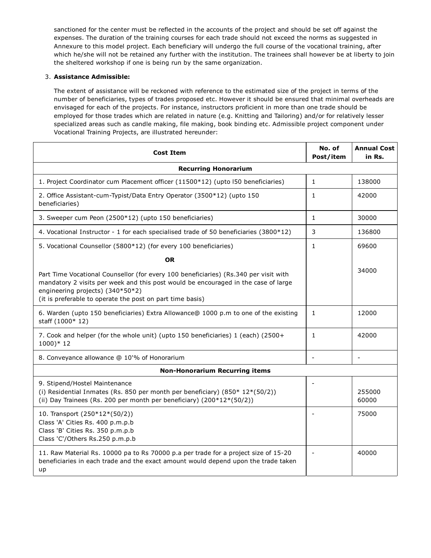sanctioned for the center must be reflected in the accounts of the project and should be set off against the expenses. The duration of the training courses for each trade should not exceed the norms as suggested in Annexure to this model project. Each beneficiary will undergo the full course of the vocational training, after which he/she will not be retained any further with the institution. The trainees shall however be at liberty to join the sheltered workshop if one is being run by the same organization.

## **Assistance Admissible:** 3.

The extent of assistance will be reckoned with reference to the estimated size of the project in terms of the number of beneficiaries, types of trades proposed etc. However it should be ensured that minimal overheads are envisaged for each of the projects. For instance, instructors proficient in more than one trade should be employed for those trades which are related in nature (e.g. Knitting and Tailoring) and/or for relatively lesser specialized areas such as candle making, file making, book binding etc. Admissible project component under Vocational Training Projects, are illustrated hereunder:

| <b>Cost Item</b>                                                                                                                                                                                                                                                            | No. of<br>Post/item | <b>Annual Cost</b><br>in Rs. |
|-----------------------------------------------------------------------------------------------------------------------------------------------------------------------------------------------------------------------------------------------------------------------------|---------------------|------------------------------|
| <b>Recurring Honorarium</b>                                                                                                                                                                                                                                                 |                     |                              |
| 1. Project Coordinator cum Placement officer (11500*12) (upto I50 beneficiaries)                                                                                                                                                                                            | $\mathbf{1}$        | 138000                       |
| 2. Office Assistant-cum-Typist/Data Entry Operator (3500*12) (upto 150<br>beneficiaries)                                                                                                                                                                                    | 1                   | 42000                        |
| 3. Sweeper cum Peon (2500*12) (upto 150 beneficiaries)                                                                                                                                                                                                                      | $\mathbf{1}$        | 30000                        |
| 4. Vocational Instructor - 1 for each specialised trade of 50 beneficiaries (3800*12)                                                                                                                                                                                       | 3                   | 136800                       |
| 5. Vocational Counsellor (5800*12) (for every 100 beneficiaries)                                                                                                                                                                                                            | 1                   | 69600                        |
| <b>OR</b>                                                                                                                                                                                                                                                                   |                     |                              |
| Part Time Vocational Counsellor (for every 100 beneficiaries) (Rs.340 per visit with<br>mandatory 2 visits per week and this post would be encouraged in the case of large<br>engineering projects) (340*50*2)<br>(it is preferable to operate the post on part time basis) |                     | 34000                        |
| 6. Warden (upto 150 beneficiaries) Extra Allowance@ 1000 p.m to one of the existing<br>staff (1000* 12)                                                                                                                                                                     | 1                   | 12000                        |
| 7. Cook and helper (for the whole unit) (upto 150 beneficiaries) 1 (each) (2500+<br>$1000)*12$                                                                                                                                                                              | 1                   | 42000                        |
| 8. Conveyance allowance @ 10'% of Honorarium                                                                                                                                                                                                                                | L.                  | $\overline{\phantom{a}}$     |
| <b>Non-Honorarium Recurring items</b>                                                                                                                                                                                                                                       |                     |                              |
| 9. Stipend/Hostel Maintenance<br>(i) Residential Inmates (Rs. 850 per month per beneficiary) $(850 * 12 * (50/2))$<br>(ii) Day Trainees (Rs. 200 per month per beneficiary) (200*12*(50/2))                                                                                 |                     | 255000<br>60000              |
| 10. Transport (250*12*(50/2))<br>Class 'A' Cities Rs. 400 p.m.p.b<br>Class 'B' Cities Rs. 350 p.m.p.b<br>Class 'C'/Others Rs.250 p.m.p.b                                                                                                                                    |                     | 75000                        |
| 11. Raw Material Rs. 10000 pa to Rs 70000 p.a per trade for a project size of 15-20<br>beneficiaries in each trade and the exact amount would depend upon the trade taken<br>up                                                                                             |                     | 40000                        |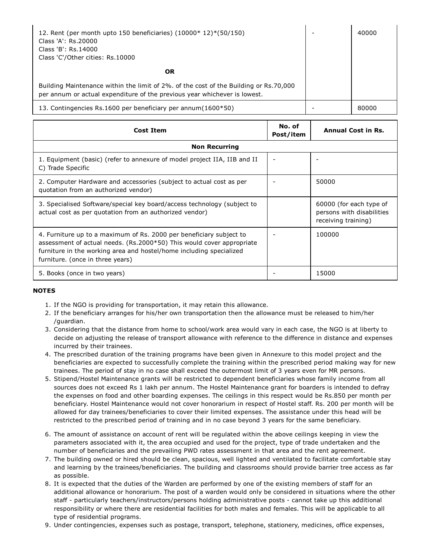| 12. Rent (per month upto 150 beneficiaries) $(10000*12)*(50/150)$<br>Class 'A': Rs.20000<br>Class 'B': Rs.14000<br>Class 'C'/Other cities: Rs.10000                | 40000 |
|--------------------------------------------------------------------------------------------------------------------------------------------------------------------|-------|
| <b>OR</b>                                                                                                                                                          |       |
| Building Maintenance within the limit of 2%, of the cost of the Building or Rs.70,000<br>per annum or actual expenditure of the previous year whichever is lowest. |       |
| 13. Contingencies Rs.1600 per beneficiary per annum (1600*50)                                                                                                      | 80000 |

| <b>Cost Item</b>                                                                                                                                                                                                                                        | No. of<br>Post/item | <b>Annual Cost in Rs.</b>                                                   |
|---------------------------------------------------------------------------------------------------------------------------------------------------------------------------------------------------------------------------------------------------------|---------------------|-----------------------------------------------------------------------------|
| <b>Non Recurring</b>                                                                                                                                                                                                                                    |                     |                                                                             |
| 1. Equipment (basic) (refer to annexure of model project IIA, IIB and II<br>C) Trade Specific                                                                                                                                                           |                     |                                                                             |
| 2. Computer Hardware and accessories (subject to actual cost as per<br>quotation from an authorized vendor)                                                                                                                                             |                     | 50000                                                                       |
| 3. Specialised Software/special key board/access technology (subject to<br>actual cost as per quotation from an authorized vendor)                                                                                                                      |                     | 60000 (for each type of<br>persons with disabilities<br>receiving training) |
| 4. Furniture up to a maximum of Rs. 2000 per beneficiary subject to<br>assessment of actual needs. (Rs.2000*50) This would cover appropriate<br>furniture in the working area and hostel/home including specialized<br>furniture. (once in three years) |                     | 100000                                                                      |
| 5. Books (once in two years)                                                                                                                                                                                                                            |                     | 15000                                                                       |

- 1. If the NGO is providing for transportation, it may retain this allowance.
- 2. If the beneficiary arranges for his/her own transportation then the allowance must be released to him/her /guardian.
- 3. Considering that the distance from home to school/work area would vary in each case, the NGO is at liberty to decide on adjusting the release of transport allowance with reference to the difference in distance and expenses incurred by their trainees.
- 4. The prescribed duration of the training programs have been given in Annexure to this model project and the beneficiaries are expected to successfully complete the training within the prescribed period making way for new trainees. The period of stay in no case shall exceed the outermost limit of 3 years even for MR persons.
- Stipend/Hostel Maintenance grants will be restricted to dependent beneficiaries whose family income from all 5. sources does not exceed Rs 1 lakh per annum. The Hostel Maintenance grant for boarders is intended to defray the expenses on food and other boarding expenses. The ceilings in this respect would be Rs.850 per month per beneficiary. Hostel Maintenance would not cover honorarium in respect of Hostel staff. Rs. 200 per month will be allowed for day trainees/beneficiaries to cover their limited expenses. The assistance under this head will be restricted to the prescribed period of training and in no case beyond 3 years for the same beneficiary.
- 6. The amount of assistance on account of rent will be regulated within the above ceilings keeping in view the parameters associated with it, the area occupied and used for the project, type of trade undertaken and the number of beneficiaries and the prevailing PWD rates assessment in that area and the rent agreement.
- 7. The building owned or hired should be clean, spacious, well lighted and ventilated to facilitate comfortable stay and learning by the trainees/beneficiaries. The building and classrooms should provide barrier tree access as far as possible.
- 8. It is expected that the duties of the Warden are performed by one of the existing members of staff for an additional allowance or honorarium. The post of a warden would only be considered in situations where the other staff - particularly teachers/instructors/persons holding administrative posts - cannot take up this additional responsibility or where there are residential facilities for both males and females. This will be applicable to all type of residential programs.
- 9. Under contingencies, expenses such as postage, transport, telephone, stationery, medicines, office expenses,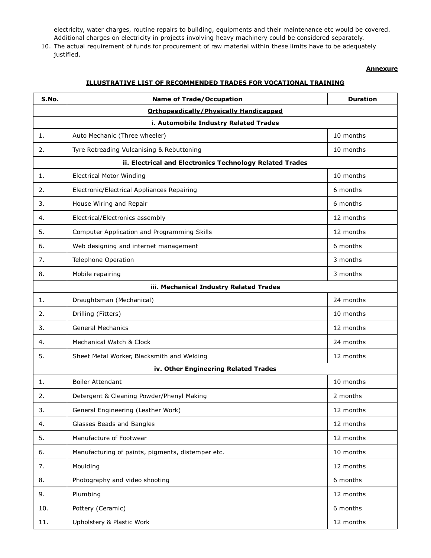electricity, water charges, routine repairs to building, equipments and their maintenance etc would be covered. Additional charges on electricity in projects involving heavy machinery could be considered separately.

10. The actual requirement of funds for procurement of raw material within these limits have to be adequately justified.

### **Annexure**

# **ILLUSTRATIVE LIST OF RECOMMENDED TRADES FOR VOCATIONAL TRAINING**

| S.No. | <b>Name of Trade/Occupation</b>                          | <b>Duration</b> |  |  |  |
|-------|----------------------------------------------------------|-----------------|--|--|--|
|       | <b>Orthopaedically/Physically Handicapped</b>            |                 |  |  |  |
|       | i. Automobile Industry Related Trades                    |                 |  |  |  |
| 1.    | Auto Mechanic (Three wheeler)                            | 10 months       |  |  |  |
| 2.    | Tyre Retreading Vulcanising & Rebuttoning                | 10 months       |  |  |  |
|       | ii. Electrical and Electronics Technology Related Trades |                 |  |  |  |
| 1.    | <b>Electrical Motor Winding</b>                          | 10 months       |  |  |  |
| 2.    | Electronic/Electrical Appliances Repairing               | 6 months        |  |  |  |
| 3.    | House Wiring and Repair                                  | 6 months        |  |  |  |
| 4.    | Electrical/Electronics assembly                          | 12 months       |  |  |  |
| 5.    | Computer Application and Programming Skills              | 12 months       |  |  |  |
| 6.    | Web designing and internet management                    | 6 months        |  |  |  |
| 7.    | <b>Telephone Operation</b>                               | 3 months        |  |  |  |
| 8.    | Mobile repairing                                         | 3 months        |  |  |  |
|       | iii. Mechanical Industry Related Trades                  |                 |  |  |  |
| 1.    | Draughtsman (Mechanical)                                 | 24 months       |  |  |  |
| 2.    | Drilling (Fitters)                                       | 10 months       |  |  |  |
| 3.    | <b>General Mechanics</b>                                 | 12 months       |  |  |  |
| 4.    | Mechanical Watch & Clock                                 | 24 months       |  |  |  |
| 5.    | Sheet Metal Worker, Blacksmith and Welding               | 12 months       |  |  |  |
|       | iv. Other Engineering Related Trades                     |                 |  |  |  |
| 1.    | <b>Boiler Attendant</b>                                  | 10 months       |  |  |  |
| 2.    | Detergent & Cleaning Powder/Phenyl Making                | 2 months        |  |  |  |
| 3.    | General Engineering (Leather Work)                       | 12 months       |  |  |  |
| 4.    | Glasses Beads and Bangles                                | 12 months       |  |  |  |
| 5.    | Manufacture of Footwear                                  | 12 months       |  |  |  |
| 6.    | Manufacturing of paints, pigments, distemper etc.        | 10 months       |  |  |  |
| 7.    | Moulding                                                 | 12 months       |  |  |  |
| 8.    | Photography and video shooting                           | 6 months        |  |  |  |
| 9.    | Plumbing                                                 | 12 months       |  |  |  |
| 10.   | Pottery (Ceramic)                                        | 6 months        |  |  |  |
| 11.   | Upholstery & Plastic Work                                | 12 months       |  |  |  |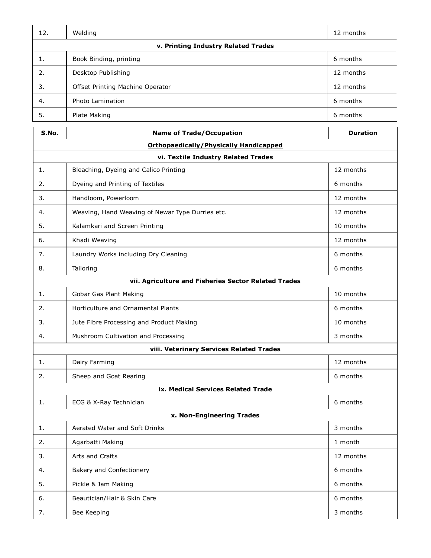| 12.                                 | Welding                          | 12 months |
|-------------------------------------|----------------------------------|-----------|
| v. Printing Industry Related Trades |                                  |           |
| 1.                                  | Book Binding, printing           | 6 months  |
| 2.                                  | Desktop Publishing               | 12 months |
| 3.                                  | Offset Printing Machine Operator | 12 months |
| 4.                                  | <b>Photo Lamination</b>          | 6 months  |
| 5.                                  | Plate Making                     | 6 months  |

| S.No. | <b>Name of Trade/Occupation</b>                      | <b>Duration</b> |
|-------|------------------------------------------------------|-----------------|
|       | <b>Orthopaedically/Physically Handicapped</b>        |                 |
|       | vi. Textile Industry Related Trades                  |                 |
| 1.    | Bleaching, Dyeing and Calico Printing                | 12 months       |
| 2.    | Dyeing and Printing of Textiles                      | 6 months        |
| 3.    | Handloom, Powerloom                                  | 12 months       |
| 4.    | Weaving, Hand Weaving of Newar Type Durries etc.     | 12 months       |
| 5.    | Kalamkari and Screen Printing                        | 10 months       |
| 6.    | Khadi Weaving                                        | 12 months       |
| 7.    | Laundry Works including Dry Cleaning                 | 6 months        |
| 8.    | Tailoring                                            | 6 months        |
|       | vii. Agriculture and Fisheries Sector Related Trades |                 |
| 1.    | Gobar Gas Plant Making                               | 10 months       |
| 2.    | Horticulture and Ornamental Plants                   | 6 months        |
| 3.    | Jute Fibre Processing and Product Making             | 10 months       |
| 4.    | Mushroom Cultivation and Processing                  | 3 months        |
|       | viii. Veterinary Services Related Trades             |                 |
| 1.    | Dairy Farming                                        | 12 months       |
| 2.    | Sheep and Goat Rearing                               | 6 months        |
|       | ix. Medical Services Related Trade                   |                 |
| 1.    | ECG & X-Ray Technician                               | 6 months        |
|       | x. Non-Engineering Trades                            |                 |
| 1.    | Aerated Water and Soft Drinks                        | 3 months        |
| 2.    | Agarbatti Making                                     | 1 month         |
| 3.    | Arts and Crafts                                      | 12 months       |
| 4.    | Bakery and Confectionery                             | 6 months        |
| 5.    | Pickle & Jam Making                                  | 6 months        |
| 6.    | Beautician/Hair & Skin Care                          | 6 months        |
| 7.    | Bee Keeping                                          | 3 months        |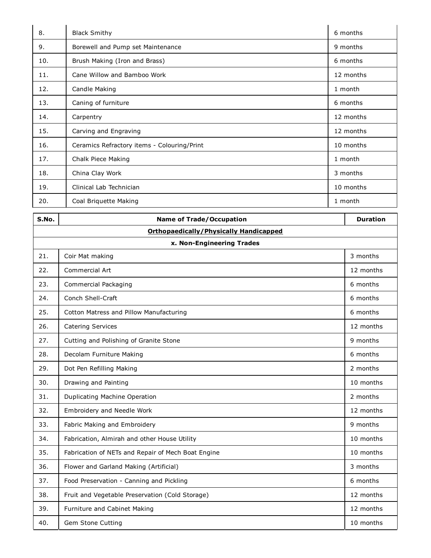| 8.  | <b>Black Smithy</b>                         | 6 months  |
|-----|---------------------------------------------|-----------|
| 9.  | Borewell and Pump set Maintenance           | 9 months  |
| 10. | Brush Making (Iron and Brass)               | 6 months  |
| 11. | Cane Willow and Bamboo Work                 | 12 months |
| 12. | Candle Making                               | 1 month   |
| 13. | Caning of furniture                         | 6 months  |
| 14. | Carpentry                                   | 12 months |
| 15. | Carving and Engraving                       | 12 months |
| 16. | Ceramics Refractory items - Colouring/Print | 10 months |
| 17. | Chalk Piece Making                          | 1 month   |
| 18. | China Clay Work                             | 3 months  |
| 19. | Clinical Lab Technician                     | 10 months |
| 20. | Coal Briquette Making                       | 1 month   |

| S.No. | <b>Name of Trade/Occupation</b>                    | <b>Duration</b> |  |  |
|-------|----------------------------------------------------|-----------------|--|--|
|       | <b>Orthopaedically/Physically Handicapped</b>      |                 |  |  |
|       | x. Non-Engineering Trades                          |                 |  |  |
| 21.   | Coir Mat making                                    | 3 months        |  |  |
| 22.   | Commercial Art                                     | 12 months       |  |  |
| 23.   | Commercial Packaging                               | 6 months        |  |  |
| 24.   | Conch Shell-Craft                                  | 6 months        |  |  |
| 25.   | Cotton Matress and Pillow Manufacturing            | 6 months        |  |  |
| 26.   | <b>Catering Services</b>                           | 12 months       |  |  |
| 27.   | Cutting and Polishing of Granite Stone             | 9 months        |  |  |
| 28.   | Decolam Furniture Making                           | 6 months        |  |  |
| 29.   | Dot Pen Refilling Making                           | 2 months        |  |  |
| 30.   | Drawing and Painting                               | 10 months       |  |  |
| 31.   | Duplicating Machine Operation                      | 2 months        |  |  |
| 32.   | Embroidery and Needle Work                         | 12 months       |  |  |
| 33.   | Fabric Making and Embroidery                       | 9 months        |  |  |
| 34.   | Fabrication, Almirah and other House Utility       | 10 months       |  |  |
| 35.   | Fabrication of NETs and Repair of Mech Boat Engine | 10 months       |  |  |
| 36.   | Flower and Garland Making (Artificial)             | 3 months        |  |  |
| 37.   | Food Preservation - Canning and Pickling           | 6 months        |  |  |
| 38.   | Fruit and Vegetable Preservation (Cold Storage)    | 12 months       |  |  |
| 39.   | Furniture and Cabinet Making                       | 12 months       |  |  |
| 40.   | Gem Stone Cutting                                  | 10 months       |  |  |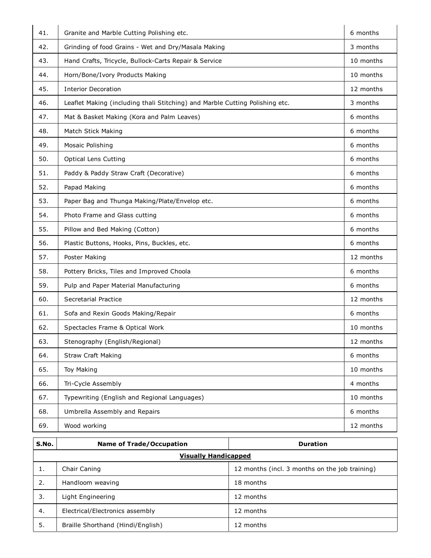| 41. | Granite and Marble Cutting Polishing etc.                                    | 6 months  |
|-----|------------------------------------------------------------------------------|-----------|
| 42. | Grinding of food Grains - Wet and Dry/Masala Making                          | 3 months  |
| 43. | Hand Crafts, Tricycle, Bullock-Carts Repair & Service                        | 10 months |
| 44. | Horn/Bone/Ivory Products Making                                              | 10 months |
| 45. | <b>Interior Decoration</b>                                                   | 12 months |
| 46. | Leaflet Making (including thali Stitching) and Marble Cutting Polishing etc. | 3 months  |
| 47. | Mat & Basket Making (Kora and Palm Leaves)                                   | 6 months  |
| 48. | Match Stick Making                                                           | 6 months  |
| 49. | Mosaic Polishing                                                             | 6 months  |
| 50. | <b>Optical Lens Cutting</b>                                                  | 6 months  |
| 51. | Paddy & Paddy Straw Craft (Decorative)                                       | 6 months  |
| 52. | Papad Making                                                                 | 6 months  |
| 53. | Paper Bag and Thunga Making/Plate/Envelop etc.                               | 6 months  |
| 54. | Photo Frame and Glass cutting                                                | 6 months  |
| 55. | Pillow and Bed Making (Cotton)                                               | 6 months  |
| 56. | Plastic Buttons, Hooks, Pins, Buckles, etc.                                  | 6 months  |
| 57. | Poster Making                                                                | 12 months |
| 58. | Pottery Bricks, Tiles and Improved Choola                                    | 6 months  |
| 59. | Pulp and Paper Material Manufacturing                                        | 6 months  |
| 60. | Secretarial Practice                                                         | 12 months |
| 61. | Sofa and Rexin Goods Making/Repair                                           | 6 months  |
| 62. | Spectacles Frame & Optical Work                                              | 10 months |
| 63. | Stenography (English/Regional)                                               | 12 months |
| 64. | <b>Straw Craft Making</b>                                                    | 6 months  |
| 65. | Toy Making                                                                   | 10 months |
| 66. | Tri-Cycle Assembly                                                           | 4 months  |
| 67. | Typewriting (English and Regional Languages)                                 | 10 months |
| 68. | Umbrella Assembly and Repairs                                                | 6 months  |
| 69. | Wood working                                                                 | 12 months |

| S.No.                       | <b>Name of Trade/Occupation</b>   | <b>Duration</b>                                |  |
|-----------------------------|-----------------------------------|------------------------------------------------|--|
| <b>Visually Handicapped</b> |                                   |                                                |  |
| ı.                          | Chair Caning                      | 12 months (incl. 3 months on the job training) |  |
| 2.                          | Handloom weaving                  | 18 months                                      |  |
| 3.                          | Light Engineering                 | 12 months                                      |  |
| 4.                          | Electrical/Electronics assembly   | 12 months                                      |  |
| 5.                          | Braille Shorthand (Hindi/English) | 12 months                                      |  |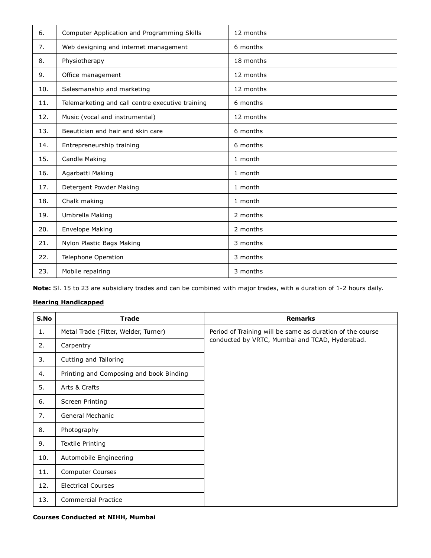| 6.  | Computer Application and Programming Skills      | 12 months |
|-----|--------------------------------------------------|-----------|
| 7.  | Web designing and internet management            | 6 months  |
| 8.  | Physiotherapy                                    | 18 months |
| 9.  | Office management                                | 12 months |
| 10. | Salesmanship and marketing                       | 12 months |
| 11. | Telemarketing and call centre executive training | 6 months  |
| 12. | Music (vocal and instrumental)                   | 12 months |
| 13. | Beautician and hair and skin care                | 6 months  |
| 14. | Entrepreneurship training                        | 6 months  |
| 15. | Candle Making                                    | 1 month   |
| 16. | Agarbatti Making                                 | 1 month   |
| 17. | Detergent Powder Making                          | 1 month   |
| 18. | Chalk making                                     | 1 month   |
| 19. | Umbrella Making                                  | 2 months  |
| 20. | <b>Envelope Making</b>                           | 2 months  |
| 21. | Nylon Plastic Bags Making                        | 3 months  |
| 22. | Telephone Operation                              | 3 months  |
| 23. | Mobile repairing                                 | 3 months  |

**Note:** Sl. 15 to 23 are subsidiary trades and can be combined with major trades, with a duration of 1-2 hours daily.

# **Hearing Handicapped**

| S.No | <b>Trade</b>                            | <b>Remarks</b>                                            |
|------|-----------------------------------------|-----------------------------------------------------------|
| 1.   | Metal Trade (Fitter, Welder, Turner)    | Period of Training will be same as duration of the course |
| 2.   | Carpentry                               | conducted by VRTC, Mumbai and TCAD, Hyderabad.            |
| 3.   | Cutting and Tailoring                   |                                                           |
| 4.   | Printing and Composing and book Binding |                                                           |
| 5.   | Arts & Crafts                           |                                                           |
| 6.   | Screen Printing                         |                                                           |
| 7.   | General Mechanic                        |                                                           |
| 8.   | Photography                             |                                                           |
| 9.   | Textile Printing                        |                                                           |
| 10.  | Automobile Engineering                  |                                                           |
| 11.  | <b>Computer Courses</b>                 |                                                           |
| 12.  | <b>Electrical Courses</b>               |                                                           |
| 13.  | <b>Commercial Practice</b>              |                                                           |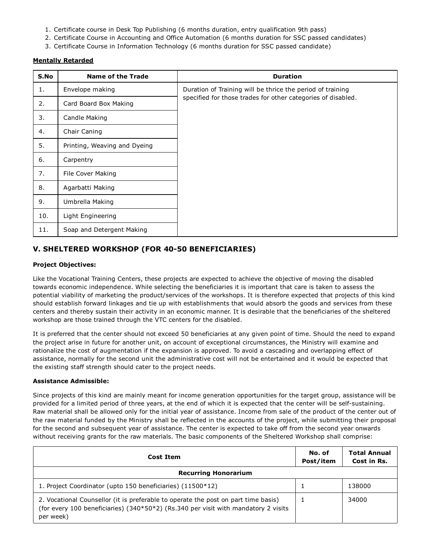- 1. Certificate course in Desk Top Publishing (6 months duration, entry qualification 9th pass)
- 2. Certificate Course in Accounting and Office Automation (6 months duration for SSC passed candidates)
- 3. Certificate Course in Information Technology (6 months duration for SSC passed candidate)

### **Mentally Retarded**

| S.No | <b>Name of the Trade</b>     | <b>Duration</b>                                              |
|------|------------------------------|--------------------------------------------------------------|
| 1.   | Envelope making              | Duration of Training will be thrice the period of training   |
| 2.   | Card Board Box Making        | specified for those trades for other categories of disabled. |
| 3.   | Candle Making                |                                                              |
| 4.   | Chair Caning                 |                                                              |
| 5.   | Printing, Weaving and Dyeing |                                                              |
| 6.   | Carpentry                    |                                                              |
| 7.   | File Cover Making            |                                                              |
| 8.   | Agarbatti Making             |                                                              |
| 9.   | Umbrella Making              |                                                              |
| 10.  | Light Engineering            |                                                              |
| 11.  | Soap and Detergent Making    |                                                              |

# **V. SHELTERED WORKSHOP (FOR 40-50 BENEFICIARIES)**

### **Project Objectives:**

Like the Vocational Training Centers, these projects are expected to achieve the objective of moving the disabled towards economic independence. While selecting the beneficiaries it is important that care is taken to assess the potential viability of marketing the product/services of the workshops. It is therefore expected that projects of this kind should establish forward linkages and tie up with establishments that would absorb the goods and services from these centers and thereby sustain their activity in an economic manner. It is desirable that the beneficiaries of the sheltered workshop are those trained through the VTC centers for the disabled.

It is preferred that the center should not exceed 50 beneficiaries at any given point of time. Should the need to expand the project arise in future for another unit, on account of exceptional circumstances, the Ministry will examine and rationalize the cost of augmentation if the expansion is approved. To avoid a cascading and overlapping effect of assistance, normally for the second unit the administrative cost will not be entertained and it would be expected that the existing staff strength should cater to the project needs.

### **Assistance Admissible:**

Since projects of this kind are mainly meant for income generation opportunities for the target group, assistance will be provided for a limited period of three years, at the end of which it is expected that the center will be self-sustaining. Raw material shall be allowed only for the initial year of assistance. Income from sale of the product of the center out of the raw material funded by the Ministry shall be reflected in the accounts of the project, while submitting their proposal for the second and subsequent year of assistance. The center is expected to take off from the second year onwards without receiving grants for the raw materials. The basic components of the Sheltered Workshop shall comprise:

| Cost Item                                                                                                                                                                             | No. of<br>Post/item | <b>Total Annual</b><br>Cost in Rs. |
|---------------------------------------------------------------------------------------------------------------------------------------------------------------------------------------|---------------------|------------------------------------|
| <b>Recurring Honorarium</b>                                                                                                                                                           |                     |                                    |
| 1. Project Coordinator (upto 150 beneficiaries) (11500*12)                                                                                                                            |                     | 138000                             |
| 2. Vocational Counsellor (it is preferable to operate the post on part time basis)<br>(for every 100 beneficiaries) (340*50*2) (Rs.340 per visit with mandatory 2 visits<br>per week) |                     | 34000                              |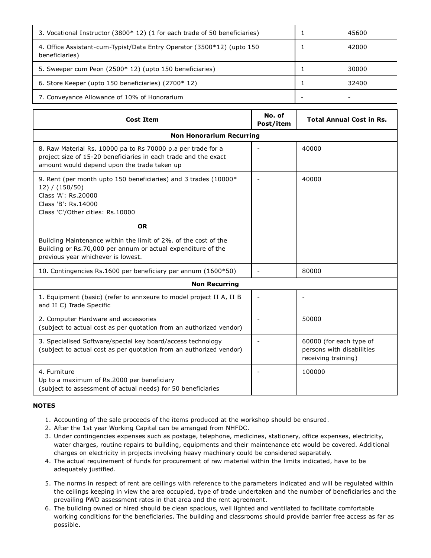| 3. Vocational Instructor (3800* 12) (1 for each trade of 50 beneficiaries)               | 45600 |
|------------------------------------------------------------------------------------------|-------|
| 4. Office Assistant-cum-Typist/Data Entry Operator (3500*12) (upto 150<br>beneficiaries) | 42000 |
| 5. Sweeper cum Peon (2500* 12) (upto 150 beneficiaries)                                  | 30000 |
| 6. Store Keeper (upto 150 beneficiaries) (2700* 12)                                      | 32400 |
| 7. Conveyance Allowance of 10% of Honorarium                                             |       |

| <b>Cost Item</b>                                                                                                                                                                 | No. of<br>Post/item             | <b>Total Annual Cost in Rs.</b>                                             |  |  |
|----------------------------------------------------------------------------------------------------------------------------------------------------------------------------------|---------------------------------|-----------------------------------------------------------------------------|--|--|
|                                                                                                                                                                                  | <b>Non Honorarium Recurring</b> |                                                                             |  |  |
| 8. Raw Material Rs. 10000 pa to Rs 70000 p.a per trade for a<br>project size of 15-20 beneficiaries in each trade and the exact<br>amount would depend upon the trade taken up   |                                 | 40000                                                                       |  |  |
| 9. Rent (per month upto 150 beneficiaries) and 3 trades (10000*<br>12) / (150/50)<br>Class 'A': Rs.20000<br>Class 'B': Rs.14000<br>Class 'C'/Other cities: Rs.10000<br><b>OR</b> |                                 | 40000                                                                       |  |  |
| Building Maintenance within the limit of 2%. of the cost of the<br>Building or Rs.70,000 per annum or actual expenditure of the<br>previous year whichever is lowest.            |                                 |                                                                             |  |  |
| 10. Contingencies Rs.1600 per beneficiary per annum (1600*50)                                                                                                                    |                                 | 80000                                                                       |  |  |
| <b>Non Recurring</b>                                                                                                                                                             |                                 |                                                                             |  |  |
| 1. Equipment (basic) (refer to annxeure to model project II A, II B<br>and II C) Trade Specific                                                                                  |                                 |                                                                             |  |  |
| 2. Computer Hardware and accessories<br>(subject to actual cost as per quotation from an authorized vendor)                                                                      |                                 | 50000                                                                       |  |  |
| 3. Specialised Software/special key board/access technology<br>(subject to actual cost as per quotation from an authorized vendor)                                               |                                 | 60000 (for each type of<br>persons with disabilities<br>receiving training) |  |  |
| 4. Furniture<br>Up to a maximum of Rs.2000 per beneficiary<br>(subject to assessment of actual needs) for 50 beneficiaries                                                       |                                 | 100000                                                                      |  |  |

- 1. Accounting of the sale proceeds of the items produced at the workshop should be ensured.
- 2. After the 1st year Working Capital can be arranged from NHFDC.
- 3. Under contingencies expenses such as postage, telephone, medicines, stationery, office expenses, electricity, water charges, routine repairs to building, equipments and their maintenance etc would be covered. Additional charges on electricity in projects involving heavy machinery could be considered separately.
- 4. The actual requirement of funds for procurement of raw material within the limits indicated, have to be adequately justified.
- 5. The norms in respect of rent are ceilings with reference to the parameters indicated and will be regulated within the ceilings keeping in view the area occupied, type of trade undertaken and the number of beneficiaries and the prevailing PWD assessment rates in that area and the rent agreement.
- 6. The building owned or hired should be clean spacious, well lighted and ventilated to facilitate comfortable working conditions for the beneficiaries. The building and classrooms should provide barrier free access as far as possible.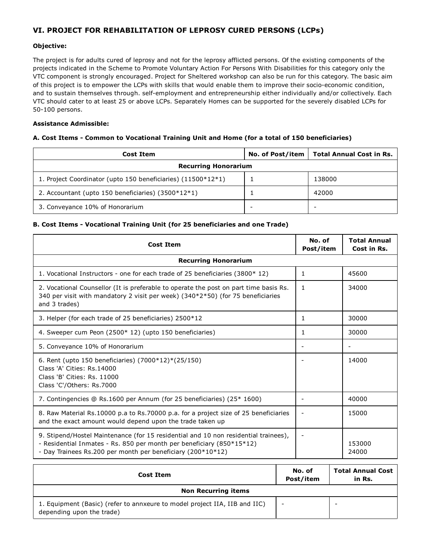# **VI. PROJECT FOR REHABILITATION OF LEPROSY CURED PERSONS (LCPs)**

## **Objective:**

The project is for adults cured of leprosy and not for the leprosy afflicted persons. Of the existing components of the projects indicated in the Scheme to Promote Voluntary Action For Persons With Disabilities for this category only the VTC component is strongly encouraged. Project for Sheltered workshop can also be run for this category. The basic aim of this project is to empower the LCPs with skills that would enable them to improve their socio-economic condition, and to sustain themselves through. self-employment and entrepreneurship either individually and/or collectively. Each VTC should cater to at least 25 or above LCPs. Separately Homes can be supported for the severely disabled LCPs for 50-100 persons.

### **Assistance Admissible:**

### **A. Cost Items - Common to Vocational Training Unit and Home (for a total of 150 beneficiaries)**

| Cost Item                                                    |  | No. of Post/item   Total Annual Cost in Rs. |  |
|--------------------------------------------------------------|--|---------------------------------------------|--|
| <b>Recurring Honorarium</b>                                  |  |                                             |  |
| 1. Project Coordinator (upto 150 beneficiaries) (11500*12*1) |  | 138000                                      |  |
| 2. Accountant (upto 150 beneficiaries) (3500*12*1)           |  | 42000                                       |  |
| 3. Conveyance 10% of Honorarium                              |  |                                             |  |

## **B. Cost Items - Vocational Training Unit (for 25 beneficiaries and one Trade)**

| <b>Cost Item</b>                                                                                                                                                                                                            | No. of<br>Post/item | <b>Total Annual</b><br>Cost in Rs. |
|-----------------------------------------------------------------------------------------------------------------------------------------------------------------------------------------------------------------------------|---------------------|------------------------------------|
| <b>Recurring Honorarium</b>                                                                                                                                                                                                 |                     |                                    |
| 1. Vocational Instructors - one for each trade of 25 beneficiaries (3800* 12)                                                                                                                                               | 1                   | 45600                              |
| 2. Vocational Counsellor (It is preferable to operate the post on part time basis Rs.<br>340 per visit with mandatory 2 visit per week) (340*2*50) (for 75 beneficiaries<br>and 3 trades)                                   | 1                   | 34000                              |
| 3. Helper (for each trade of 25 beneficiaries) 2500*12                                                                                                                                                                      | 1                   | 30000                              |
| 4. Sweeper cum Peon (2500* 12) (upto 150 beneficiaries)                                                                                                                                                                     | 1                   | 30000                              |
| 5. Conveyance 10% of Honorarium                                                                                                                                                                                             |                     | $\overline{\phantom{a}}$           |
| 6. Rent (upto 150 beneficiaries) (7000*12)*(25/150)<br>Class 'A' Cities: Rs.14000<br>Class 'B' Cities: Rs. 11000<br>Class 'C'/Others: Rs.7000                                                                               |                     | 14000                              |
| 7. Contingencies @ Rs.1600 per Annum (for 25 beneficiaries) (25* 1600)                                                                                                                                                      |                     | 40000                              |
| 8. Raw Material Rs.10000 p.a to Rs.70000 p.a. for a project size of 25 beneficiaries<br>and the exact amount would depend upon the trade taken up                                                                           |                     | 15000                              |
| 9. Stipend/Hostel Maintenance (for 15 residential and 10 non residential trainees),<br>- Residential Inmates - Rs. 850 per month per beneficiary (850*15*12)<br>- Day Trainees Rs.200 per month per beneficiary (200*10*12) |                     | 153000<br>24000                    |

| Cost Item                                                                                               | No. of<br>Post/item | <b>Total Annual Cost</b><br>in Rs. |  |
|---------------------------------------------------------------------------------------------------------|---------------------|------------------------------------|--|
| <b>Non Recurring items</b>                                                                              |                     |                                    |  |
| 1. Equipment (Basic) (refer to annxeure to model project IIA, IIB and IIC)<br>depending upon the trade) |                     |                                    |  |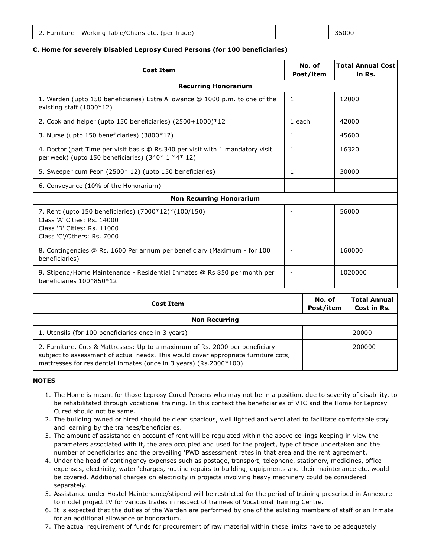## **C. Home for severely Disabled Leprosy Cured Persons (for 100 beneficiaries)**

| <b>Cost Item</b>                                                                                                                                 | No. of<br>Post/item | <b>Total Annual Cost</b><br>in Rs. |
|--------------------------------------------------------------------------------------------------------------------------------------------------|---------------------|------------------------------------|
| <b>Recurring Honorarium</b>                                                                                                                      |                     |                                    |
| 1. Warden (upto 150 beneficiaries) Extra Allowance @ 1000 p.m. to one of the<br>existing staff $(1000*12)$                                       | $\mathbf{1}$        | 12000                              |
| 2. Cook and helper (upto 150 beneficiaries) (2500+1000)*12                                                                                       | 1 each              | 42000                              |
| 3. Nurse (upto 150 beneficiaries) (3800*12)                                                                                                      | 1                   | 45600                              |
| 4. Doctor (part Time per visit basis @ Rs.340 per visit with 1 mandatory visit<br>per week) (upto 150 beneficiaries) $(340 * 1 *4 * 12)$         | 1                   | 16320                              |
| 5. Sweeper cum Peon (2500* 12) (upto 150 beneficiaries)                                                                                          | 1                   | 30000                              |
| 6. Conveyance (10% of the Honorarium)                                                                                                            |                     |                                    |
| <b>Non Recurring Honorarium</b>                                                                                                                  |                     |                                    |
| 7. Rent (upto 150 beneficiaries) (7000*12)*(100/150)<br>Class 'A' Cities: Rs. 14000<br>Class 'B' Cities: Rs. 11000<br>Class 'C'/Others: Rs. 7000 |                     | 56000                              |
| 8. Contingencies @ Rs. 1600 Per annum per beneficiary (Maximum - for 100<br>beneficiaries)                                                       |                     | 160000                             |
| 9. Stipend/Home Maintenance - Residential Inmates @ Rs 850 per month per<br>beneficiaries 100*850*12                                             |                     | 1020000                            |

| Cost Item                                                                                                                                                                                                                                 | No. of<br>Post/item | <b>Total Annual</b><br>Cost in Rs. |
|-------------------------------------------------------------------------------------------------------------------------------------------------------------------------------------------------------------------------------------------|---------------------|------------------------------------|
| <b>Non Recurring</b>                                                                                                                                                                                                                      |                     |                                    |
| 1. Utensils (for 100 beneficiaries once in 3 years)                                                                                                                                                                                       |                     | 20000                              |
| 2. Furniture, Cots & Mattresses: Up to a maximum of Rs. 2000 per beneficiary<br>subject to assessment of actual needs. This would cover appropriate furniture cots,<br>mattresses for residential inmates (once in 3 years) (Rs.2000*100) |                     | 200000                             |

- 1. The Home is meant for those Leprosy Cured Persons who may not be in a position, due to severity of disability, to be rehabilitated through vocational training. In this context the beneficiaries of VTC and the Home for Leprosy Cured should not be same.
- 2. The building owned or hired should be clean spacious, well lighted and ventilated to facilitate comfortable stay and learning by the trainees/beneficiaries.
- 3. The amount of assistance on account of rent will be regulated within the above ceilings keeping in view the parameters associated with it, the area occupied and used for the project, type of trade undertaken and the number of beneficiaries and the prevailing 'PWD assessment rates in that area and the rent agreement.
- 4. Under the head of contingency expenses such as postage, transport, telephone, stationery, medicines, office expenses, electricity, water 'charges, routine repairs to building, equipments and their maintenance etc. would be covered. Additional charges on electricity in projects involving heavy machinery could be considered separately.
- 5. Assistance under Hostel Maintenance/stipend will be restricted for the period of training prescribed in Annexure to model project IV for various trades in respect of trainees of Vocational Training Centre.
- 6. It is expected that the duties of the Warden are performed by one of the existing members of staff or an inmate for an additional allowance or honorarium.
- 7. The actual requirement of funds for procurement of raw material within these limits have to be adequately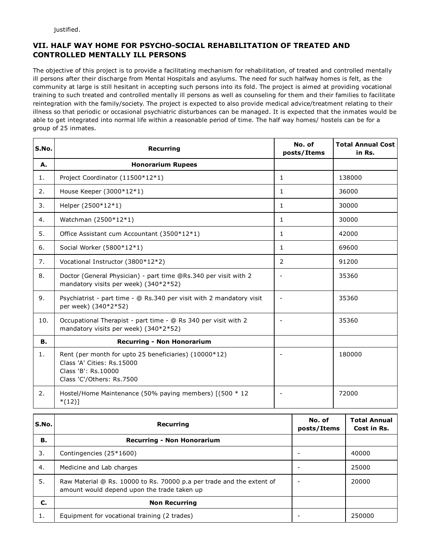justified.

# **VII. HALF WAY HOME FOR PSYCHO-SOCIAL REHABILITATION OF TREATED AND CONTROLLED MENTALLY ILL PERSONS**

The objective of this project is to provide a facilitating mechanism for rehabilitation, of treated and controlled mentally ill persons after their discharge from Mental Hospitals and asylums. The need for such halfway homes is felt, as the community at large is still hesitant in accepting such persons into its fold. The project is aimed at providing vocational training to such treated and controlled mentally ill persons as well as counseling for them and their families to facilitate reintegration with the family/society. The project is expected to also provide medical advice/treatment relating to their illness so that periodic or occasional psychiatric disturbances can be managed. It is expected that the inmates would be able to get integrated into normal life within a reasonable period of time. The half way homes/ hostels can be for a group of 25 inmates.

| S.No. | <b>Recurring</b>                                                                                                                        | No. of<br>posts/Items | <b>Total Annual Cost</b><br>in Rs. |
|-------|-----------------------------------------------------------------------------------------------------------------------------------------|-----------------------|------------------------------------|
| А.    | <b>Honorarium Rupees</b>                                                                                                                |                       |                                    |
| 1.    | Project Coordinator (11500*12*1)                                                                                                        | $\mathbf{1}$          | 138000                             |
| 2.    | House Keeper (3000*12*1)                                                                                                                | 1                     | 36000                              |
| 3.    | Helper (2500*12*1)                                                                                                                      | 1                     | 30000                              |
| 4.    | Watchman (2500*12*1)                                                                                                                    | $\mathbf{1}$          | 30000                              |
| 5.    | Office Assistant cum Accountant (3500*12*1)                                                                                             | $\mathbf{1}$          | 42000                              |
| 6.    | Social Worker (5800*12*1)                                                                                                               | 1                     | 69600                              |
| 7.    | Vocational Instructor (3800*12*2)                                                                                                       | $\overline{2}$        | 91200                              |
| 8.    | Doctor (General Physician) - part time @Rs.340 per visit with 2<br>mandatory visits per week) (340*2*52)                                |                       | 35360                              |
| 9.    | Psychiatrist - part time - @ Rs.340 per visit with 2 mandatory visit<br>per week) (340*2*52)                                            |                       | 35360                              |
| 10.   | Occupational Therapist - part time - @ Rs 340 per visit with 2<br>mandatory visits per week) (340*2*52)                                 |                       | 35360                              |
| В.    | <b>Recurring - Non Honorarium</b>                                                                                                       |                       |                                    |
| 1.    | Rent (per month for upto 25 beneficiaries) (10000*12)<br>Class 'A' Cities: Rs.15000<br>Class 'B': Rs.10000<br>Class 'C'/Others: Rs.7500 |                       | 180000                             |
| 2.    | Hostel/Home Maintenance (50% paying members) $[(500 * 12$<br>$*(12)]$                                                                   |                       | 72000                              |

| lS.No. | Recurring                                                                                                            | No. of<br>posts/Items | <b>Total Annual</b><br>Cost in Rs. |
|--------|----------------------------------------------------------------------------------------------------------------------|-----------------------|------------------------------------|
| В.     | <b>Recurring - Non Honorarium</b>                                                                                    |                       |                                    |
| 3.     | Contingencies (25*1600)                                                                                              |                       | 40000                              |
| 4.     | Medicine and Lab charges                                                                                             |                       | 25000                              |
| 5.     | Raw Material @ Rs. 10000 to Rs. 70000 p.a per trade and the extent of<br>amount would depend upon the trade taken up |                       | 20000                              |
| C.     | <b>Non Recurring</b>                                                                                                 |                       |                                    |
| 1.     | Equipment for vocational training (2 trades)                                                                         |                       | 250000                             |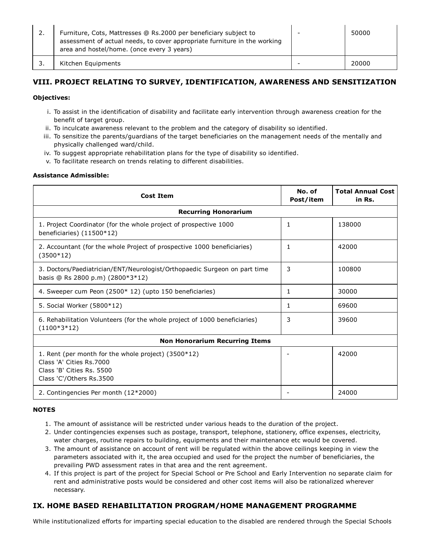| 2. | Furniture, Cots, Mattresses @ Rs.2000 per beneficiary subject to<br>assessment of actual needs, to cover appropriate furniture in the working<br>area and hostel/home. (once every 3 years) | 50000 |
|----|---------------------------------------------------------------------------------------------------------------------------------------------------------------------------------------------|-------|
|    | Kitchen Equipments                                                                                                                                                                          | 20000 |

# **VIII. PROJECT RELATING TO SURVEY, IDENTIFICATION, AWARENESS AND SENSITIZATION**

## **Objectives:**

- i. To assist in the identification of disability and facilitate early intervention through awareness creation for the benefit of target group.
- ii. To inculcate awareness relevant to the problem and the category of disability so identified.
- iii. To sensitize the parents/guardians of the target beneficiaries on the management needs of the mentally and physically challenged ward/child.
- iv. To suggest appropriate rehabilitation plans for the type of disability so identified.
- v. To facilitate research on trends relating to different disabilities.

## **Assistance Admissible:**

| <b>Cost Item</b>                                                                                                                         | No. of<br>Post/item | <b>Total Annual Cost</b><br>in Rs. |
|------------------------------------------------------------------------------------------------------------------------------------------|---------------------|------------------------------------|
| <b>Recurring Honorarium</b>                                                                                                              |                     |                                    |
| 1. Project Coordinator (for the whole project of prospective 1000<br>beneficiaries) $(11500*12)$                                         | 1                   | 138000                             |
| 2. Accountant (for the whole Project of prospective 1000 beneficiaries)<br>$(3500*12)$                                                   | 1                   | 42000                              |
| 3. Doctors/Paediatrician/ENT/Neurologist/Orthopaedic Surgeon on part time<br>basis @ Rs 2800 p.m) (2800*3*12)                            | 3                   | 100800                             |
| 4. Sweeper cum Peon (2500* 12) (upto 150 beneficiaries)                                                                                  | 1                   | 30000                              |
| 5. Social Worker (5800*12)                                                                                                               | 1                   | 69600                              |
| 6. Rehabilitation Volunteers (for the whole project of 1000 beneficiaries)<br>$(1100*3*12)$                                              | 3                   | 39600                              |
| <b>Non Honorarium Recurring Items</b>                                                                                                    |                     |                                    |
| 1. Rent (per month for the whole project) (3500*12)<br>Class 'A' Cities Rs.7000<br>Class 'B' Cities Rs. 5500<br>Class 'C'/Others Rs.3500 | $\qquad \qquad -$   | 42000                              |
| 2. Contingencies Per month (12*2000)                                                                                                     |                     | 24000                              |

## **NOTES**

- 1. The amount of assistance will be restricted under various heads to the duration of the project.
- 2. Under contingencies expenses such as postage, transport, telephone, stationery, office expenses, electricity, water charges, routine repairs to building, equipments and their maintenance etc would be covered.
- 3. The amount of assistance on account of rent will be regulated within the above ceilings keeping in view the parameters associated with it, the area occupied and used for the project the number of beneficiaries, the prevailing PWD assessment rates in that area and the rent agreement.
- 4. If this project is part of the project for Special School or Pre School and Early Intervention no separate claim for rent and administrative posts would be considered and other cost items will also be rationalized wherever necessary.

# **IX. HOME BASED REHABILITATION PROGRAM/HOME MANAGEMENT PROGRAMME**

While institutionalized efforts for imparting special education to the disabled are rendered through the Special Schools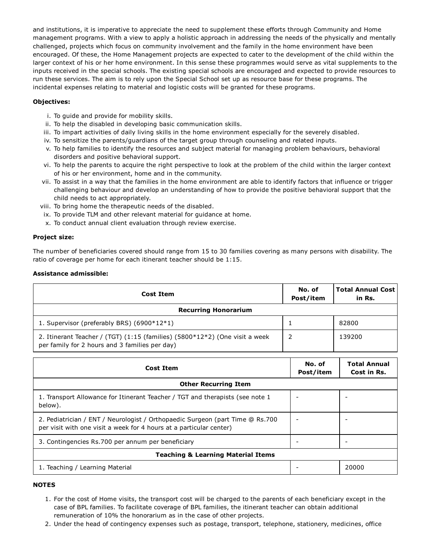and institutions, it is imperative to appreciate the need to supplement these efforts through Community and Home management programs. With a view to apply a holistic approach in addressing the needs of the physically and mentally challenged, projects which focus on community involvement and the family in the home environment have been encouraged. Of these, the Home Management projects are expected to cater to the development of the child within the larger context of his or her home environment. In this sense these programmes would serve as vital supplements to the inputs received in the special schools. The existing special schools are encouraged and expected to provide resources to run these services. The aim is to rely upon the Special School set up as resource base for these programs. The incidental expenses relating to material and logistic costs will be granted for these programs.

### **Objectives:**

- i. To guide and provide for mobility skills.
- ii. To help the disabled in developing basic communication skills.
- iii. To impart activities of daily living skills in the home environment especially for the severely disabled.
- iv. To sensitize the parents/guardians of the target group through counseling and related inputs.
- v. To help families to identify the resources and subject material for managing problem behaviours, behavioral disorders and positive behavioral support.
- vi. To help the parents to acquire the right perspective to look at the problem of the child within the larger context of his or her environment, home and in the community.
- vii. To assist in a way that the families in the home environment are able to identify factors that influence or trigger challenging behaviour and develop an understanding of how to provide the positive behavioral support that the child needs to act appropriately.
- viii. To bring home the therapeutic needs of the disabled.
- ix. To provide TLM and other relevant material for guidance at home.
- x. To conduct annual client evaluation through review exercise.

### **Project size:**

The number of beneficiaries covered should range from 15 to 30 families covering as many persons with disability. The ratio of coverage per home for each itinerant teacher should be 1:15.

### **Assistance admissible:**

| <b>Cost Item</b>                                                                                                                                     | No. of<br>Post/item | <b>Total Annual Cost</b><br>in Rs. |
|------------------------------------------------------------------------------------------------------------------------------------------------------|---------------------|------------------------------------|
| <b>Recurring Honorarium</b>                                                                                                                          |                     |                                    |
| 1. Supervisor (preferably BRS) $(6900*12*1)$                                                                                                         | 1                   | 82800                              |
| 2. Itinerant Teacher / (TGT) (1:15 (families) (5800*12*2) (One visit a week<br>per family for 2 hours and 3 families per day)                        | 2                   | 139200                             |
| <b>Cost Item</b>                                                                                                                                     | No. of<br>Post/item | <b>Total Annual</b><br>Cost in Rs. |
| <b>Other Recurring Item</b>                                                                                                                          |                     |                                    |
| 1. Transport Allowance for Itinerant Teacher / TGT and therapists (see note 1)<br>below).                                                            |                     |                                    |
| 2. Pediatrician / ENT / Neurologist / Orthopaedic Surgeon (part Time @ Rs.700<br>per visit with one visit a week for 4 hours at a particular center) |                     |                                    |
| 3. Contingencies Rs.700 per annum per beneficiary                                                                                                    |                     |                                    |
| <b>Teaching &amp; Learning Material Items</b>                                                                                                        |                     |                                    |
| 1. Teaching / Learning Material                                                                                                                      |                     | 20000                              |

- 1. For the cost of Home visits, the transport cost will be charged to the parents of each beneficiary except in the case of BPL families. To facilitate coverage of BPL families, the itinerant teacher can obtain additional remuneration of 10% the honorarium as in the case of other projects.
- 2. Under the head of contingency expenses such as postage, transport, telephone, stationery, medicines, office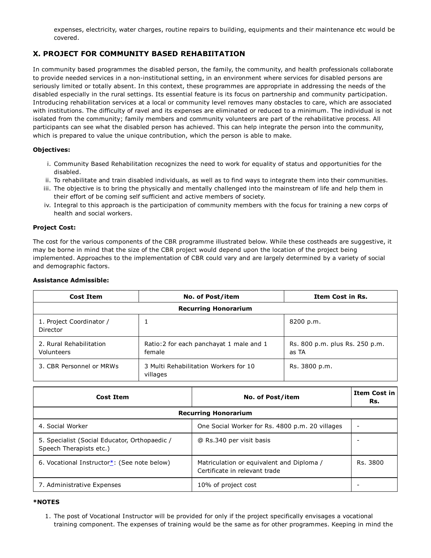expenses, electricity, water charges, routine repairs to building, equipments and their maintenance etc would be covered.

# **X. PROJECT FOR COMMUNITY BASED REHABIlTATION**

In community based programmes the disabled person, the family, the community, and health professionals collaborate to provide needed services in a non-institutional setting, in an environment where services for disabled persons are seriously limited or totally absent. In this context, these programmes are appropriate in addressing the needs of the disabled especially in the rural settings. Its essential feature is its focus on partnership and community participation. Introducing rehabilitation services at a local or community level removes many obstacles to care, which are associated with institutions. The difficulty of ravel and its expenses are eliminated or reduced to a minimum. The individual is not isolated from the community; family members and community volunteers are part of the rehabilitative process. All participants can see what the disabled person has achieved. This can help integrate the person into the community, which is prepared to value the unique contribution, which the person is able to make.

## **Objectives:**

- i. Community Based Rehabilitation recognizes the need to work for equality of status and opportunities for the disabled.
- ii. To rehabilitate and train disabled individuals, as well as to find ways to integrate them into their communities.
- iii. The objective is to bring the physically and mentally challenged into the mainstream of life and help them in their effort of be coming self sufficient and active members of society.
- iv. Integral to this approach is the participation of community members with the focus for training a new corps of health and social workers.

### **Project Cost:**

The cost for the various components of the CBR programme illustrated below. While these costheads are suggestive, it may be borne in mind that the size of the CBR project would depend upon the location of the project being implemented. Approaches to the implementation of CBR could vary and are largely determined by a variety of social and demographic factors.

### **Assistance Admissible:**

| <b>Cost Item</b>                      | No. of Post/item                                   | <b>Item Cost in Rs.</b>                 |  |  |
|---------------------------------------|----------------------------------------------------|-----------------------------------------|--|--|
|                                       | <b>Recurring Honorarium</b>                        |                                         |  |  |
| 1. Project Coordinator /<br>Director  |                                                    | 8200 p.m.                               |  |  |
| 2. Rural Rehabilitation<br>Volunteers | Ratio: 2 for each panchayat 1 male and 1<br>female | Rs. 800 p.m. plus Rs. 250 p.m.<br>as TA |  |  |
| 3. CBR Personnel or MRWs              | 3 Multi Rehabilitation Workers for 10<br>villages  | Rs. 3800 p.m.                           |  |  |

| <b>Cost Item</b>                                                         | No. of Post/item                                                           | <b>Item Cost in</b><br>Rs. |
|--------------------------------------------------------------------------|----------------------------------------------------------------------------|----------------------------|
|                                                                          | <b>Recurring Honorarium</b>                                                |                            |
| 4. Social Worker                                                         | One Social Worker for Rs. 4800 p.m. 20 villages                            | $\overline{\phantom{a}}$   |
| 5. Specialist (Social Educator, Orthopaedic /<br>Speech Therapists etc.) | @ Rs.340 per visit basis                                                   | -                          |
| 6. Vocational Instructor*: (See note below)                              | Matriculation or equivalent and Diploma /<br>Certificate in relevant trade | Rs. 3800                   |
| 7. Administrative Expenses                                               | 10% of project cost                                                        | $\overline{\phantom{0}}$   |

### **\*NOTES**

1. The post of Vocational Instructor will be provided for only if the project specifically envisages a vocational training component. The expenses of training would be the same as for other programmes. Keeping in mind the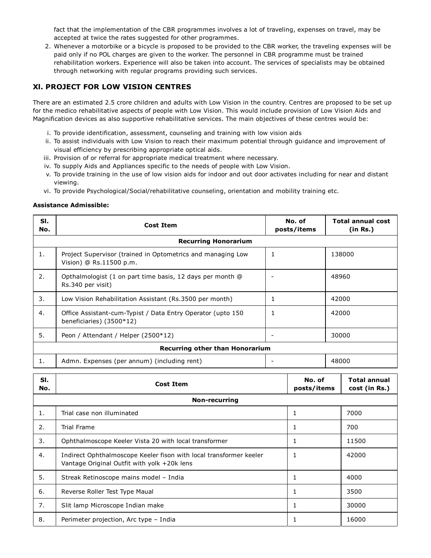fact that the implementation of the CBR programmes involves a lot of traveling, expenses on travel, may be accepted at twice the rates suggested for other programmes.

2. Whenever a motorbike or a bicycle is proposed to be provided to the CBR worker, the traveling expenses will be paid only if no POL charges are given to the worker. The personnel in CBR programme must be trained rehabilitation workers. Experience will also be taken into account. The services of specialists may be obtained through networking with regular programs providing such services.

# **Xl. PROJECT FOR LOW VISION CENTRES**

There are an estimated 2.5 crore children and adults with Low Vision in the country. Centres are proposed to be set up for the medico rehabilitative aspects of people with Low Vision. This would include provision of Low Vision Aids and Magnification devices as also supportive rehabilitative services. The main objectives of these centres would be:

- i. To provide identification, assessment, counseling and training with low vision aids
- ii. To assist individuals with Low Vision to reach their maximum potential through guidance and improvement of visual efficiency by prescribing appropriate optical aids.
- iii. Provision of or referral for appropriate medical treatment where necessary.
- iv. To supply Aids and Appliances specific to the needs of people with Low Vision.
- v. To provide training in the use of low vision aids for indoor and out door activates including for near and distant viewing.
- vi. To provide Psychological/Social/rehabilitative counseling, orientation and mobility training etc.

### **Assistance Admissible:**

| SI.<br>No. | Cost Item                                                                                | No. of<br>posts/items | <b>Total annual cost</b><br>(in Rs.) |  |
|------------|------------------------------------------------------------------------------------------|-----------------------|--------------------------------------|--|
|            | <b>Recurring Honorarium</b>                                                              |                       |                                      |  |
| 1.         | Project Supervisor (trained in Optometrics and managing Low<br>Vision) @ Rs.11500 p.m.   |                       | 138000                               |  |
| 2.         | Opthalmologist (1 on part time basis, 12 days per month @<br>Rs.340 per visit)           |                       | 48960                                |  |
| 3.         | Low Vision Rehabilitation Assistant (Rs.3500 per month)                                  |                       | 42000                                |  |
| 4.         | Office Assistant-cum-Typist / Data Entry Operator (upto 150)<br>beneficiaries) (3500*12) |                       | 42000                                |  |
| 5.         | Peon / Attendant / Helper (2500*12)                                                      |                       | 30000                                |  |
|            | Recurring other than Honorarium                                                          |                       |                                      |  |
| 1.         | Admn. Expenses (per annum) (including rent)                                              |                       | 48000                                |  |

| SI.<br>No. | <b>Cost Item</b>                                                                                                  | No. of<br>posts/items | <b>Total annual</b><br>cost (in Rs.) |
|------------|-------------------------------------------------------------------------------------------------------------------|-----------------------|--------------------------------------|
|            | <b>Non-recurring</b>                                                                                              |                       |                                      |
| 1.         | Trial case non illuminated                                                                                        |                       | 7000                                 |
| 2.         | Trial Frame                                                                                                       |                       | 700                                  |
| 3.         | Ophthalmoscope Keeler Vista 20 with local transformer                                                             |                       | 11500                                |
| 4.         | Indirect Ophthalmoscope Keeler fison with local transformer keeler<br>Vantage Original Outfit with yolk +20k lens |                       | 42000                                |
| 5.         | Streak Retinoscope mains model - India                                                                            |                       | 4000                                 |
| 6.         | Reverse Roller Test Type Maual                                                                                    | 1                     | 3500                                 |
| 7.         | Slit lamp Microscope Indian make                                                                                  |                       | 30000                                |
| 8.         | Perimeter projection, Arc type - India                                                                            |                       | 16000                                |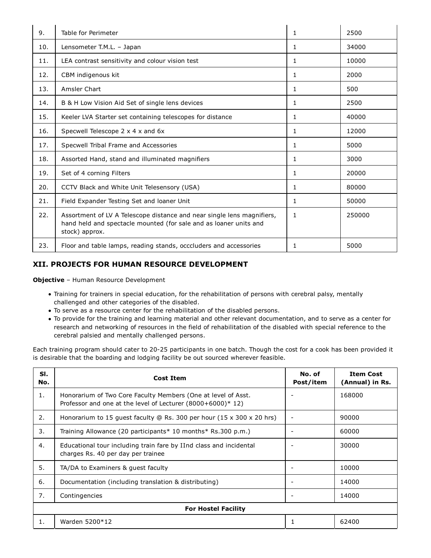| 9.  | Table for Perimeter                                                                                                                                           | 1            | 2500   |
|-----|---------------------------------------------------------------------------------------------------------------------------------------------------------------|--------------|--------|
| 10. | Lensometer T.M.L. - Japan                                                                                                                                     | 1            | 34000  |
| 11. | LEA contrast sensitivity and colour vision test                                                                                                               | 1            | 10000  |
| 12. | CBM indigenous kit                                                                                                                                            | 1            | 2000   |
| 13. | Amsler Chart                                                                                                                                                  | 1            | 500    |
| 14. | B & H Low Vision Aid Set of single lens devices                                                                                                               | 1            | 2500   |
| 15. | Keeler LVA Starter set containing telescopes for distance                                                                                                     | 1            | 40000  |
| 16. | Specwell Telescope 2 x 4 x and 6x                                                                                                                             | 1            | 12000  |
| 17. | Specwell Tribal Frame and Accessories                                                                                                                         | 1            | 5000   |
| 18. | Assorted Hand, stand and illuminated magnifiers                                                                                                               | $\mathbf{1}$ | 3000   |
| 19. | Set of 4 corning Filters                                                                                                                                      | 1            | 20000  |
| 20. | CCTV Black and White Unit Telesensory (USA)                                                                                                                   | 1            | 80000  |
| 21. | Field Expander Testing Set and loaner Unit                                                                                                                    | 1            | 50000  |
| 22. | Assortment of LV A Telescope distance and near single lens magnifiers,<br>hand held and spectacle mounted (for sale and as loaner units and<br>stock) approx. | $\mathbf{1}$ | 250000 |
| 23. | Floor and table lamps, reading stands, occcluders and accessories                                                                                             | 1            | 5000   |

# **XII. PROJECTS FOR HUMAN RESOURCE DEVELOPMENT**

**Objective** – Human Resource Development

- Training for trainers in special education, for the rehabilitation of persons with cerebral palsy, mentally challenged and other categories of the disabled.
- To serve as a resource center for the rehabilitation of the disabled persons.
- To provide for the training and learning material and other relevant documentation, and to serve as a center for research and networking of resources in the field of rehabilitation of the disabled with special reference to the cerebral palsied and mentally challenged persons.

Each training program should cater to 20-25 participants in one batch. Though the cost for a cook has been provided it is desirable that the boarding and lodging facility be out sourced wherever feasible.

| SI.<br>No. | <b>Cost Item</b>                                                                                                             | No. of<br>Post/item | <b>Item Cost</b><br>(Annual) in Rs. |  |  |
|------------|------------------------------------------------------------------------------------------------------------------------------|---------------------|-------------------------------------|--|--|
| 1.         | Honorarium of Two Core Faculty Members (One at level of Asst.<br>Professor and one at the level of Lecturer (8000+6000)* 12) |                     | 168000                              |  |  |
| 2.         | Honorarium to 15 quest faculty @ Rs. 300 per hour $(15 \times 300 \times 20$ hrs)                                            |                     | 90000                               |  |  |
| 3.         | Training Allowance (20 participants* 10 months* Rs.300 p.m.)                                                                 |                     | 60000                               |  |  |
| 4.         | Educational tour including train fare by IInd class and incidental<br>charges Rs. 40 per day per trainee                     |                     | 30000                               |  |  |
| 5.         | TA/DA to Examiners & quest faculty                                                                                           |                     | 10000                               |  |  |
| 6.         | Documentation (including translation & distributing)                                                                         |                     | 14000                               |  |  |
| 7.         | Contingencies                                                                                                                |                     | 14000                               |  |  |
|            | <b>For Hostel Facility</b>                                                                                                   |                     |                                     |  |  |
| 1.         | Warden 5200*12                                                                                                               | 1                   | 62400                               |  |  |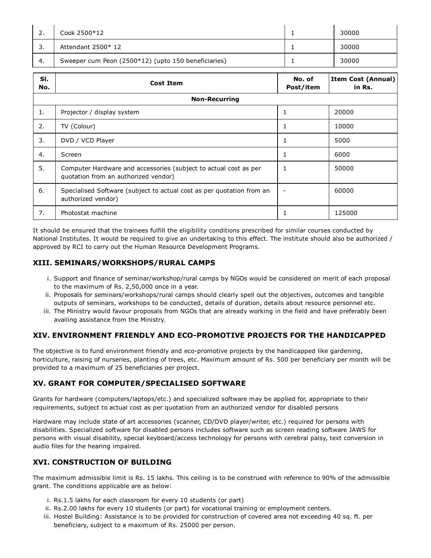| <u>.</u> | Cook 2500*12                                        | 30000 |
|----------|-----------------------------------------------------|-------|
| . ب      | Attendant 2500* 12                                  | 30000 |
| -4.      | Sweeper cum Peon (2500*12) (upto 150 beneficiaries) | 30000 |

| SI.<br>No. | Cost Item                                                                                                | No. of<br>Post/item      | <b>Item Cost (Annual)</b><br>in Rs. |
|------------|----------------------------------------------------------------------------------------------------------|--------------------------|-------------------------------------|
|            | <b>Non-Recurring</b>                                                                                     |                          |                                     |
| 1.         | Projector / display system                                                                               | 1                        | 20000                               |
| 2.         | TV (Colour)                                                                                              | 1                        | 10000                               |
| 3.         | DVD / VCD Player                                                                                         | 1                        | 5000                                |
| 4.         | Screen                                                                                                   | 1                        | 6000                                |
| 5.         | Computer Hardware and accessories (subject to actual cost as per<br>quotation from an authorized vendor) | 1                        | 50000                               |
| 6.         | Specialised Software (subject to actual cost as per quotation from an<br>authorized vendor)              | $\overline{\phantom{0}}$ | 60000                               |
| 7.         | Photostat machine                                                                                        |                          | 125000                              |

It should be ensured that the trainees fulfill the eligibility conditions prescribed for similar courses conducted by National Institutes. It would be required to give an undertaking to this effect. The institute should also be authorized / approved by RCI to carry out the Human Resource Development Programs.

# **XIII. SEMINARS/WORKSHOPS/RURAL CAMPS**

- i. Support and finance of seminar/workshop/rural camps by NGOs would be considered on merit of each proposal to the maximum of Rs. 2,50,000 once in a year.
- ii. Proposals for seminars/workshops/rural camps should clearly spell out the objectives, outcomes and tangible outputs of seminars, workshops to be conducted, details of duration, details about resource personnel etc.
- iii. The Ministry would favour proposals from NGOs that are already working in the field and have preferably been availing assistance from the Ministry.

# **XIV. ENVIRONMENT FRIENDLY AND ECO-PROMOTIVE PROJECTS FOR THE HANDICAPPED**

The objective is to fund environment friendly and eco-promotive projects by the handicapped like gardening, horticulture, raising of nurseries, planting of trees, etc. Maximum amount of Rs. 500 per beneficiary per month will be provided to a maximum of 25 beneficiaries per project.

# **XV. GRANT FOR COMPUTER/SPECIALISED SOFTWARE**

Grants for hardware (computers/laptops/etc.) and specialized software may be applied for, appropriate to their requirements, subject to actual cost as per quotation from an authorized vendor for disabled persons

Hardware may include state of art accessories (scanner, CD/DVD player/writer, etc.) required for persons with disabilities. Specialized software for disabled persons includes software such as screen reading software JAWS for persons with visual disability, special keyboard/access technology for persons with cerebral palsy, text conversion in audio files for the hearing impaired.

# **XVI. CONSTRUCTION OF BUILDING**

The maximum admissible limit is Rs. 15 lakhs. This ceiling is to be construed with reference to 90% of the admissible grant. The conditions applicable are as below:

- i. Rs.1.5 lakhs for each classroom for every 10 students (or part)
- ii. Rs.2.00 lakhs for every 10 students (or part) for vocational training or employment centers.
- iii. Hostel Building: Assistance is to be provided for construction of covered area not exceeding 40 sq. ft. per beneficiary, subject to a maximum of Rs. 25000 per person.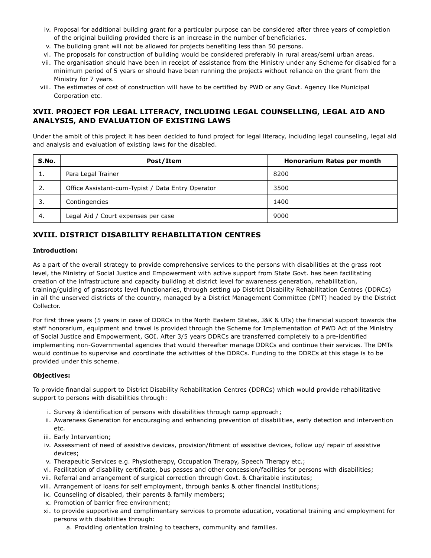- iv. Proposal for additional building grant for a particular purpose can be considered after three years of completion of the original building provided there is an increase in the number of beneficiaries.
- v. The building grant will not be allowed for projects benefiting less than 50 persons.
- vi. The proposals for construction of building would be considered preferably in rural areas/semi urban areas.
- vii. The organisation should have been in receipt of assistance from the Ministry under any Scheme for disabled for a minimum period of 5 years or should have been running the projects without reliance on the grant from the Ministry for 7 years.
- viii. The estimates of cost of construction will have to be certified by PWD or any Govt. Agency like Municipal Corporation etc.

# **XVII. PROJECT FOR LEGAL LITERACY, INCLUDING LEGAL COUNSELLING, LEGAL AID AND ANALYSIS, AND EVALUATION OF EXISTING LAWS**

Under the ambit of this project it has been decided to fund project for legal literacy, including legal counseling, legal aid and analysis and evaluation of existing laws for the disabled.

| S.No. | Post/Item                                         | Honorarium Rates per month |  |
|-------|---------------------------------------------------|----------------------------|--|
|       | Para Legal Trainer                                | 8200                       |  |
| 2.    | Office Assistant-cum-Typist / Data Entry Operator | 3500                       |  |
| 3.    | Contingencies                                     | 1400                       |  |
| 4.    | Legal Aid / Court expenses per case               | 9000                       |  |

# **XVIII. DISTRICT DISABILITY REHABILITATION CENTRES**

## **Introduction:**

As a part of the overall strategy to provide comprehensive services to the persons with disabilities at the grass root level, the Ministry of Social Justice and Empowerment with active support from State Govt. has been facilitating creation of the infrastructure and capacity building at district level for awareness generation, rehabilitation, training/guiding of grassroots level functionaries, through setting up District Disability Rehabilitation Centres (DDRCs) in all the unserved districts of the country, managed by a District Management Committee (DMT) headed by the District Collector.

For first three years (5 years in case of DDRCs in the North Eastern States, J&K & UTs) the financial support towards the staff honorarium, equipment and travel is provided through the Scheme for Implementation of PWD Act of the Ministry of Social Justice and Empowerment, GOI. After 3/5 years DDRCs are transferred completely to a pre-identified implementing non-Governmental agencies that would thereafter manage DDRCs and continue their services. The DMTs would continue to supervise and coordinate the activities of the DDRCs. Funding to the DDRCs at this stage is to be provided under this scheme.

## **Objectives:**

To provide financial support to District Disability Rehabilitation Centres (DDRCs) which would provide rehabilitative support to persons with disabilities through:

- i. Survey & identification of persons with disabilities through camp approach;
- ii. Awareness Generation for encouraging and enhancing prevention of disabilities, early detection and intervention etc.
- iii. Early Intervention;
- iv. Assessment of need of assistive devices, provision/fitment of assistive devices, follow up/ repair of assistive devices;
- v. Therapeutic Services e.g. Physiotherapy, Occupation Therapy, Speech Therapy etc.;
- vi. Facilitation of disability certificate, bus passes and other concession/facilities for persons with disabilities;
- vii. Referral and arrangement of surgical correction through Govt. & Charitable institutes;
- viii. Arrangement of loans for self employment, through banks & other financial institutions;
- ix. Counseling of disabled, their parents & family members;
- x. Promotion of barrier free environment;
- xi. to provide supportive and complimentary services to promote education, vocational training and employment for persons with disabilities through:
	- a. Providing orientation training to teachers, community and families.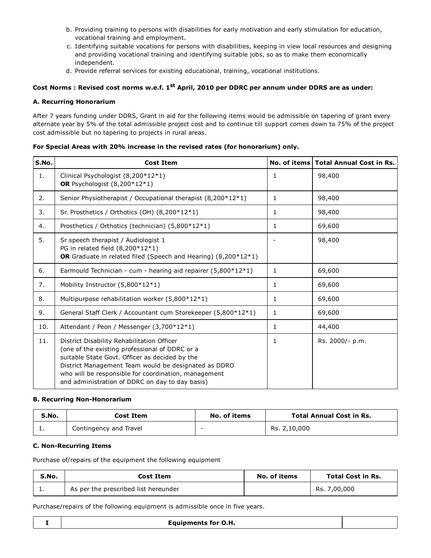- b. Providing training to persons with disabilities for early motivation and early stimulation for education, vocational training and employment.
- c. Identifying suitable vocations for persons with disabilities, keeping in view local resources and designing and providing vocational training and identifying suitable jobs, so as to make them economically independent.
- d. Provide referral services for existing educational, training, vocational institutions.

# **Cost Norms : Revised cost norms w.e.f. 1st April, 2010 per DDRC per annum under DDRS are as under:**

### **A. Recurring Honorarium**

After 7 years funding under DDRS, Grant in aid for the following items would be admissible on tapering of grant every alternate year by 5% of the total admissible project cost and to continue till support comes down to 75% of the project cost admissible but no tapering to projects in rural areas.

| S.No. | <b>Cost Item</b>                                                                                                                                                                                                                                                                                                  |              | No. of items   Total Annual Cost in Rs. |
|-------|-------------------------------------------------------------------------------------------------------------------------------------------------------------------------------------------------------------------------------------------------------------------------------------------------------------------|--------------|-----------------------------------------|
| 1.    | Clinical Psychologist (8,200*12*1)<br>OR Psychologist $(8,200*12*1)$                                                                                                                                                                                                                                              | 1            | 98,400                                  |
| 2.    | Senior Physiotherapist / Occupational therapist (8,200*12*1)                                                                                                                                                                                                                                                      | 1            | 98,400                                  |
| 3.    | Sr. Prosthetics / Orthotics (OH) (8,200*12*1)                                                                                                                                                                                                                                                                     | 1            | 98,400                                  |
| 4.    | Prosthetics / Orthotics (technician) (5,800*12*1)                                                                                                                                                                                                                                                                 | 1            | 69,600                                  |
| 5.    | Sr speech therapist / Audiologist 1<br>PG in related field (8,200*12*1)<br>OR Graduate in related filed (Speech and Hearing) (8,200*12*1)                                                                                                                                                                         |              | 98,400                                  |
| 6.    | Earmould Technician - cum - hearing aid repairer (5,800*12*1)                                                                                                                                                                                                                                                     | 1            | 69,600                                  |
| 7.    | Mobility Instructor (5,800*12*1)                                                                                                                                                                                                                                                                                  | 1            | 69,600                                  |
| 8.    | Multipurpose rehabilitation worker (5,800*12*1)                                                                                                                                                                                                                                                                   | $\mathbf{1}$ | 69,600                                  |
| 9.    | General Staff Clerk / Accountant cum Storekeeper (5,800*12*1)                                                                                                                                                                                                                                                     | 1            | 69,600                                  |
| 10.   | Attendant / Peon / Messenger (3,700*12*1)                                                                                                                                                                                                                                                                         | 1            | 44,400                                  |
| 11.   | District Disability Rehabilitation Officer<br>(one of the existing professional of DDRC or a<br>suitable State Govt. Officer as decided by the<br>District Management Team would be designated as DDRO<br>who will be responsible for coordination, management<br>and administration of DDRC on day to day basis) | 1            | Rs. 2000/- p.m.                         |

### **For Special Areas with 20% increase in the revised rates (for honorarium) only.**

### **B. Recurring Non-Honorarium**

| S.No.    | <b>Cost Item</b>       | No. of items             | <b>Total Annual Cost in Rs.</b> |
|----------|------------------------|--------------------------|---------------------------------|
| <b>.</b> | Contingency and Travel | $\overline{\phantom{0}}$ | Rs. 2,10,000                    |

## **C. Non-Recurring Items**

Purchase of/repairs of the equipment the following equipment

| S.No. | Cost Item                            | No. of items | <b>Total Cost in Rs.</b> |
|-------|--------------------------------------|--------------|--------------------------|
| .     | As per the prescribed list hereunder |              | Rs. 7,00,000             |

Purchase/repairs of the following equipment is admissible once in five years.

| pments for O.H.<br>cauibr<br>___ |  |
|----------------------------------|--|
|                                  |  |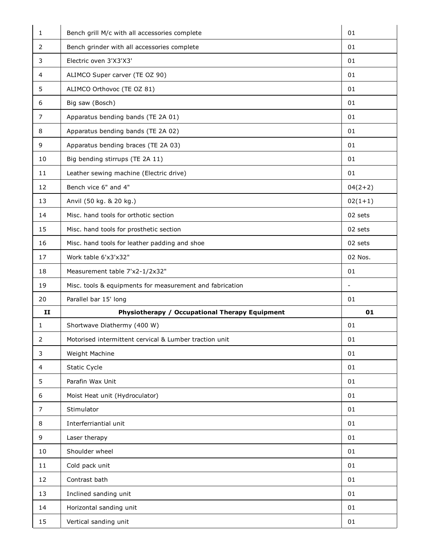| 1              | Bench grill M/c with all accessories complete            | 01        |
|----------------|----------------------------------------------------------|-----------|
| 2              | Bench grinder with all accessories complete              | 01        |
| 3              | Electric oven 3'X3'X3'                                   | 01        |
| 4              | ALIMCO Super carver (TE OZ 90)                           | 01        |
| 5              | ALIMCO Orthovoc (TE OZ 81)                               | 01        |
| 6              | Big saw (Bosch)                                          | 01        |
| 7              | Apparatus bending bands (TE 2A 01)                       | 01        |
| 8              | Apparatus bending bands (TE 2A 02)                       | 01        |
| 9              | Apparatus bending braces (TE 2A 03)                      | 01        |
| 10             | Big bending stirrups (TE 2A 11)                          | 01        |
| 11             | Leather sewing machine (Electric drive)                  | 01        |
| 12             | Bench vice 6" and 4"                                     | $04(2+2)$ |
| 13             | Anvil (50 kg. & 20 kg.)                                  | $02(1+1)$ |
| 14             | Misc. hand tools for orthotic section                    | 02 sets   |
| 15             | Misc. hand tools for prosthetic section                  | 02 sets   |
| 16             | Misc. hand tools for leather padding and shoe            | 02 sets   |
| 17             | Work table 6'x3'x32"                                     | 02 Nos.   |
| 18             | Measurement table 7'x2-1/2x32"                           | 01        |
|                |                                                          |           |
| 19             | Misc. tools & equipments for measurement and fabrication | ÷         |
| 20             | Parallel bar 15' long                                    | 01        |
| II             | Physiotherapy / Occupational Therapy Equipment           | 01        |
| 1              | Shortwave Diathermy (400 W)                              | 01        |
| 2              | Motorised intermittent cervical & Lumber traction unit   | 01        |
| 3              | Weight Machine                                           | 01        |
| 4              | <b>Static Cycle</b>                                      | 01        |
| 5              | Parafin Wax Unit                                         | 01        |
| 6              | Moist Heat unit (Hydroculator)                           | 01        |
| $\overline{7}$ | Stimulator                                               | 01        |
| 8              | Interferriantial unit                                    | 01        |
| 9              | Laser therapy                                            | 01        |
| 10             | Shoulder wheel                                           | 01        |
| $11\,$         | Cold pack unit                                           | 01        |
| 12             | Contrast bath                                            | 01        |
| 13             | Inclined sanding unit                                    | 01        |
| 14             | Horizontal sanding unit                                  | 01        |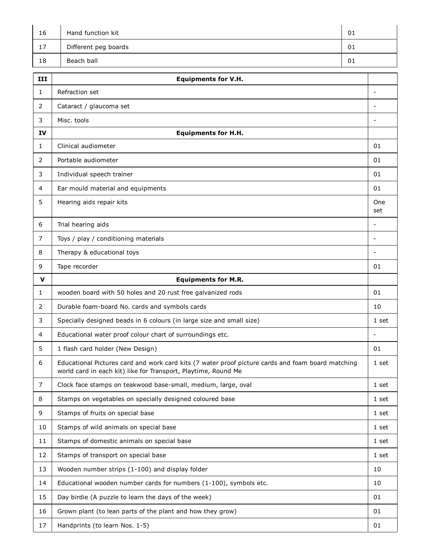| 16 | Hand function kit    | 01 |
|----|----------------------|----|
| 17 | Different peg boards | 01 |
| 18 | Beach ball           | 01 |

| III            | <b>Equipments for V.H.</b>                                                                                                                                          |                   |
|----------------|---------------------------------------------------------------------------------------------------------------------------------------------------------------------|-------------------|
| $\mathbf{1}$   | Refraction set                                                                                                                                                      | $\blacksquare$    |
| 2              | Cataract / glaucoma set                                                                                                                                             |                   |
| 3              | Misc. tools                                                                                                                                                         |                   |
| IV             | <b>Equipments for H.H.</b>                                                                                                                                          |                   |
| 1              | Clinical audiometer                                                                                                                                                 | 01                |
| $\overline{2}$ | Portable audiometer                                                                                                                                                 | 01                |
| 3              | Individual speech trainer                                                                                                                                           | 01                |
| $\overline{4}$ | Ear mould material and equipments                                                                                                                                   | 01                |
| 5              | Hearing aids repair kits                                                                                                                                            | <b>One</b><br>set |
| 6              | Trial hearing aids                                                                                                                                                  |                   |
| $\overline{7}$ | Toys / play / conditioning materials                                                                                                                                |                   |
| 8              | Therapy & educational toys                                                                                                                                          | $\overline{a}$    |
| 9              | Tape recorder                                                                                                                                                       | 01                |
| $\mathbf v$    | <b>Equipments for M.R.</b>                                                                                                                                          |                   |
| 1              | wooden board with 50 holes and 20 rust free galvanized rods                                                                                                         | 01                |
| 2              | Durable foam-board No. cards and symbols cards                                                                                                                      | 10                |
| 3              | Specially designed beads in 6 colours (in large size and small size)                                                                                                | 1 set             |
| $\overline{4}$ | Educational water proof colour chart of surroundings etc.                                                                                                           |                   |
| 5              | 1 flash card holder (New Design)                                                                                                                                    | 01                |
| 6              | Educational Pictures card and work card kits (7 water proof picture cards and foam board matching<br>world card in each kit) like for Transport, Playtime, Round Me | 1 set             |
| 7              | Clock face stamps on teakwood base-small, medium, large, oval                                                                                                       | 1 set             |
| 8              | Stamps on vegetables on specially designed coloured base                                                                                                            | 1 set             |
| 9              | Stamps of fruits on special base                                                                                                                                    | 1 set             |
| 10             | Stamps of wild animals on special base                                                                                                                              | 1 set             |
| 11             | Stamps of domestic animals on special base                                                                                                                          | 1 set             |
| 12             | Stamps of transport on special base                                                                                                                                 | 1 set             |
| 13             | Wooden number strips (1-100) and display folder                                                                                                                     | 10                |
| 14             | Educational wooden number cards for numbers (1-100), symbols etc.                                                                                                   | 10                |
| 15             | Day birdie (A puzzle to learn the days of the week)                                                                                                                 | 01                |
| 16             | Grown plant (to lean parts of the plant and how they grow)                                                                                                          | 01                |
| 17             | Handprints (to learn Nos. 1-5)                                                                                                                                      | 01                |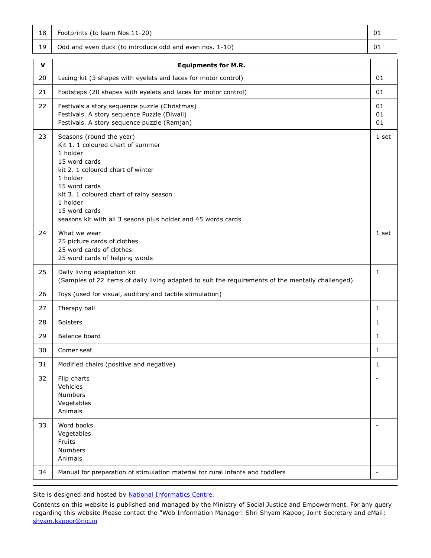| 18 | Footprints (to learn Nos.11-20)                         |  |
|----|---------------------------------------------------------|--|
| 19 | Odd and even duck (to introduce odd and even nos. 1-10) |  |
|    |                                                         |  |

| v  | <b>Equipments for M.R.</b>                                                                                                                                                                                                                                                                           |                          |
|----|------------------------------------------------------------------------------------------------------------------------------------------------------------------------------------------------------------------------------------------------------------------------------------------------------|--------------------------|
| 20 | Lacing kit (3 shapes with eyelets and laces for motor control)                                                                                                                                                                                                                                       | 01                       |
| 21 | Footsteps (20 shapes with eyelets and laces for motor control)                                                                                                                                                                                                                                       | 01                       |
| 22 | Festivals a story sequence puzzle (Christmas)<br>Festivals. A story sequence Puzzle (Diwali)<br>Festivals. A story sequence puzzle (Ramjan)                                                                                                                                                          | 01<br>01<br>01           |
| 23 | Seasons (round the year)<br>Kit 1. 1 coloured chart of summer<br>1 holder<br>15 word cards<br>kit 2, 1 coloured chart of winter<br>1 holder<br>15 word cards<br>kit 3. 1 coloured chart of rainy season<br>1 holder<br>15 word cards<br>seasons kit with all 3 seaons plus holder and 45 words cards | 1 set                    |
| 24 | What we wear<br>25 picture cards of clothes<br>25 word cards of clothes<br>25 word cards of helping words                                                                                                                                                                                            | 1 set                    |
| 25 | Daily living adaptation kit<br>(Samples of 22 items of daily living adapted to suit the requirements of the mentally challenged)                                                                                                                                                                     | 1                        |
| 26 | Toys (used for visual, auditory and tactile stimulation)                                                                                                                                                                                                                                             |                          |
| 27 | Therapy ball                                                                                                                                                                                                                                                                                         | 1                        |
| 28 | <b>Bolsters</b>                                                                                                                                                                                                                                                                                      | 1                        |
| 29 | Balance board                                                                                                                                                                                                                                                                                        | 1                        |
| 30 | Comer seat                                                                                                                                                                                                                                                                                           | 1                        |
| 31 | Modified chairs (positive and negative)                                                                                                                                                                                                                                                              | 1                        |
| 32 | Flip charts<br>Vehicles<br>Numbers<br>Vegetables<br>Animals                                                                                                                                                                                                                                          | $\overline{\phantom{a}}$ |
| 33 | Word books<br>Vegetables<br>Fruits<br>Numbers<br>Animals                                                                                                                                                                                                                                             | $\blacksquare$           |
| 34 | Manual for preparation of stimulation material for rural infants and toddlers                                                                                                                                                                                                                        | $\overline{a}$           |

Site is designed and hosted by National Informatics Centre.

Contents on this website is published and managed by the Ministry of Social Justice and Empowerment. For any query regarding this website Please contact the "Web Information Manager: Shri Shyam Kapoor, Joint Secretary and eMail: shyam.kapoor@nic.in